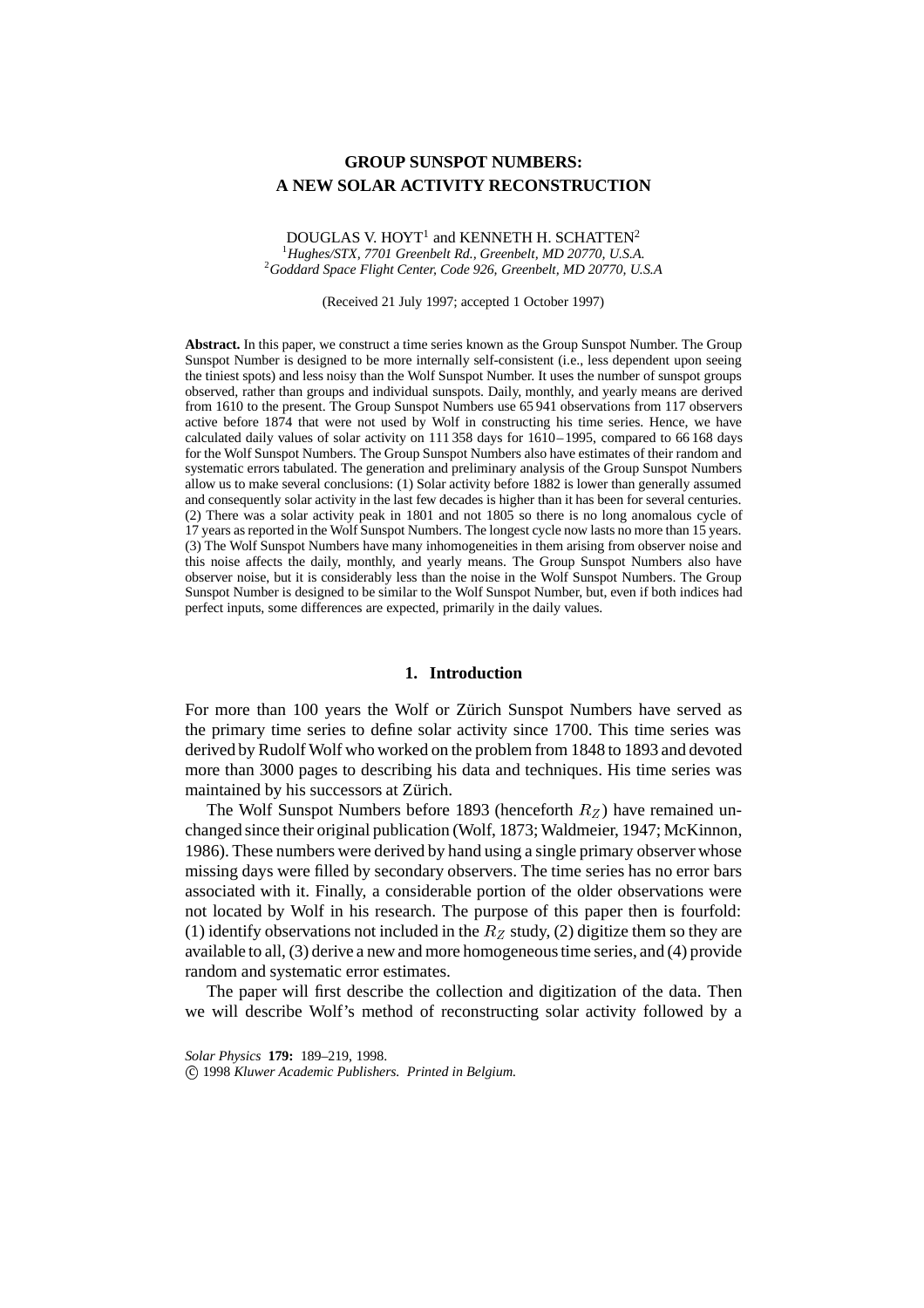# **GROUP SUNSPOT NUMBERS: A NEW SOLAR ACTIVITY RECONSTRUCTION**

DOUGLAS V. HOYT<sup>1</sup> and KENNETH H. SCHATTEN<sup>2</sup> <sup>1</sup>Hughes/STX, 7701 Greenbelt Rd., Greenbelt, MD 20770, U.S.A.<br><sup>2</sup>Coddard Space Elight Center Code 026, Greenbelt, MD 20770, U. *Goddard Space Flight Center, Code 926, Greenbelt, MD 20770, U.S.A*

(Received 21 July 1997; accepted 1 October 1997)

**Abstract.** In this paper, we construct a time series known as the Group Sunspot Number. The Group Sunspot Number is designed to be more internally self-consistent (i.e., less dependent upon seeing the tiniest spots) and less noisy than the Wolf Sunspot Number. It uses the number of sunspot groups observed, rather than groups and individual sunspots. Daily, monthly, and yearly means are derived from 1610 to the present. The Group Sunspot Numbers use 65 941 observations from 117 observers active before 1874 that were not used by Wolf in constructing his time series. Hence, we have calculated daily values of solar activity on 111 358 days for 1610–1995, compared to 66 168 days for the Wolf Sunspot Numbers. The Group Sunspot Numbers also have estimates of their random and systematic errors tabulated. The generation and preliminary analysis of the Group Sunspot Numbers allow us to make several conclusions: (1) Solar activity before 1882 is lower than generally assumed and consequently solar activity in the last few decades is higher than it has been for several centuries. (2) There was a solar activity peak in 1801 and not 1805 so there is no long anomalous cycle of 17 years as reported in the Wolf Sunspot Numbers. The longest cycle now lasts no more than 15 years. (3) The Wolf Sunspot Numbers have many inhomogeneities in them arising from observer noise and this noise affects the daily, monthly, and yearly means. The Group Sunspot Numbers also have observer noise, but it is considerably less than the noise in the Wolf Sunspot Numbers. The Group Sunspot Number is designed to be similar to the Wolf Sunspot Number, but, even if both indices had perfect inputs, some differences are expected, primarily in the daily values.

### **1. Introduction**

For more than 100 years the Wolf or Zürich Sunspot Numbers have served as the primary time series to define solar activity since 1700. This time series was derived by Rudolf Wolf who worked on the problem from 1848 to 1893 and devoted more than 3000 pages to describing his data and techniques. His time series was maintained by his successors at Zürich.

The Wolf Sunspot Numbers before 1893 (henceforth  $R_Z$ ) have remained unchanged since their original publication (Wolf, 1873; Waldmeier, 1947; McKinnon, 1986). These numbers were derived by hand using a single primary observer whose missing days were filled by secondary observers. The time series has no error bars associated with it. Finally, a considerable portion of the older observations were not located by Wolf in his research. The purpose of this paper then is fourfold: (1) identify observations not included in the  $R_Z$  study, (2) digitize them so they are available to all, (3) derive a new and more homogeneous time series, and (4) provide random and systematic error estimates.

The paper will first describe the collection and digitization of the data. Then we will describe Wolf's method of reconstructing solar activity followed by a

*Solar Physics* **179:** 189–219, 1998. c 1998 *Kluwer Academic Publishers. Printed in Belgium.*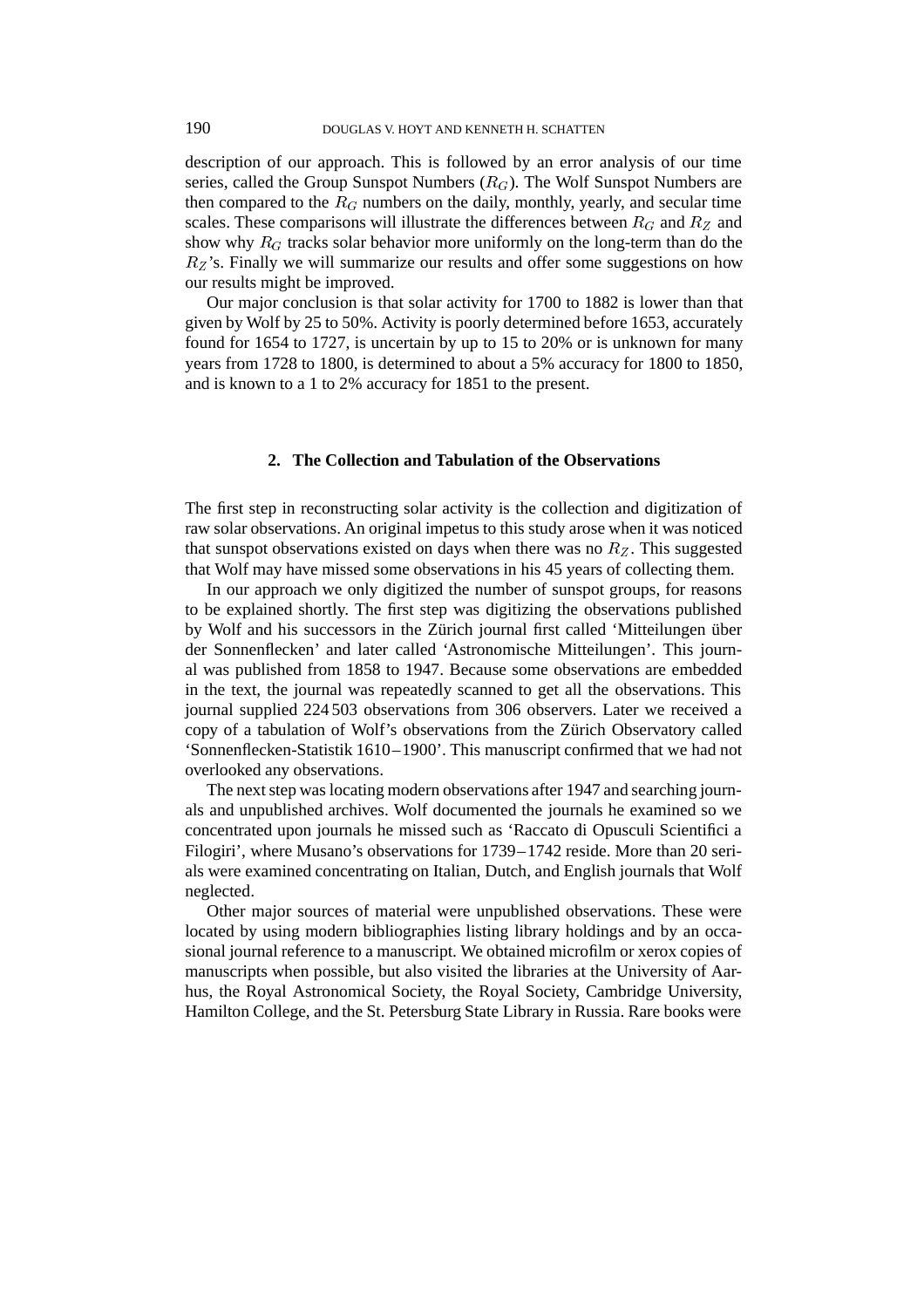description of our approach. This is followed by an error analysis of our time series, called the Group Sunspot Numbers  $(R_G)$ . The Wolf Sunspot Numbers are then compared to the  $R_G$  numbers on the daily, monthly, yearly, and secular time scales. These comparisons will illustrate the differences between  $R_G$  and  $R_Z$  and show why  $R_G$  tracks solar behavior more uniformly on the long-term than do the  $R_Z$ 's. Finally we will summarize our results and offer some suggestions on how our results might be improved.

Our major conclusion is that solar activity for 1700 to 1882 is lower than that given by Wolf by 25 to 50%. Activity is poorly determined before 1653, accurately found for 1654 to 1727, is uncertain by up to 15 to 20% or is unknown for many years from 1728 to 1800, is determined to about a 5% accuracy for 1800 to 1850, and is known to a 1 to 2% accuracy for 1851 to the present.

### **2. The Collection and Tabulation of the Observations**

The first step in reconstructing solar activity is the collection and digitization of raw solar observations. An original impetus to this study arose when it was noticed that sunspot observations existed on days when there was no  $R_z$ . This suggested that Wolf may have missed some observations in his 45 years of collecting them.

In our approach we only digitized the number of sunspot groups, for reasons to be explained shortly. The first step was digitizing the observations published by Wolf and his successors in the Zürich journal first called 'Mitteilungen über der Sonnenflecken' and later called 'Astronomische Mitteilungen'. This journal was published from 1858 to 1947. Because some observations are embedded in the text, the journal was repeatedly scanned to get all the observations. This journal supplied 224 503 observations from 306 observers. Later we received a copy of a tabulation of Wolf's observations from the Zürich Observatory called 'Sonnenflecken-Statistik 1610–1900'. This manuscript confirmed that we had not overlooked any observations.

The next step was locating modern observations after 1947 and searching journals and unpublished archives. Wolf documented the journals he examined so we concentrated upon journals he missed such as 'Raccato di Opusculi Scientifici a Filogiri', where Musano's observations for 1739–1742 reside. More than 20 serials were examined concentrating on Italian, Dutch, and English journals that Wolf neglected.

Other major sources of material were unpublished observations. These were located by using modern bibliographies listing library holdings and by an occasional journal reference to a manuscript. We obtained microfilm or xerox copies of manuscripts when possible, but also visited the libraries at the University of Aarhus, the Royal Astronomical Society, the Royal Society, Cambridge University, Hamilton College, and the St. Petersburg State Library in Russia. Rare books were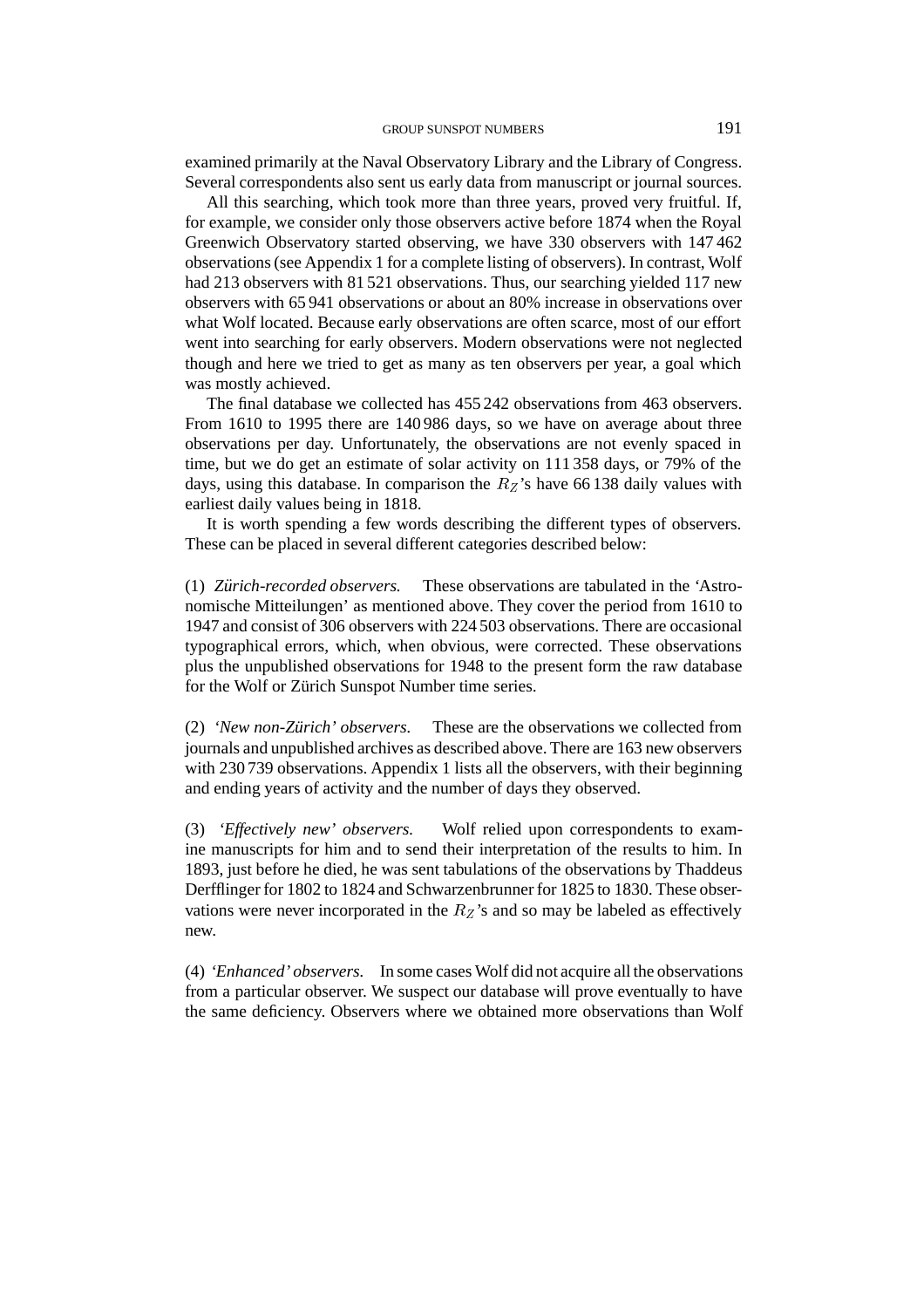examined primarily at the Naval Observatory Library and the Library of Congress. Several correspondents also sent us early data from manuscript or journal sources.

All this searching, which took more than three years, proved very fruitful. If, for example, we consider only those observers active before 1874 when the Royal Greenwich Observatory started observing, we have 330 observers with 147 462 observations (see Appendix 1 for a complete listing of observers). In contrast, Wolf had 213 observers with 81 521 observations. Thus, our searching yielded 117 new observers with 65 941 observations or about an 80% increase in observations over what Wolf located. Because early observations are often scarce, most of our effort went into searching for early observers. Modern observations were not neglected though and here we tried to get as many as ten observers per year, a goal which was mostly achieved.

The final database we collected has 455 242 observations from 463 observers. From 1610 to 1995 there are 140 986 days, so we have on average about three observations per day. Unfortunately, the observations are not evenly spaced in time, but we do get an estimate of solar activity on 111 358 days, or 79% of the days, using this database. In comparison the  $R_Z$ 's have 66.138 daily values with earliest daily values being in 1818.

It is worth spending a few words describing the different types of observers. These can be placed in several different categories described below:

(1) *Zurich-recorded observers. ¨* These observations are tabulated in the 'Astronomische Mitteilungen' as mentioned above. They cover the period from 1610 to 1947 and consist of 306 observers with 224 503 observations. There are occasional typographical errors, which, when obvious, were corrected. These observations plus the unpublished observations for 1948 to the present form the raw database for the Wolf or Zürich Sunspot Number time series.

(2) *'New non-Zurich' observers. ¨* These are the observations we collected from journals and unpublished archives as described above. There are 163 new observers with 230 739 observations. Appendix 1 lists all the observers, with their beginning and ending years of activity and the number of days they observed.

(3) *'Effectively new' observers.* Wolf relied upon correspondents to examine manuscripts for him and to send their interpretation of the results to him. In 1893, just before he died, he was sent tabulations of the observations by Thaddeus Derfflinger for 1802 to 1824 and Schwarzenbrunner for 1825 to 1830. These observations were never incorporated in the  $R_Z$ 's and so may be labeled as effectively new.

(4) *'Enhanced' observers.* In some cases Wolf did not acquire all the observations from a particular observer. We suspect our database will prove eventually to have the same deficiency. Observers where we obtained more observations than Wolf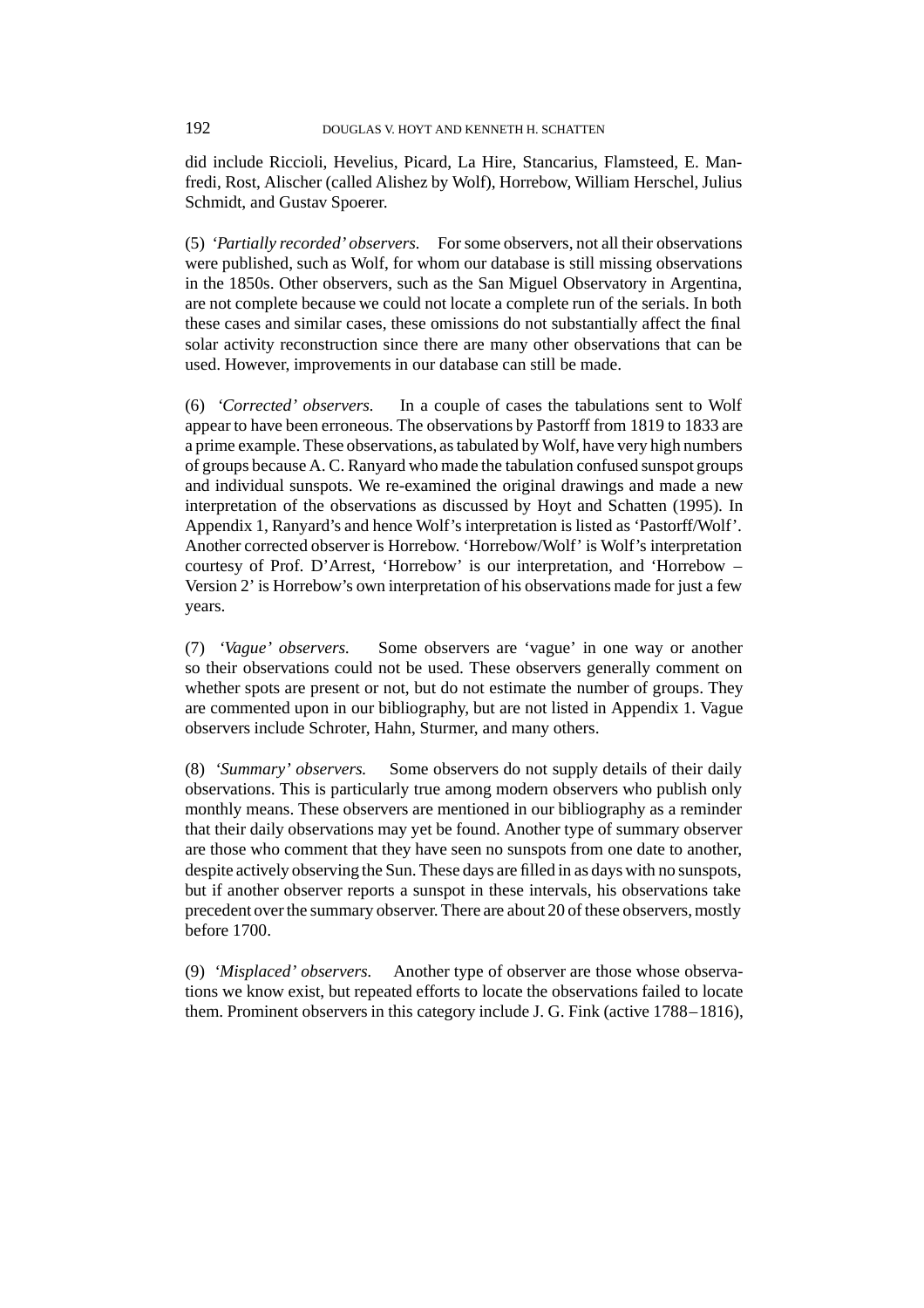## 192 DOUGLAS V. HOYT AND KENNETH H. SCHATTEN

did include Riccioli, Hevelius, Picard, La Hire, Stancarius, Flamsteed, E. Manfredi, Rost, Alischer (called Alishez by Wolf), Horrebow, William Herschel, Julius Schmidt, and Gustav Spoerer.

(5) *'Partially recorded' observers.* For some observers, not all their observations were published, such as Wolf, for whom our database is still missing observations in the 1850s. Other observers, such as the San Miguel Observatory in Argentina, are not complete because we could not locate a complete run of the serials. In both these cases and similar cases, these omissions do not substantially affect the final solar activity reconstruction since there are many other observations that can be used. However, improvements in our database can still be made.

(6) *'Corrected' observers.* In a couple of cases the tabulations sent to Wolf appear to have been erroneous. The observations by Pastorff from 1819 to 1833 are a prime example. These observations, as tabulated by Wolf, have very high numbers of groups because A. C. Ranyard who made the tabulation confused sunspot groups and individual sunspots. We re-examined the original drawings and made a new interpretation of the observations as discussed by Hoyt and Schatten (1995). In Appendix 1, Ranyard's and hence Wolf's interpretation is listed as 'Pastorff/Wolf'. Another corrected observer is Horrebow. 'Horrebow/Wolf' is Wolf's interpretation courtesy of Prof. D'Arrest, 'Horrebow' is our interpretation, and 'Horrebow – Version 2' is Horrebow's own interpretation of his observations made for just a few years.

(7) *'Vague' observers.* Some observers are 'vague' in one way or another so their observations could not be used. These observers generally comment on whether spots are present or not, but do not estimate the number of groups. They are commented upon in our bibliography, but are not listed in Appendix 1. Vague observers include Schroter, Hahn, Sturmer, and many others.

(8) *'Summary' observers.* Some observers do not supply details of their daily observations. This is particularly true among modern observers who publish only monthly means. These observers are mentioned in our bibliography as a reminder that their daily observations may yet be found. Another type of summary observer are those who comment that they have seen no sunspots from one date to another, despite actively observing the Sun. These days are filled in as days with no sunspots, but if another observer reports a sunspot in these intervals, his observations take precedent over the summary observer. There are about 20 of these observers, mostly before 1700.

(9) *'Misplaced' observers.* Another type of observer are those whose observations we know exist, but repeated efforts to locate the observations failed to locate them. Prominent observers in this category include J. G. Fink (active 1788–1816),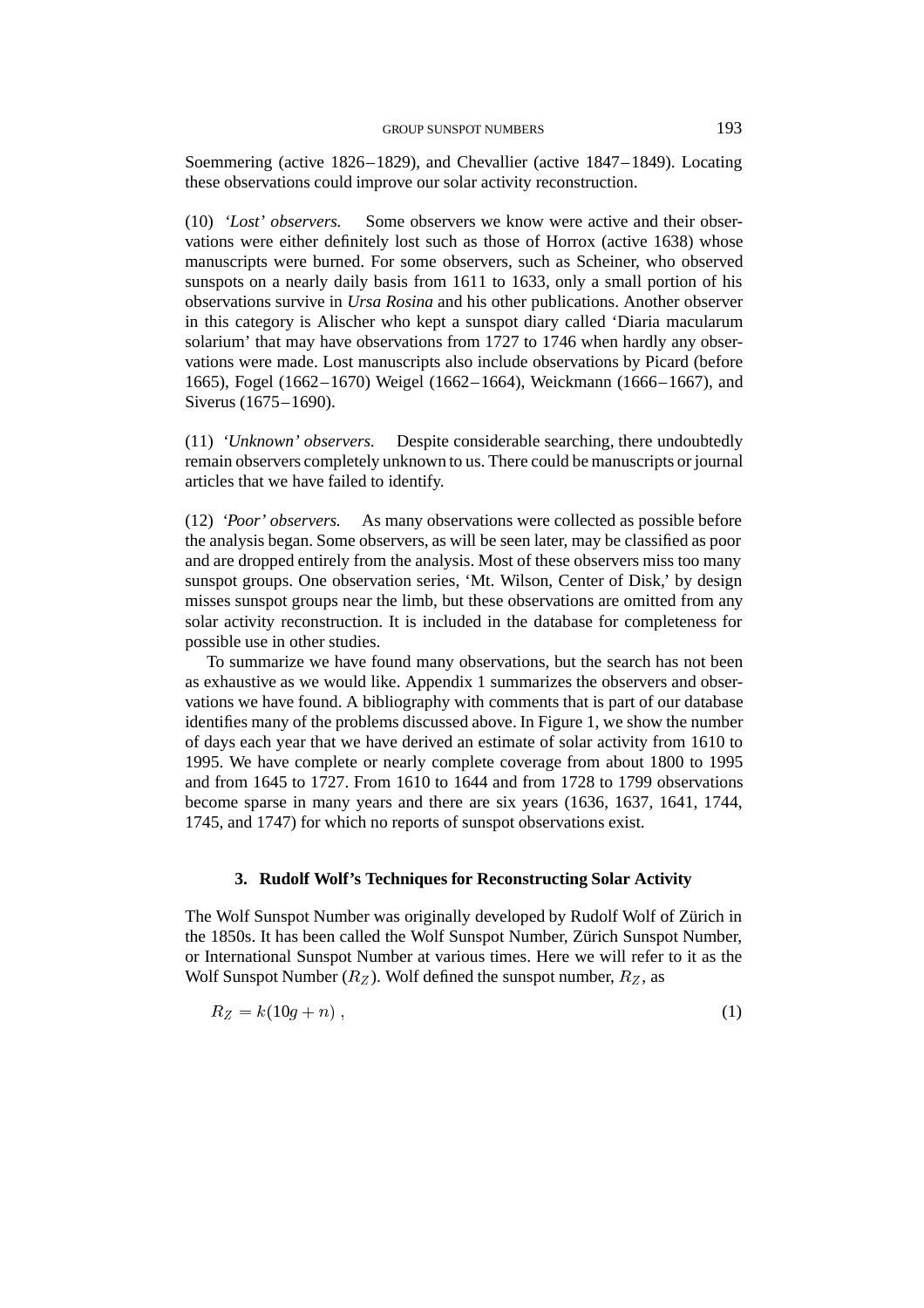Soemmering (active 1826–1829), and Chevallier (active 1847–1849). Locating these observations could improve our solar activity reconstruction.

(10) *'Lost' observers.* Some observers we know were active and their observations were either definitely lost such as those of Horrox (active 1638) whose manuscripts were burned. For some observers, such as Scheiner, who observed sunspots on a nearly daily basis from 1611 to 1633, only a small portion of his observations survive in *Ursa Rosina* and his other publications. Another observer in this category is Alischer who kept a sunspot diary called 'Diaria macularum solarium' that may have observations from 1727 to 1746 when hardly any observations were made. Lost manuscripts also include observations by Picard (before 1665), Fogel (1662–1670) Weigel (1662–1664), Weickmann (1666–1667), and Siverus (1675–1690).

(11) *'Unknown' observers.* Despite considerable searching, there undoubtedly remain observers completely unknown to us. There could be manuscripts or journal articles that we have failed to identify.

(12) *'Poor' observers.* As many observations were collected as possible before the analysis began. Some observers, as will be seen later, may be classified as poor and are dropped entirely from the analysis. Most of these observers miss too many sunspot groups. One observation series, 'Mt. Wilson, Center of Disk,' by design misses sunspot groups near the limb, but these observations are omitted from any solar activity reconstruction. It is included in the database for completeness for possible use in other studies.

To summarize we have found many observations, but the search has not been as exhaustive as we would like. Appendix 1 summarizes the observers and observations we have found. A bibliography with comments that is part of our database identifies many of the problems discussed above. In Figure 1, we show the number of days each year that we have derived an estimate of solar activity from 1610 to 1995. We have complete or nearly complete coverage from about 1800 to 1995 and from 1645 to 1727. From 1610 to 1644 and from 1728 to 1799 observations become sparse in many years and there are six years (1636, 1637, 1641, 1744, 1745, and 1747) for which no reports of sunspot observations exist.

### **3. Rudolf Wolf's Techniques for Reconstructing Solar Activity**

The Wolf Sunspot Number was originally developed by Rudolf Wolf of Zürich in the 1850s. It has been called the Wolf Sunspot Number, Zürich Sunspot Number, or International Sunspot Number at various times. Here we will refer to it as the Wolf Sunspot Number  $(R_Z)$ . Wolf defined the sunspot number,  $R_Z$ , as

$$
R_Z = k(10g + n),\tag{1}
$$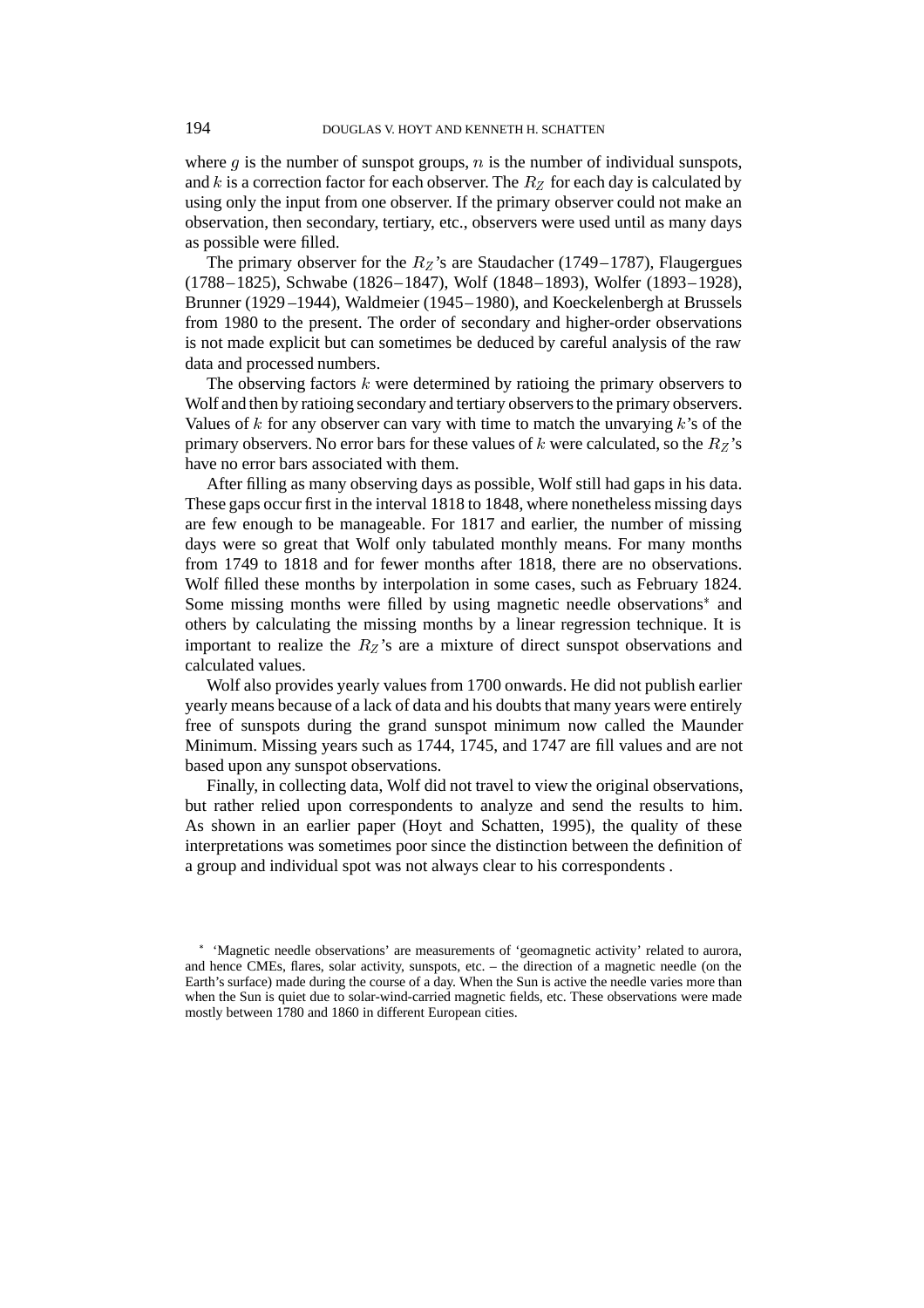where  $g$  is the number of sunspot groups,  $n$  is the number of individual sunspots, and  $k$  is a correction factor for each observer. The  $R_Z$  for each day is calculated by using only the input from one observer. If the primary observer could not make an observation, then secondary, tertiary, etc., observers were used until as many days as possible were filled.

The primary observer for the  $R_Z$ 's are Staudacher (1749–1787), Flaugergues (1788–1825), Schwabe (1826–1847), Wolf (1848–1893), Wolfer (1893–1928), Brunner (1929 –1944), Waldmeier (1945–1980), and Koeckelenbergh at Brussels from 1980 to the present. The order of secondary and higher-order observations is not made explicit but can sometimes be deduced by careful analysis of the raw data and processed numbers.

The observing factors  $k$  were determined by ratioing the primary observers to Wolf and then by ratioing secondary and tertiary observers to the primary observers. Values of  $k$  for any observer can vary with time to match the unvarying  $k$ 's of the primary observers. No error bars for these values of k were calculated, so the  $R_Z$ 's have no error bars associated with them.

After filling as many observing days as possible, Wolf still had gaps in his data. These gaps occur first in the interval 1818 to 1848, where nonetheless missing days are few enough to be manageable. For 1817 and earlier, the number of missing days were so great that Wolf only tabulated monthly means. For many months from 1749 to 1818 and for fewer months after 1818, there are no observations. Wolf filled these months by interpolation in some cases, such as February 1824. Some missing months were filled by using magnetic needle observations<sup>\*</sup> and others by calculating the missing months by a linear regression technique. It is important to realize the  $R_Z$ 's are a mixture of direct sunspot observations and calculated values.

Wolf also provides yearly values from 1700 onwards. He did not publish earlier yearly means because of a lack of data and his doubts that many years were entirely free of sunspots during the grand sunspot minimum now called the Maunder Minimum. Missing years such as 1744, 1745, and 1747 are fill values and are not based upon any sunspot observations.

Finally, in collecting data, Wolf did not travel to view the original observations, but rather relied upon correspondents to analyze and send the results to him. As shown in an earlier paper (Hoyt and Schatten, 1995), the quality of these interpretations was sometimes poor since the distinction between the definition of a group and individual spot was not always clear to his correspondents .

'Magnetic needle observations' are measurements of 'geomagnetic activity' related to aurora, and hence CMEs, flares, solar activity, sunspots, etc. – the direction of a magnetic needle (on the Earth's surface) made during the course of a day. When the Sun is active the needle varies more than when the Sun is quiet due to solar-wind-carried magnetic fields, etc. These observations were made mostly between 1780 and 1860 in different European cities.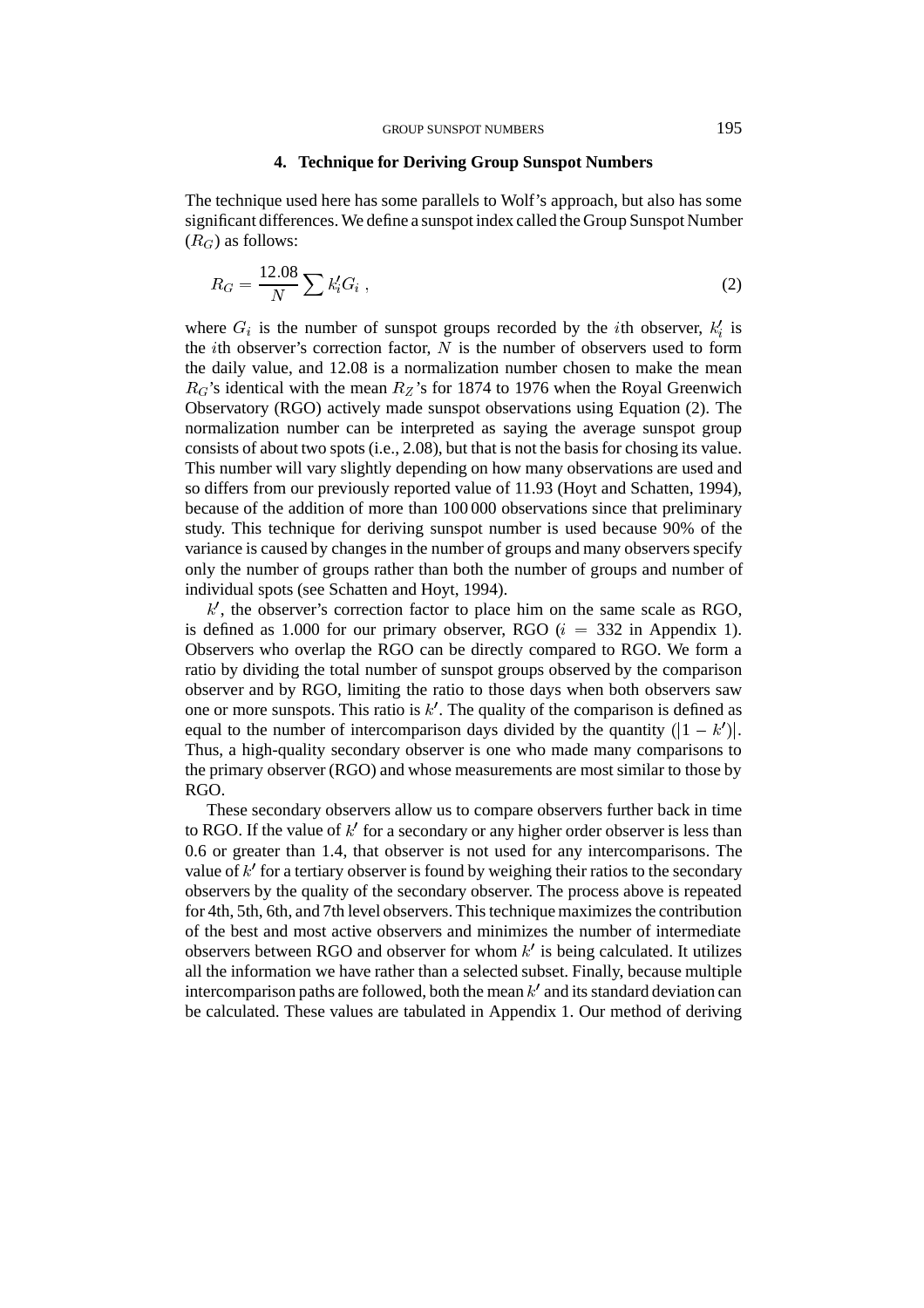### **4. Technique for Deriving Group Sunspot Numbers**

The technique used here has some parallels to Wolf's approach, but also has some significant differences. We define a sunspot index called the Group Sunspot Number  $(R_G)$  as follows:

$$
R_G = \frac{12.08}{N} \sum k_i' G_i , \qquad (2)
$$

where  $G_i$  is the number of sunspot groups recorded by the *i*th observer,  $k_i$  is the *i*th observer's correction factor,  $N$  is the number of observers used to form the daily value, and 12.08 is a normalization number chosen to make the mean  $R_G$ 's identical with the mean  $R_Z$ 's for 1874 to 1976 when the Royal Greenwich Observatory (RGO) actively made sunspot observations using Equation (2). The normalization number can be interpreted as saying the average sunspot group consists of about two spots (i.e., 2.08), but that is not the basis for chosing its value. This number will vary slightly depending on how many observations are used and so differs from our previously reported value of 11.93 (Hoyt and Schatten, 1994), because of the addition of more than 100 000 observations since that preliminary study. This technique for deriving sunspot number is used because 90% of the variance is caused by changes in the number of groups and many observers specify only the number of groups rather than both the number of groups and number of individual spots (see Schatten and Hoyt, 1994).

 $k'$ , the observer's correction factor to place him on the same scale as RGO, is defined as 1.000 for our primary observer, RGO  $(i = 332$  in Appendix 1). Observers who overlap the RGO can be directly compared to RGO. We form a ratio by dividing the total number of sunspot groups observed by the comparison observer and by RGO, limiting the ratio to those days when both observers saw one or more sunspots. This ratio is  $k'$ . The quality of the comparison is defined as equal to the number of intercomparison days divided by the quantity  $(|1 - k'|)$ . Thus, a high-quality secondary observer is one who made many comparisons to the primary observer (RGO) and whose measurements are most similar to those by RGO.

These secondary observers allow us to compare observers further back in time to RGO. If the value of  $k'$  for a secondary or any higher order observer is less than 0.6 or greater than 1.4, that observer is not used for any intercomparisons. The value of  $k'$  for a tertiary observer is found by weighing their ratios to the secondary observers by the quality of the secondary observer. The process above is repeated for 4th, 5th, 6th, and 7th level observers. This technique maximizes the contribution of the best and most active observers and minimizes the number of intermediate observers between RGO and observer for whom  $k'$  is being calculated. It utilizes all the information we have rather than a selected subset. Finally, because multiple intercomparison paths are followed, both the mean  $k'$  and its standard deviation can be calculated. These values are tabulated in Appendix 1. Our method of deriving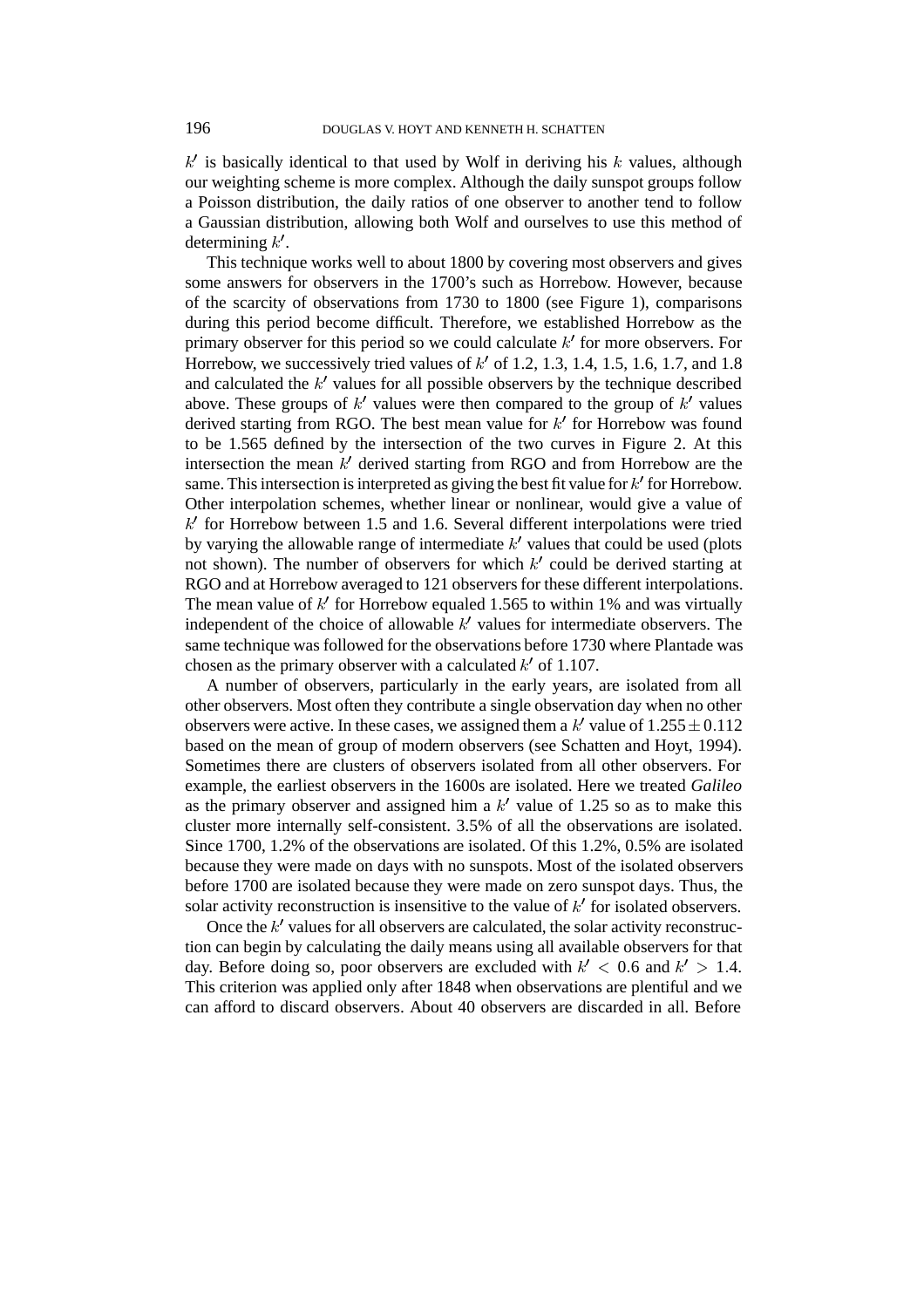$k<sup>′</sup>$  is basically identical to that used by Wolf in deriving his k values, although our weighting scheme is more complex. Although the daily sunspot groups follow a Poisson distribution, the daily ratios of one observer to another tend to follow a Gaussian distribution, allowing both Wolf and ourselves to use this method of determining  $k'$ .

This technique works well to about 1800 by covering most observers and gives some answers for observers in the 1700's such as Horrebow. However, because of the scarcity of observations from 1730 to 1800 (see Figure 1), comparisons during this period become difficult. Therefore, we established Horrebow as the primary observer for this period so we could calculate  $k'$  for more observers. For Horrebow, we successively tried values of  $k'$  of 1.2, 1.3, 1.4, 1.5, 1.6, 1.7, and 1.8 and calculated the  $k'$  values for all possible observers by the technique described above. These groups of  $k'$  values were then compared to the group of  $k'$  values derived starting from RGO. The best mean value for  $k'$  for Horrebow was found to be 1.565 defined by the intersection of the two curves in Figure 2. At this intersection the mean  $k'$  derived starting from RGO and from Horrebow are the same. This intersection is interpreted as giving the best fit value for  $k'$  for Horrebow. Other interpolation schemes, whether linear or nonlinear, would give a value of  $k'$  for Horrebow between 1.5 and 1.6. Several different interpolations were tried by varying the allowable range of intermediate  $k'$  values that could be used (plots not shown). The number of observers for which  $k'$  could be derived starting at RGO and at Horrebow averaged to 121 observers for these different interpolations. The mean value of  $k'$  for Horrebow equaled 1.565 to within 1% and was virtually independent of the choice of allowable  $k'$  values for intermediate observers. The same technique was followed for the observations before 1730 where Plantade was chosen as the primary observer with a calculated  $k'$  of 1.107.

A number of observers, particularly in the early years, are isolated from all other observers. Most often they contribute a single observation day when no other observers were active. In these cases, we assigned them a  $k'$  value of  $1.255 \pm 0.112$ based on the mean of group of modern observers (see Schatten and Hoyt, 1994). Sometimes there are clusters of observers isolated from all other observers. For example, the earliest observers in the 1600s are isolated. Here we treated *Galileo* as the primary observer and assigned him a  $k'$  value of 1.25 so as to make this cluster more internally self-consistent. 3.5% of all the observations are isolated. Since 1700, 1.2% of the observations are isolated. Of this 1.2%, 0.5% are isolated because they were made on days with no sunspots. Most of the isolated observers before 1700 are isolated because they were made on zero sunspot days. Thus, the solar activity reconstruction is insensitive to the value of  $k'$  for isolated observers.

Once the  $k'$  values for all observers are calculated, the solar activity reconstruction can begin by calculating the daily means using all available observers for that day. Before doing so, poor observers are excluded with  $k' < 0.6$  and  $k' > 1.4$ . This criterion was applied only after 1848 when observations are plentiful and we can afford to discard observers. About 40 observers are discarded in all. Before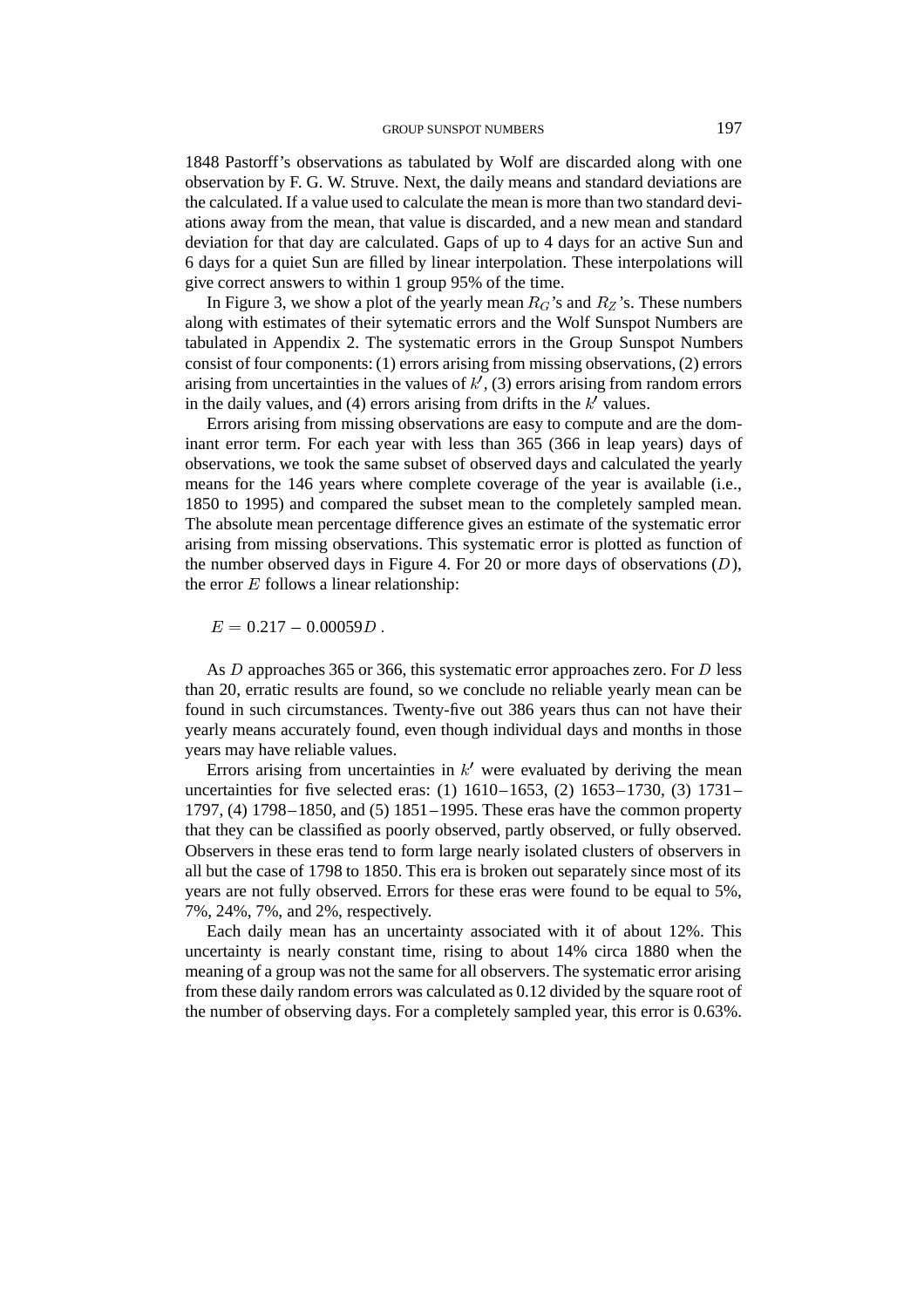1848 Pastorff's observations as tabulated by Wolf are discarded along with one observation by F. G. W. Struve. Next, the daily means and standard deviations are the calculated. If a value used to calculate the mean is more than two standard deviations away from the mean, that value is discarded, and a new mean and standard deviation for that day are calculated. Gaps of up to 4 days for an active Sun and 6 days for a quiet Sun are filled by linear interpolation. These interpolations will give correct answers to within 1 group 95% of the time.

In Figure 3, we show a plot of the yearly mean  $R_G$ 's and  $R_Z$ 's. These numbers along with estimates of their sytematic errors and the Wolf Sunspot Numbers are tabulated in Appendix 2. The systematic errors in the Group Sunspot Numbers consist of four components: (1) errors arising from missing observations, (2) errors arising from uncertainties in the values of  $k'$ , (3) errors arising from random errors in the daily values, and (4) errors arising from drifts in the  $k'$  values.

Errors arising from missing observations are easy to compute and are the dominant error term. For each year with less than 365 (366 in leap years) days of observations, we took the same subset of observed days and calculated the yearly means for the 146 years where complete coverage of the year is available (i.e., 1850 to 1995) and compared the subset mean to the completely sampled mean. The absolute mean percentage difference gives an estimate of the systematic error arising from missing observations. This systematic error is plotted as function of the number observed days in Figure 4. For 20 or more days of observations  $(D)$ , the error  $E$  follows a linear relationship:

 $E = 0.217 - 0.00059D$ .

As D approaches 365 or 366, this systematic error approaches zero. For D less than 20, erratic results are found, so we conclude no reliable yearly mean can be found in such circumstances. Twenty-five out 386 years thus can not have their yearly means accurately found, even though individual days and months in those years may have reliable values.

Errors arising from uncertainties in  $k'$  were evaluated by deriving the mean uncertainties for five selected eras: (1) 1610–1653, (2) 1653–1730, (3) 1731– 1797, (4) 1798–1850, and (5) 1851–1995. These eras have the common property that they can be classified as poorly observed, partly observed, or fully observed. Observers in these eras tend to form large nearly isolated clusters of observers in all but the case of 1798 to 1850. This era is broken out separately since most of its years are not fully observed. Errors for these eras were found to be equal to 5%, 7%, 24%, 7%, and 2%, respectively.

Each daily mean has an uncertainty associated with it of about 12%. This uncertainty is nearly constant time, rising to about 14% circa 1880 when the meaning of a group was not the same for all observers. The systematic error arising from these daily random errors was calculated as 0.12 divided by the square root of the number of observing days. For a completely sampled year, this error is 0.63%.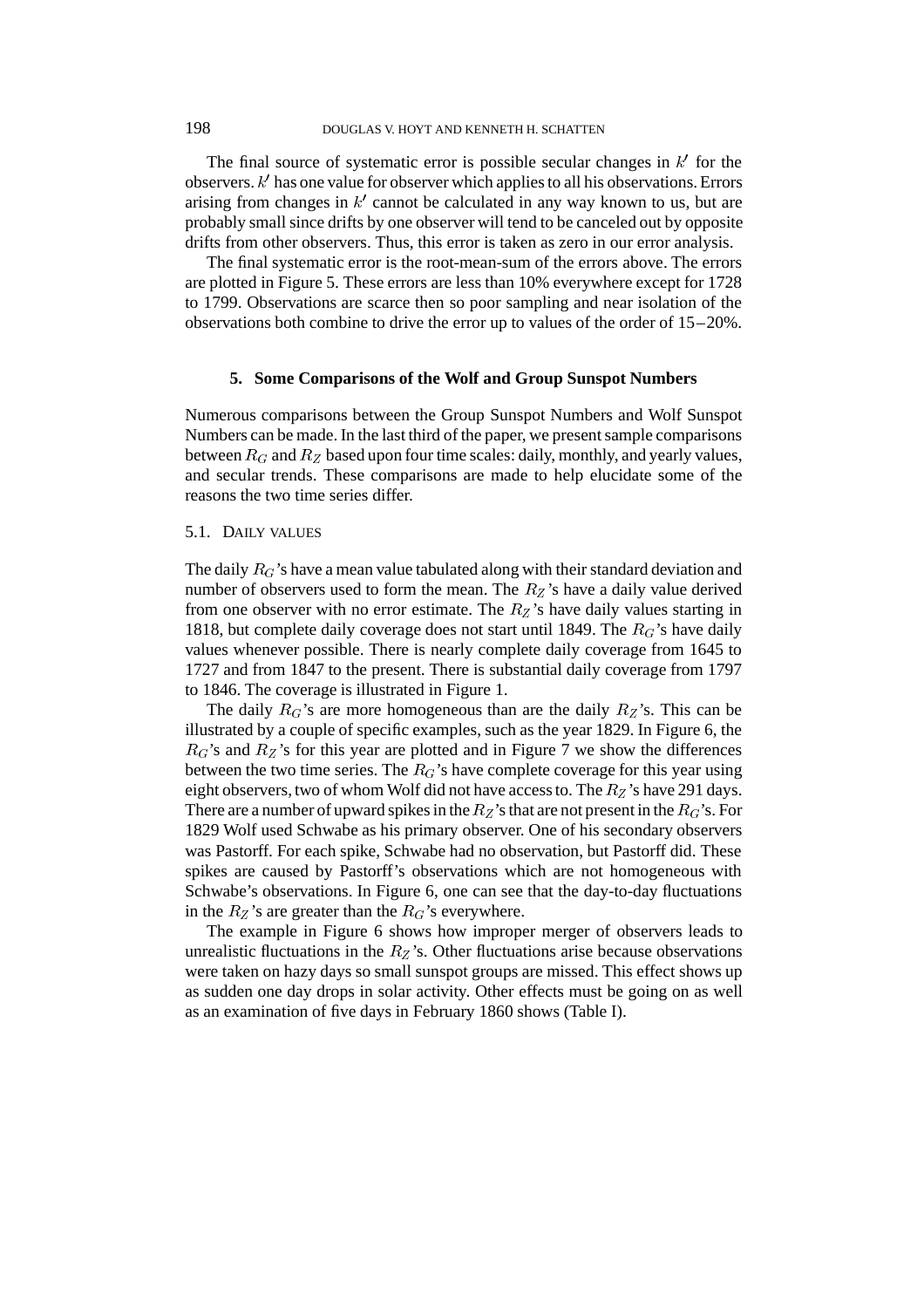The final source of systematic error is possible secular changes in  $k'$  for the observers.  $k'$  has one value for observer which applies to all his observations. Errors arising from changes in  $k'$  cannot be calculated in any way known to us, but are probably small since drifts by one observer will tend to be canceled out by opposite drifts from other observers. Thus, this error is taken as zero in our error analysis.

The final systematic error is the root-mean-sum of the errors above. The errors are plotted in Figure 5. These errors are less than 10% everywhere except for 1728 to 1799. Observations are scarce then so poor sampling and near isolation of the observations both combine to drive the error up to values of the order of 15–20%.

#### **5. Some Comparisons of the Wolf and Group Sunspot Numbers**

Numerous comparisons between the Group Sunspot Numbers and Wolf Sunspot Numbers can be made. In the last third of the paper, we present sample comparisons between  $R_G$  and  $R_Z$  based upon four time scales: daily, monthly, and yearly values, and secular trends. These comparisons are made to help elucidate some of the reasons the two time series differ.

#### 5.1. DAILY VALUES

The daily  $R_G$ 's have a mean value tabulated along with their standard deviation and number of observers used to form the mean. The  $R_Z$ 's have a daily value derived from one observer with no error estimate. The  $R_Z$ 's have daily values starting in 1818, but complete daily coverage does not start until 1849. The  $R_G$ 's have daily values whenever possible. There is nearly complete daily coverage from 1645 to 1727 and from 1847 to the present. There is substantial daily coverage from 1797 to 1846. The coverage is illustrated in Figure 1.

The daily  $R_G$ 's are more homogeneous than are the daily  $R_Z$ 's. This can be illustrated by a couple of specific examples, such as the year 1829. In Figure 6, the  $R_G$ 's and  $R_Z$ 's for this year are plotted and in Figure 7 we show the differences between the two time series. The  $R_G$ 's have complete coverage for this year using eight observers, two of whom Wolf did not have access to. The  $R_Z$ 's have 291 days. There are a number of upward spikes in the  $R_Z$ 's that are not present in the  $R_G$ 's. For 1829 Wolf used Schwabe as his primary observer. One of his secondary observers was Pastorff. For each spike, Schwabe had no observation, but Pastorff did. These spikes are caused by Pastorff's observations which are not homogeneous with Schwabe's observations. In Figure 6, one can see that the day-to-day fluctuations in the  $R_Z$ 's are greater than the  $R_G$ 's everywhere.

The example in Figure 6 shows how improper merger of observers leads to unrealistic fluctuations in the  $R_Z$ 's. Other fluctuations arise because observations were taken on hazy days so small sunspot groups are missed. This effect shows up as sudden one day drops in solar activity. Other effects must be going on as well as an examination of five days in February 1860 shows (Table I).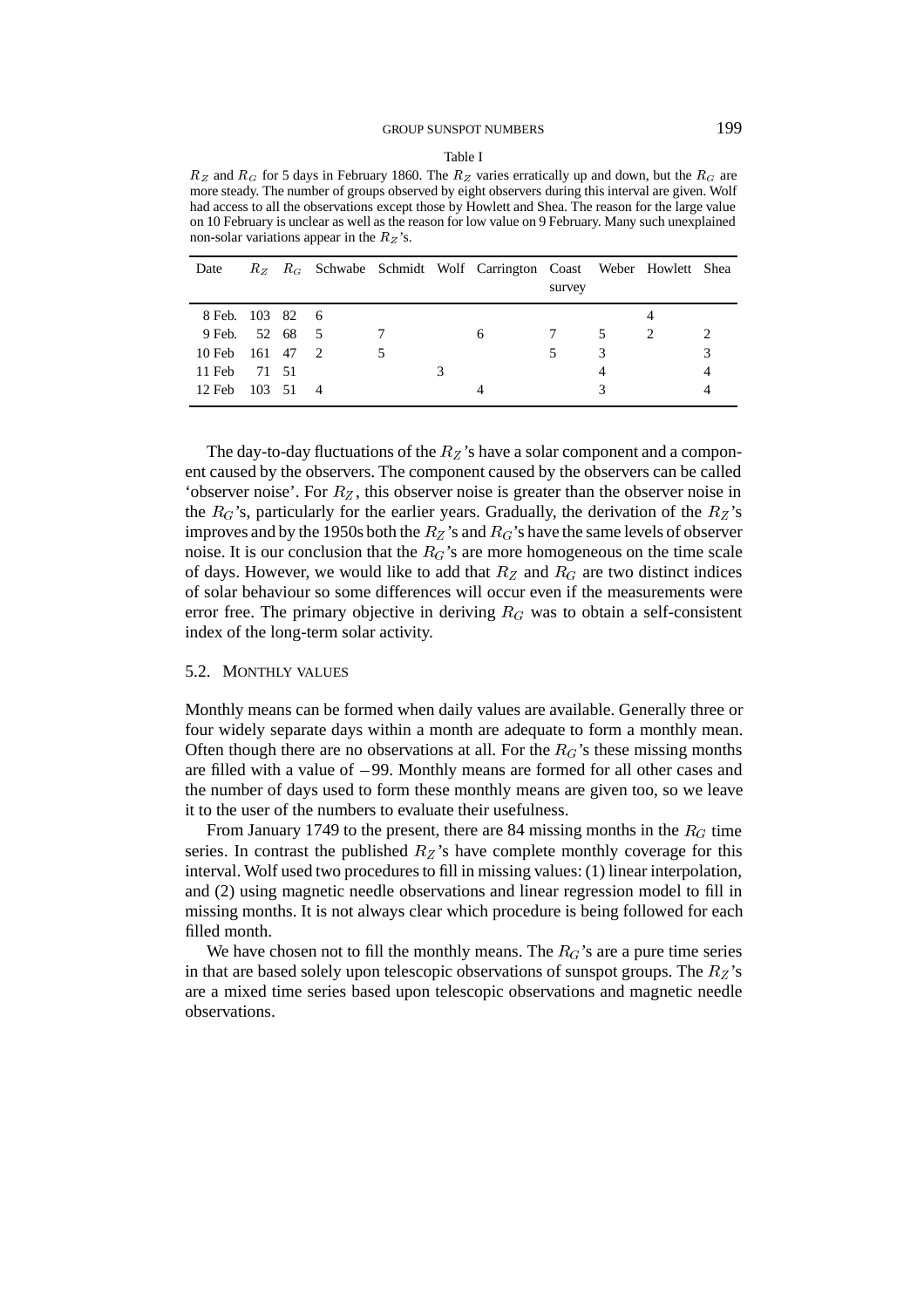$R_Z$  and  $R_G$  for 5 days in February 1860. The  $R_Z$  varies erratically up and down, but the  $R_G$  are more steady. The number of groups observed by eight observers during this interval are given. Wolf had access to all the observations except those by Howlett and Shea. The reason for the large value on 10 February is unclear as well as the reason for low value on 9 February. Many such unexplained non-solar variations appear in the  $R_Z$ 's.

| Date              |          |  |  | Rz R <sub>G</sub> Schwabe Schmidt Wolf Carrington Coast Weber Howlett Shea |        |   |               |   |
|-------------------|----------|--|--|----------------------------------------------------------------------------|--------|---|---------------|---|
|                   |          |  |  |                                                                            | survey |   |               |   |
| 8 Feb. 103 82 6   |          |  |  |                                                                            |        |   |               |   |
| 9 Feb. 52 68 5    |          |  |  | 6                                                                          |        | 5 | $\mathcal{L}$ |   |
| 10 Feb $161$ 47 2 |          |  |  |                                                                            |        |   |               | 3 |
| 11 Feb 71 51      |          |  |  |                                                                            |        |   |               |   |
| 12 Feb            | 103 51 4 |  |  |                                                                            |        |   |               |   |

The day-to-day fluctuations of the  $R_Z$ 's have a solar component and a component caused by the observers. The component caused by the observers can be called 'observer noise'. For  $R_Z$ , this observer noise is greater than the observer noise in the  $R_G$ 's, particularly for the earlier years. Gradually, the derivation of the  $R_Z$ 's improves and by the 1950s both the  $R_Z$ 's and  $R_G$ 's have the same levels of observer noise. It is our conclusion that the  $R_G$ 's are more homogeneous on the time scale of days. However, we would like to add that  $R_Z$  and  $R_G$  are two distinct indices of solar behaviour so some differences will occur even if the measurements were error free. The primary objective in deriving  $R_G$  was to obtain a self-consistent index of the long-term solar activity.

#### 5.2. MONTHLY VALUES

Monthly means can be formed when daily values are available. Generally three or four widely separate days within a month are adequate to form a monthly mean. Often though there are no observations at all. For the  $R<sub>G</sub>$ 's these missing months are filled with a value of  $-99$ . Monthly means are formed for all other cases and the number of days used to form these monthly means are given too, so we leave it to the user of the numbers to evaluate their usefulness.

From January 1749 to the present, there are 84 missing months in the  $R_G$  time series. In contrast the published  $R_Z$ 's have complete monthly coverage for this interval. Wolf used two procedures to fill in missing values: (1) linear interpolation, and (2) using magnetic needle observations and linear regression model to fill in missing months. It is not always clear which procedure is being followed for each filled month.

We have chosen not to fill the monthly means. The  $R_G$ 's are a pure time series in that are based solely upon telescopic observations of sunspot groups. The  $R_Z$ 's are a mixed time series based upon telescopic observations and magnetic needle observations.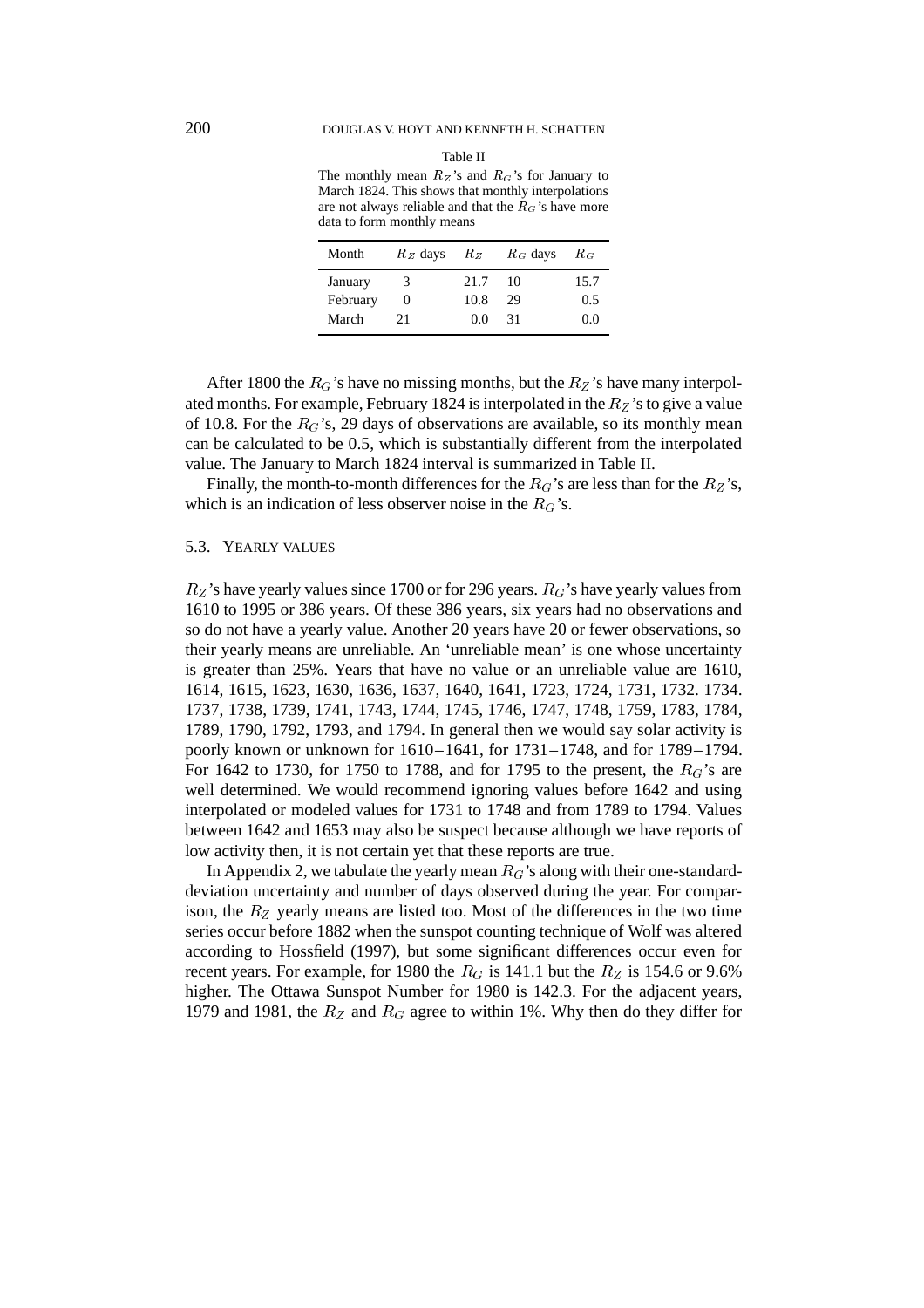| ۱е<br>жΓ<br>۰,<br>v.<br>× |  |
|---------------------------|--|
|---------------------------|--|

The monthly mean  $R_Z$ 's and  $R_G$ 's for January to March 1824. This shows that monthly interpolations are not always reliable and that the  $R_G$ 's have more data to form monthly means

| Month    | $R_Z$ days $R_Z$ |      | $R_G$ days | $R_G$ |
|----------|------------------|------|------------|-------|
| January  | 3                | 21.7 | 10         | 15.7  |
| February |                  | 10.8 | 29         | 0.5   |
| March    | 21               | 0.0  | -31        | 0.0   |

After 1800 the  $R_G$ 's have no missing months, but the  $R_Z$ 's have many interpolated months. For example, February 1824 is interpolated in the  $R_Z$ 's to give a value of 10.8. For the  $R_G$ 's, 29 days of observations are available, so its monthly mean can be calculated to be 0.5, which is substantially different from the interpolated value. The January to March 1824 interval is summarized in Table II.

Finally, the month-to-month differences for the  $R_G$ 's are less than for the  $R_Z$ 's, which is an indication of less observer noise in the  $R_G$ 's.

#### 5.3. YEARLY VALUES

 $R_Z$ 's have yearly values since 1700 or for 296 years.  $R_G$ 's have yearly values from 1610 to 1995 or 386 years. Of these 386 years, six years had no observations and so do not have a yearly value. Another 20 years have 20 or fewer observations, so their yearly means are unreliable. An 'unreliable mean' is one whose uncertainty is greater than 25%. Years that have no value or an unreliable value are 1610, 1614, 1615, 1623, 1630, 1636, 1637, 1640, 1641, 1723, 1724, 1731, 1732. 1734. 1737, 1738, 1739, 1741, 1743, 1744, 1745, 1746, 1747, 1748, 1759, 1783, 1784, 1789, 1790, 1792, 1793, and 1794. In general then we would say solar activity is poorly known or unknown for 1610–1641, for 1731–1748, and for 1789–1794. For 1642 to 1730, for 1750 to 1788, and for 1795 to the present, the  $R_G$ 's are well determined. We would recommend ignoring values before 1642 and using interpolated or modeled values for 1731 to 1748 and from 1789 to 1794. Values between 1642 and 1653 may also be suspect because although we have reports of low activity then, it is not certain yet that these reports are true.

In Appendix 2, we tabulate the yearly mean  $R_G$ 's along with their one-standarddeviation uncertainty and number of days observed during the year. For comparison, the  $R_Z$  yearly means are listed too. Most of the differences in the two time series occur before 1882 when the sunspot counting technique of Wolf was altered according to Hossfield (1997), but some significant differences occur even for recent years. For example, for 1980 the  $R_G$  is 141.1 but the  $R_Z$  is 154.6 or 9.6% higher. The Ottawa Sunspot Number for 1980 is 142.3. For the adjacent years, 1979 and 1981, the  $R_Z$  and  $R_G$  agree to within 1%. Why then do they differ for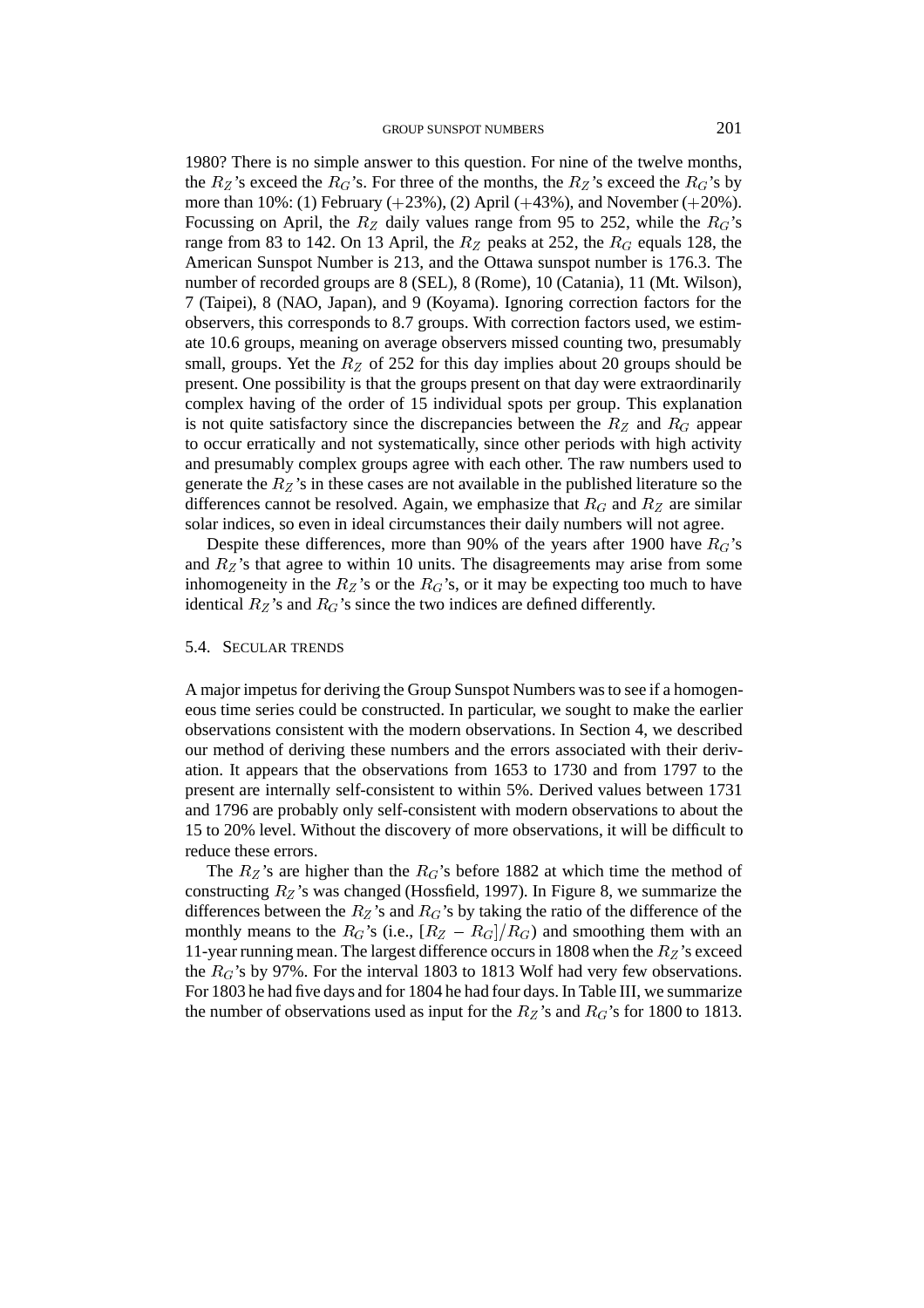1980? There is no simple answer to this question. For nine of the twelve months, the  $R_Z$ 's exceed the  $R_G$ 's. For three of the months, the  $R_Z$ 's exceed the  $R_G$ 's by more than  $10\%$ : (1) February (+23%), (2) April (+43%), and November (+20%). Focussing on April, the  $R_Z$  daily values range from 95 to 252, while the  $R_G$ 's range from 83 to 142. On 13 April, the  $R_Z$  peaks at 252, the  $R_G$  equals 128, the American Sunspot Number is 213, and the Ottawa sunspot number is 176.3. The number of recorded groups are 8 (SEL), 8 (Rome), 10 (Catania), 11 (Mt. Wilson), 7 (Taipei), 8 (NAO, Japan), and 9 (Koyama). Ignoring correction factors for the observers, this corresponds to 8.7 groups. With correction factors used, we estimate 10.6 groups, meaning on average observers missed counting two, presumably small, groups. Yet the  $R_Z$  of 252 for this day implies about 20 groups should be present. One possibility is that the groups present on that day were extraordinarily complex having of the order of 15 individual spots per group. This explanation is not quite satisfactory since the discrepancies between the  $R_Z$  and  $R_G$  appear to occur erratically and not systematically, since other periods with high activity and presumably complex groups agree with each other. The raw numbers used to generate the  $R_Z$ 's in these cases are not available in the published literature so the differences cannot be resolved. Again, we emphasize that  $R_G$  and  $R_Z$  are similar solar indices, so even in ideal circumstances their daily numbers will not agree.

Despite these differences, more than 90% of the years after 1900 have  $R_G$ 's and  $R_Z$ 's that agree to within 10 units. The disagreements may arise from some inhomogeneity in the  $R_Z$ 's or the  $R_G$ 's, or it may be expecting too much to have identical  $R_Z$ 's and  $R_G$ 's since the two indices are defined differently.

### 5.4. SECULAR TRENDS

A major impetus for deriving the Group Sunspot Numbers was to see if a homogeneous time series could be constructed. In particular, we sought to make the earlier observations consistent with the modern observations. In Section 4, we described our method of deriving these numbers and the errors associated with their derivation. It appears that the observations from 1653 to 1730 and from 1797 to the present are internally self-consistent to within 5%. Derived values between 1731 and 1796 are probably only self-consistent with modern observations to about the 15 to 20% level. Without the discovery of more observations, it will be difficult to reduce these errors.

The  $R_Z$ 's are higher than the  $R_G$ 's before 1882 at which time the method of constructing  $R_Z$ 's was changed (Hossfield, 1997). In Figure 8, we summarize the differences between the  $R_Z$ 's and  $R_G$ 's by taking the ratio of the difference of the monthly means to the  $R_G$ 's (i.e.,  $[\overline{R}_Z - R_G]/\overline{R}_G$ ) and smoothing them with an 11-year running mean. The largest difference occurs in 1808 when the  $R_Z$ 's exceed the  $R_G$ 's by 97%. For the interval 1803 to 1813 Wolf had very few observations. For 1803 he had five days and for 1804 he had four days. In Table III, we summarize the number of observations used as input for the  $R_Z$ 's and  $R_G$ 's for 1800 to 1813.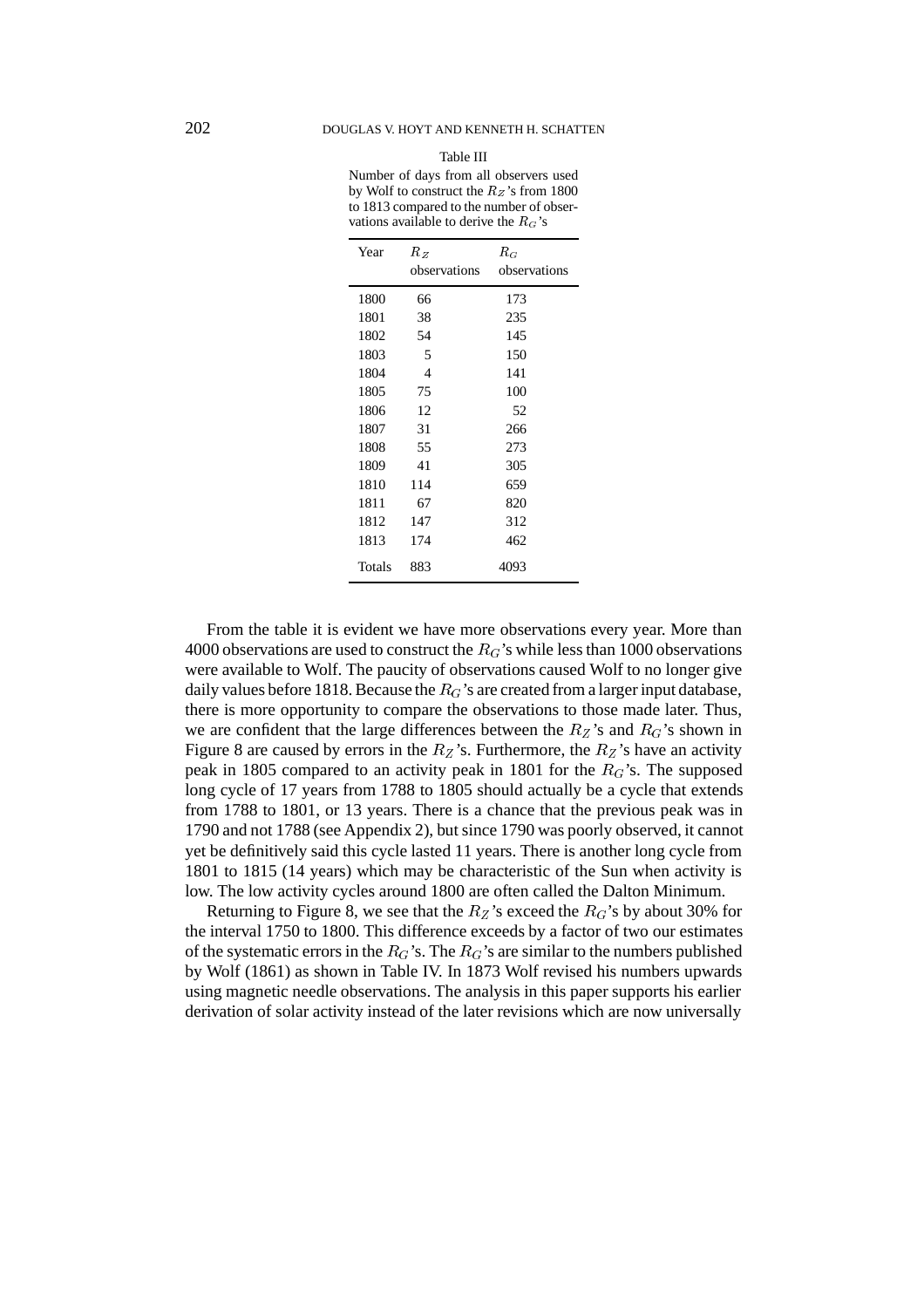#### Table III

| Number of days from all observers used          |  |
|-------------------------------------------------|--|
| by Wolf to construct the $R_Z$ 's from 1800     |  |
| to 1813 compared to the number of obser-        |  |
| vations available to derive the $R_{\alpha}$ 's |  |

| Year   | Rz<br>observations | $R_{G}$<br>observations |
|--------|--------------------|-------------------------|
|        |                    |                         |
| 1800   | 66                 | 173                     |
| 1801   | 38                 | 235                     |
| 1802   | 54                 | 145                     |
| 1803   | 5                  | 150                     |
| 1804   | $\overline{4}$     | 141                     |
| 1805   | 75                 | 100                     |
| 1806   | 12                 | 52                      |
| 1807   | 31                 | 266                     |
| 1808   | 55                 | 273                     |
| 1809   | 41                 | 305                     |
| 1810   | 114                | 659                     |
| 1811   | 67                 | 820                     |
| 1812   | 147                | 312                     |
| 1813   | 174                | 462                     |
| Totals | 883                | 4093                    |

From the table it is evident we have more observations every year. More than 4000 observations are used to construct the  $R_G$ 's while less than 1000 observations were available to Wolf. The paucity of observations caused Wolf to no longer give daily values before 1818. Because the  $R_G$ 's are created from a larger input database, there is more opportunity to compare the observations to those made later. Thus, we are confident that the large differences between the  $R_Z$ 's and  $R_G$ 's shown in Figure 8 are caused by errors in the  $R_Z$ 's. Furthermore, the  $R_Z$ 's have an activity peak in 1805 compared to an activity peak in 1801 for the  $R_G$ 's. The supposed long cycle of 17 years from 1788 to 1805 should actually be a cycle that extends from 1788 to 1801, or 13 years. There is a chance that the previous peak was in 1790 and not 1788 (see Appendix 2), but since 1790 was poorly observed, it cannot yet be definitively said this cycle lasted 11 years. There is another long cycle from 1801 to 1815 (14 years) which may be characteristic of the Sun when activity is low. The low activity cycles around 1800 are often called the Dalton Minimum.

Returning to Figure 8, we see that the  $R_Z$ 's exceed the  $R_G$ 's by about 30% for the interval 1750 to 1800. This difference exceeds by a factor of two our estimates of the systematic errors in the  $R_G$ 's. The  $R_G$ 's are similar to the numbers published by Wolf (1861) as shown in Table IV. In 1873 Wolf revised his numbers upwards using magnetic needle observations. The analysis in this paper supports his earlier derivation of solar activity instead of the later revisions which are now universally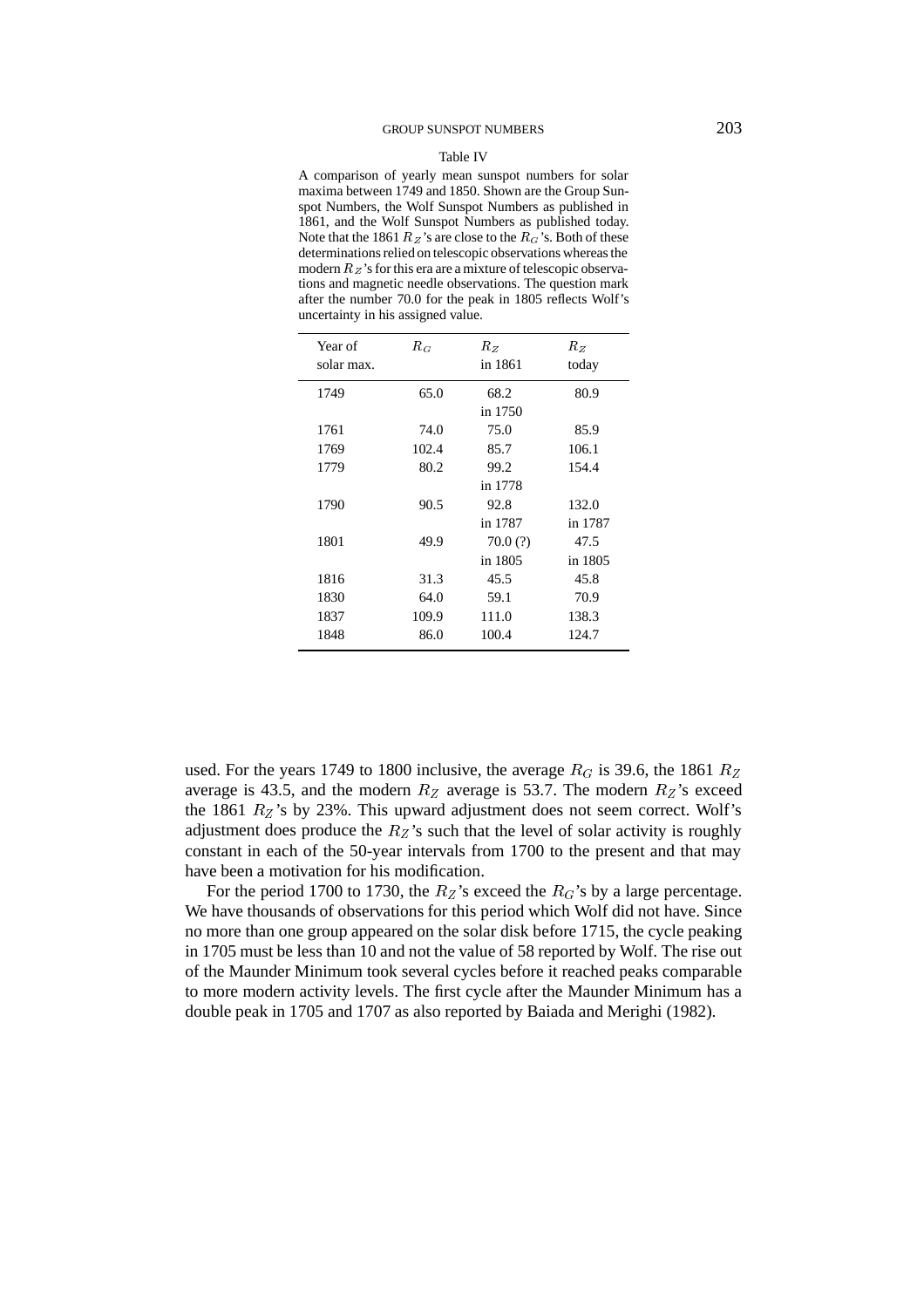#### Table IV

A comparison of yearly mean sunspot numbers for solar maxima between 1749 and 1850. Shown are the Group Sunspot Numbers, the Wolf Sunspot Numbers as published in 1861, and the Wolf Sunspot Numbers as published today. Note that the 1861  $R_Z$ 's are close to the  $R_G$ 's. Both of these determinations relied on telescopic observations whereas the modern  $R_Z$ 's for this era are a mixture of telescopic observations and magnetic needle observations. The question mark after the number 70.0 for the peak in 1805 reflects Wolf's uncertainty in his assigned value.

| Year of<br>solar max. | $\mathcal{R}_{G}$ | Rz<br>in 1861 | Rz<br>today |
|-----------------------|-------------------|---------------|-------------|
| 1749                  | 65.0              | 68.2          | 80.9        |
|                       |                   | in 1750       |             |
| 1761                  | 74.0              | 75.0          | 85.9        |
| 1769                  | 102.4             | 85.7          | 106.1       |
| 1779                  | 80.2              | 99.2          | 154.4       |
|                       |                   | in 1778       |             |
| 1790                  | 90.5              | 92.8          | 132.0       |
|                       |                   | in 1787       | in 1787     |
| 1801                  | 49.9              | 70.0 (?)      | 47.5        |
|                       |                   | in 1805       | in 1805     |
| 1816                  | 31.3              | 45.5          | 45.8        |
| 1830                  | 64.0              | 59.1          | 70.9        |
| 1837                  | 109.9             | 111.0         | 138.3       |
| 1848                  | 86.0              | 100.4         | 124.7       |

used. For the years 1749 to 1800 inclusive, the average  $R_G$  is 39.6, the 1861  $R_Z$ average is 43.5, and the modern  $R_Z$  average is 53.7. The modern  $R_Z$ 's exceed the 1861  $R_Z$ 's by 23%. This upward adjustment does not seem correct. Wolf's adjustment does produce the  $R_Z$ 's such that the level of solar activity is roughly constant in each of the 50-year intervals from 1700 to the present and that may have been a motivation for his modification.

For the period 1700 to 1730, the  $R_Z$ 's exceed the  $R_G$ 's by a large percentage. We have thousands of observations for this period which Wolf did not have. Since no more than one group appeared on the solar disk before 1715, the cycle peaking in 1705 must be less than 10 and not the value of 58 reported by Wolf. The rise out of the Maunder Minimum took several cycles before it reached peaks comparable to more modern activity levels. The first cycle after the Maunder Minimum has a double peak in 1705 and 1707 as also reported by Baiada and Merighi (1982).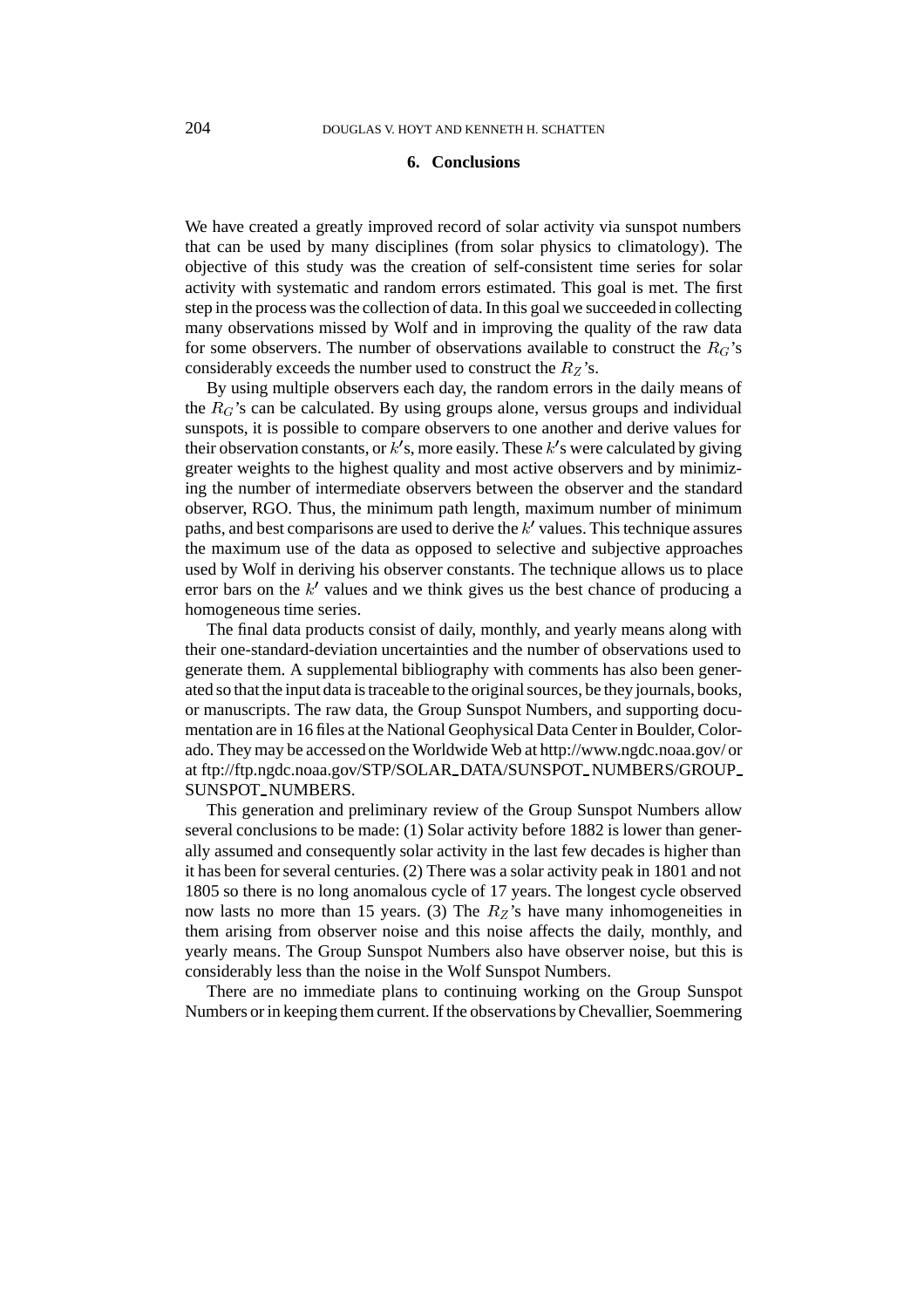### **6. Conclusions**

We have created a greatly improved record of solar activity via sunspot numbers that can be used by many disciplines (from solar physics to climatology). The objective of this study was the creation of self-consistent time series for solar activity with systematic and random errors estimated. This goal is met. The first step in the process was the collection of data. In this goal we succeeded in collecting many observations missed by Wolf and in improving the quality of the raw data for some observers. The number of observations available to construct the  $R_G$ 's considerably exceeds the number used to construct the  $R_Z$ 's.

By using multiple observers each day, the random errors in the daily means of the  $R_G$ 's can be calculated. By using groups alone, versus groups and individual sunspots, it is possible to compare observers to one another and derive values for their observation constants, or  $k$ 's, more easily. These  $k$ 's were calculated by giving greater weights to the highest quality and most active observers and by minimizing the number of intermediate observers between the observer and the standard observer, RGO. Thus, the minimum path length, maximum number of minimum paths, and best comparisons are used to derive the  $k'$  values. This technique assures the maximum use of the data as opposed to selective and subjective approaches used by Wolf in deriving his observer constants. The technique allows us to place error bars on the  $k'$  values and we think gives us the best chance of producing a homogeneous time series.

The final data products consist of daily, monthly, and yearly means along with their one-standard-deviation uncertainties and the number of observations used to generate them. A supplemental bibliography with comments has also been generated so that the input data is traceable to the original sources, be they journals, books, or manuscripts. The raw data, the Group Sunspot Numbers, and supporting documentation are in 16 files at the National Geophysical Data Center in Boulder, Colorado. They may be accessed on the Worldwide Web at http://www.ngdc.noaa.gov/ or at ftp://ftp.ngdc.noaa.gov/STP/SOLAR\_DATA/SUNSPOT\_NUMBERS/GROUP\_ SUNSPOT\_NUMBERS.

This generation and preliminary review of the Group Sunspot Numbers allow several conclusions to be made: (1) Solar activity before 1882 is lower than generally assumed and consequently solar activity in the last few decades is higher than it has been for several centuries. (2) There was a solar activity peak in 1801 and not 1805 so there is no long anomalous cycle of 17 years. The longest cycle observed now lasts no more than 15 years. (3) The  $R_Z$ 's have many inhomogeneities in them arising from observer noise and this noise affects the daily, monthly, and yearly means. The Group Sunspot Numbers also have observer noise, but this is considerably less than the noise in the Wolf Sunspot Numbers.

There are no immediate plans to continuing working on the Group Sunspot Numbers or in keeping them current. If the observations by Chevallier, Soemmering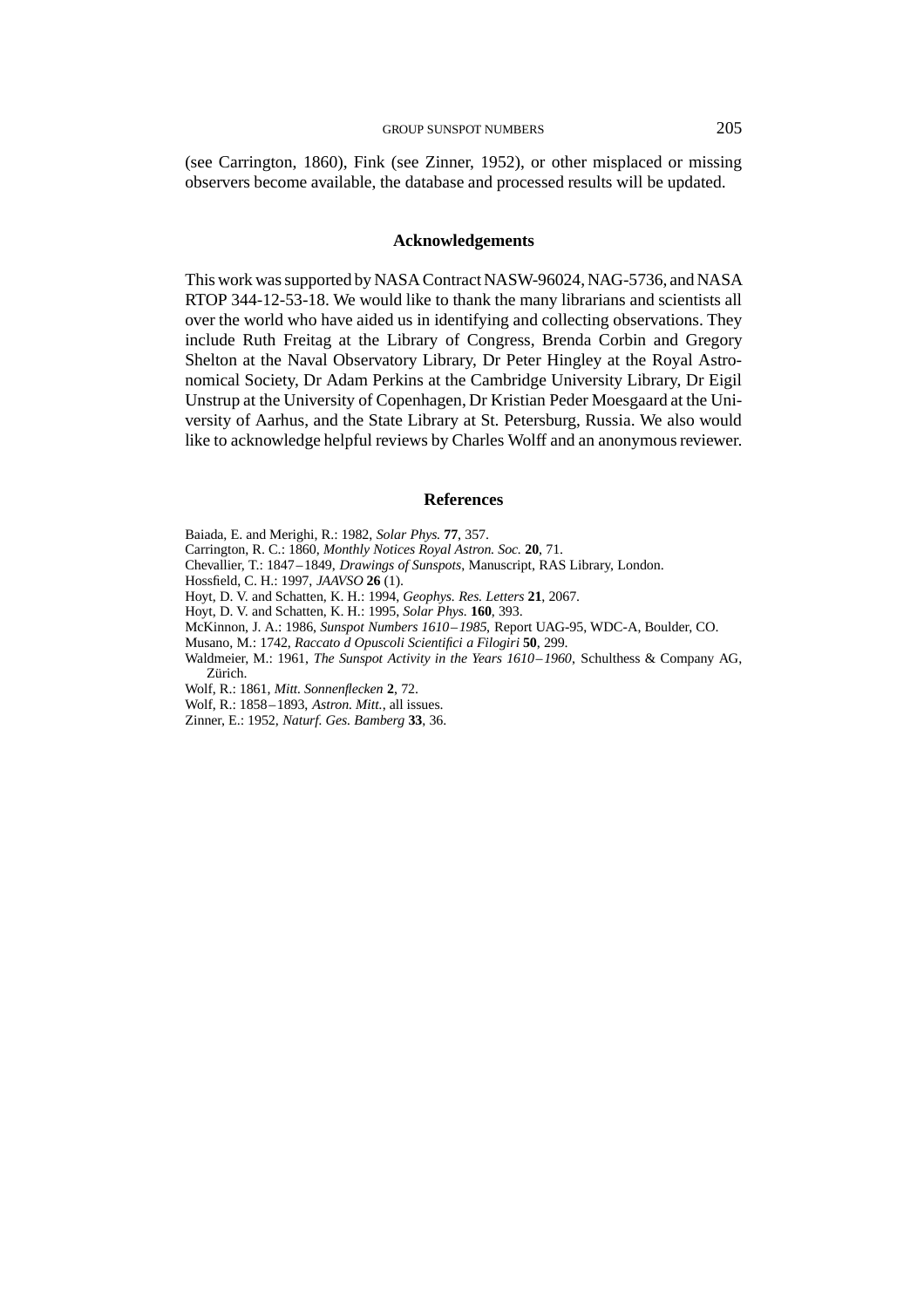(see Carrington, 1860), Fink (see Zinner, 1952), or other misplaced or missing observers become available, the database and processed results will be updated.

#### **Acknowledgements**

This work was supported by NASA Contract NASW-96024, NAG-5736, and NASA RTOP 344-12-53-18. We would like to thank the many librarians and scientists all over the world who have aided us in identifying and collecting observations. They include Ruth Freitag at the Library of Congress, Brenda Corbin and Gregory Shelton at the Naval Observatory Library, Dr Peter Hingley at the Royal Astronomical Society, Dr Adam Perkins at the Cambridge University Library, Dr Eigil Unstrup at the University of Copenhagen, Dr Kristian Peder Moesgaard at the University of Aarhus, and the State Library at St. Petersburg, Russia. We also would like to acknowledge helpful reviews by Charles Wolff and an anonymous reviewer.

#### **References**

Baiada, E. and Merighi, R.: 1982, *Solar Phys.* **77**, 357.

Carrington, R. C.: 1860, *Monthly Notices Royal Astron. Soc.* **20**, 71.

- Chevallier, T.: 1847–1849, *Drawings of Sunspots*, Manuscript, RAS Library, London.
- Hossfield, C. H.: 1997, *JAAVSO* **26** (1).
- Hoyt, D. V. and Schatten, K. H.: 1994, *Geophys. Res. Letters* **21**, 2067.
- Hoyt, D. V. and Schatten, K. H.: 1995, *Solar Phys.* **160**, 393.
- McKinnon, J. A.: 1986, *Sunspot Numbers 1610–1985*, Report UAG-95, WDC-A, Boulder, CO.
- Musano, M.: 1742, *Raccato d Opuscoli Scientifici a Filogiri* **50**, 299.
- Waldmeier, M.: 1961, *The Sunspot Activity in the Years 1610–1960*, Schulthess & Company AG, Zürich.
- Wolf, R.: 1861, *Mitt. Sonnenflecken* **2**, 72.
- Wolf, R.: 1858–1893, *Astron. Mitt.*, all issues.
- Zinner, E.: 1952, *Naturf. Ges. Bamberg* **33**, 36.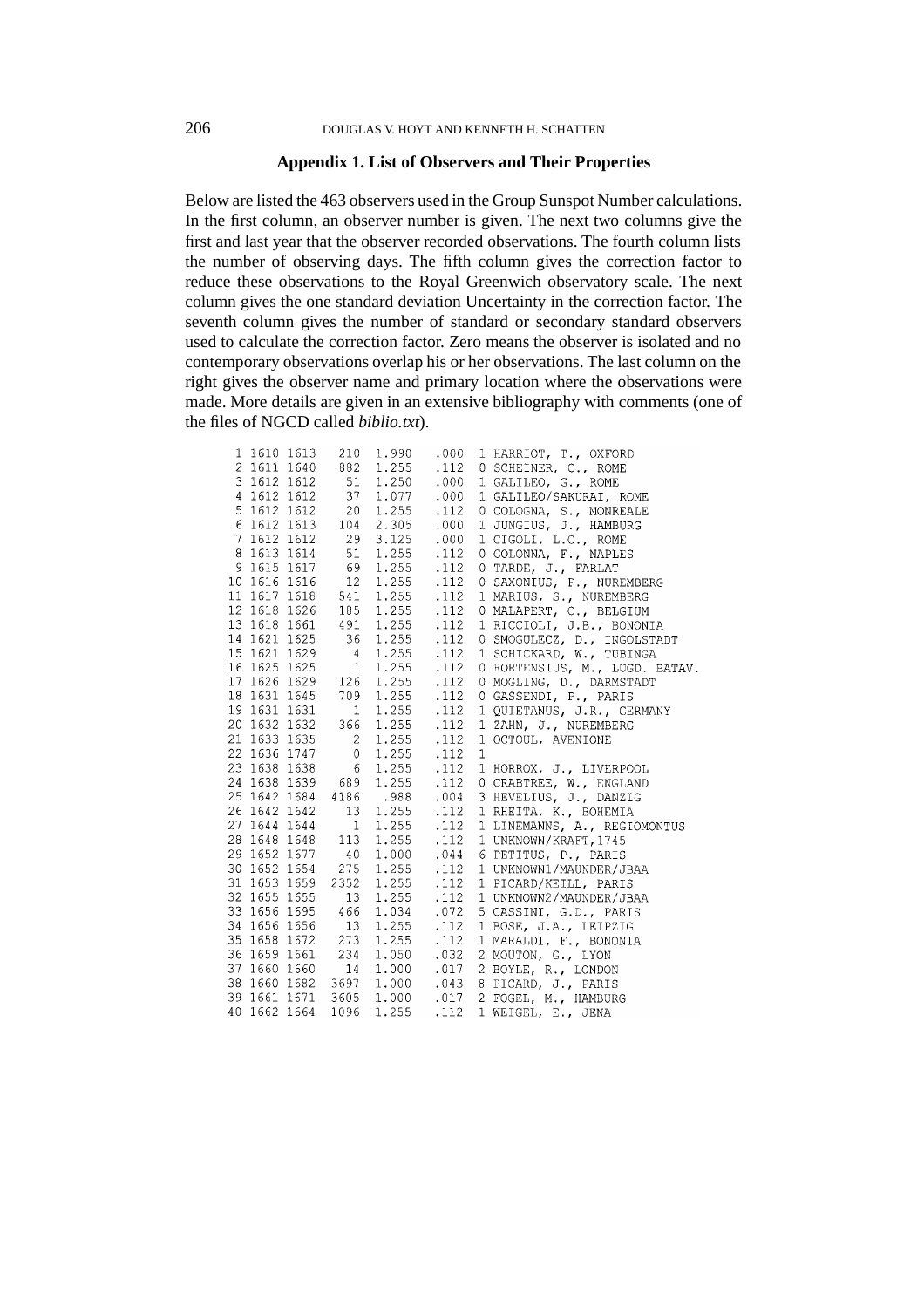### **Appendix 1. List of Observers and Their Properties**

Below are listed the 463 observers used in the Group Sunspot Number calculations. In the first column, an observer number is given. The next two columns give the first and last year that the observer recorded observations. The fourth column lists the number of observing days. The fifth column gives the correction factor to reduce these observations to the Royal Greenwich observatory scale. The next column gives the one standard deviation Uncertainty in the correction factor. The seventh column gives the number of standard or secondary standard observers used to calculate the correction factor. Zero means the observer is isolated and no contemporary observations overlap his or her observations. The last column on the right gives the observer name and primary location where the observations were made. More details are given in an extensive bibliography with comments (one of the files of NGCD called *biblio.txt*).

|  | 1 1610 1613  |                                                         | 210 1.990                                                       | .000                                                                          |              | 1 HARRIOT, T., OXFORD         |
|--|--------------|---------------------------------------------------------|-----------------------------------------------------------------|-------------------------------------------------------------------------------|--------------|-------------------------------|
|  |              |                                                         | 2 1611 1640 882 1.255 .112                                      |                                                                               |              | 0 SCHEINER, C., ROME          |
|  |              |                                                         | 3 1612 1612 51 1.250 .000                                       |                                                                               |              | 1 GALILEO, G., ROME           |
|  |              | 4 1612 1612 37                                          |                                                                 | 1.077 .000                                                                    |              | 1 GALILEO/SAKURAI, ROME       |
|  |              | 5 1612 1612 20                                          | 1.255                                                           | .112                                                                          |              | 0 COLOGNA, S., MONREALE       |
|  |              |                                                         | 6 1612 1613 104 2.305                                           | .000                                                                          |              | 1 JUNGIUS, J., HAMBURG        |
|  |              |                                                         | 7 1612 1612 29 3.125                                            | .000                                                                          |              | 1 CIGOLI, L.C., ROME          |
|  |              |                                                         | 1.255                                                           | .112                                                                          |              | 0 COLONNA, F., NAPLES         |
|  |              | 8 1613 1614 51<br>9 1615 1617 69                        |                                                                 | .112                                                                          |              | 0 TARDE, J., FARLAT           |
|  |              | 10 1616 1616 12                                         | $\begin{array}{l} \textbf{1.255} \\ \textbf{1.255} \end{array}$ | .112                                                                          |              | 0 SAXONIUS, P., NUREMBERG     |
|  |              | 11 1617 1618 541                                        |                                                                 | 1.255 .112                                                                    |              | 1 MARIUS, S., NUREMBERG       |
|  |              | 12 1618 1626 185                                        |                                                                 | $1.255$ .112                                                                  |              | 0 MALAPERT, C., BELGIUM       |
|  |              |                                                         |                                                                 | 13 1618 1661 491 1.255 .112                                                   |              | 1 RICCIOLI, J.B., BONONIA     |
|  |              | 14 1621 1625 36                                         |                                                                 | $1.255$ .112                                                                  |              | 0 SMOGULECZ, D., INGOLSTADT   |
|  |              | $15$ 1621 1629 4                                        |                                                                 | $1.255$ . 112                                                                 |              | 1 SCHICKARD, W., TUBINGA      |
|  |              | 16 1625 1625 1<br>17 1626 1629 126<br>18 1631 1645 709  |                                                                 | $\begin{array}{cc} 1.255 & .112 \\ 1.255 & .112 \\ 1.255 & .112 \end{array}$  |              | 0 HORTENSIUS, M., LUGD. BATAV |
|  |              |                                                         |                                                                 |                                                                               |              | 0 MOGLING, D., DARMSTADT      |
|  |              |                                                         |                                                                 |                                                                               |              | 0 GASSENDI, P., PARIS         |
|  |              | 19 1631 1631 1                                          |                                                                 | $1.255$ .112                                                                  |              | 1 QUIETANUS, J.R., GERMANY    |
|  |              | 20 1632 1632 366                                        |                                                                 | $1.255$ .112                                                                  |              | 1 ZAHN, J., NUREMBERG         |
|  |              | 21 1633 1635 2                                          |                                                                 | 1.255 .112                                                                    |              | 1 OCTOUL, AVENIONE            |
|  |              | 22 1636 1747 0                                          |                                                                 | 1.255 .112                                                                    | $\mathbf{1}$ |                               |
|  |              | 23 1638 1638 6                                          |                                                                 | 1.255 .112                                                                    |              | 1 HORROX, J., LIVERPOOL       |
|  |              | 24 1638 1639 689                                        | 1.255                                                           | .112                                                                          |              | 0 CRABTREE, W., ENGLAND       |
|  |              | 25 1642 1684 4186                                       |                                                                 | .004                                                                          |              | 3 HEVELIUS, J., DANZIG        |
|  |              | 26 1642 1642 13<br>27 1644 1644 1                       | $.988$<br>$1.255$<br>$1.255$<br>$1.255$                         | .112                                                                          |              | 1 RHEITA, K., BOHEMIA         |
|  |              |                                                         |                                                                 | .112                                                                          |              | 1 LINEMANNS, A., REGIOMONTUS  |
|  |              | 28 1648 1648 113                                        |                                                                 | .112                                                                          |              | 1 UNKNOWN/KRAFT, 1745         |
|  |              | 29 1652 1677 40                                         |                                                                 | 1.000 .044                                                                    |              | 6 PETITUS, P., PARIS          |
|  |              |                                                         | 30 1652 1654 275 1.255 .112                                     |                                                                               |              | 1 UNKNOWN1/MAUNDER/JBAA       |
|  |              | 31 1653 1659 2352                                       |                                                                 | $1.255$ .112                                                                  |              | 1 PICARD/KEILL, PARIS         |
|  |              | 32 1655 1655 13                                         |                                                                 | 1.255 .112                                                                    |              | 1 UNKNOWN2/MAUNDER/JBAA       |
|  |              | 33 1656 1695 466<br>34 1656 1656 13<br>35 1658 1672 273 |                                                                 | 1.034 .072                                                                    |              | 5 CASSINI, G.D., PARIS        |
|  |              |                                                         |                                                                 |                                                                               |              | 1 BOSE, J.A., LEIPZIG         |
|  |              |                                                         |                                                                 | $\begin{array}{ccc} 1.255 & .112 \\ 1.255 & .112 \\ 1.050 & .032 \end{array}$ |              | 1 MARALDI, F., BONONIA        |
|  |              | $36$ 1659 1661 234                                      |                                                                 |                                                                               |              | 2 MOUTON, G., LYON            |
|  | 37 1660 1660 | 14                                                      |                                                                 | 1.000 .017                                                                    |              | 2 BOYLE, R., LONDON           |
|  |              |                                                         | 38 1660 1682 3697 1.000 .043                                    |                                                                               |              | 8 PICARD, J., PARIS           |
|  |              |                                                         |                                                                 | 39 1661 1671 3605 1.000 .017                                                  |              | 2 FOGEL, M., HAMBURG          |
|  |              |                                                         |                                                                 | 40 1662 1664 1096 1.255 .112                                                  |              | 1 WEIGEL, E., JENA            |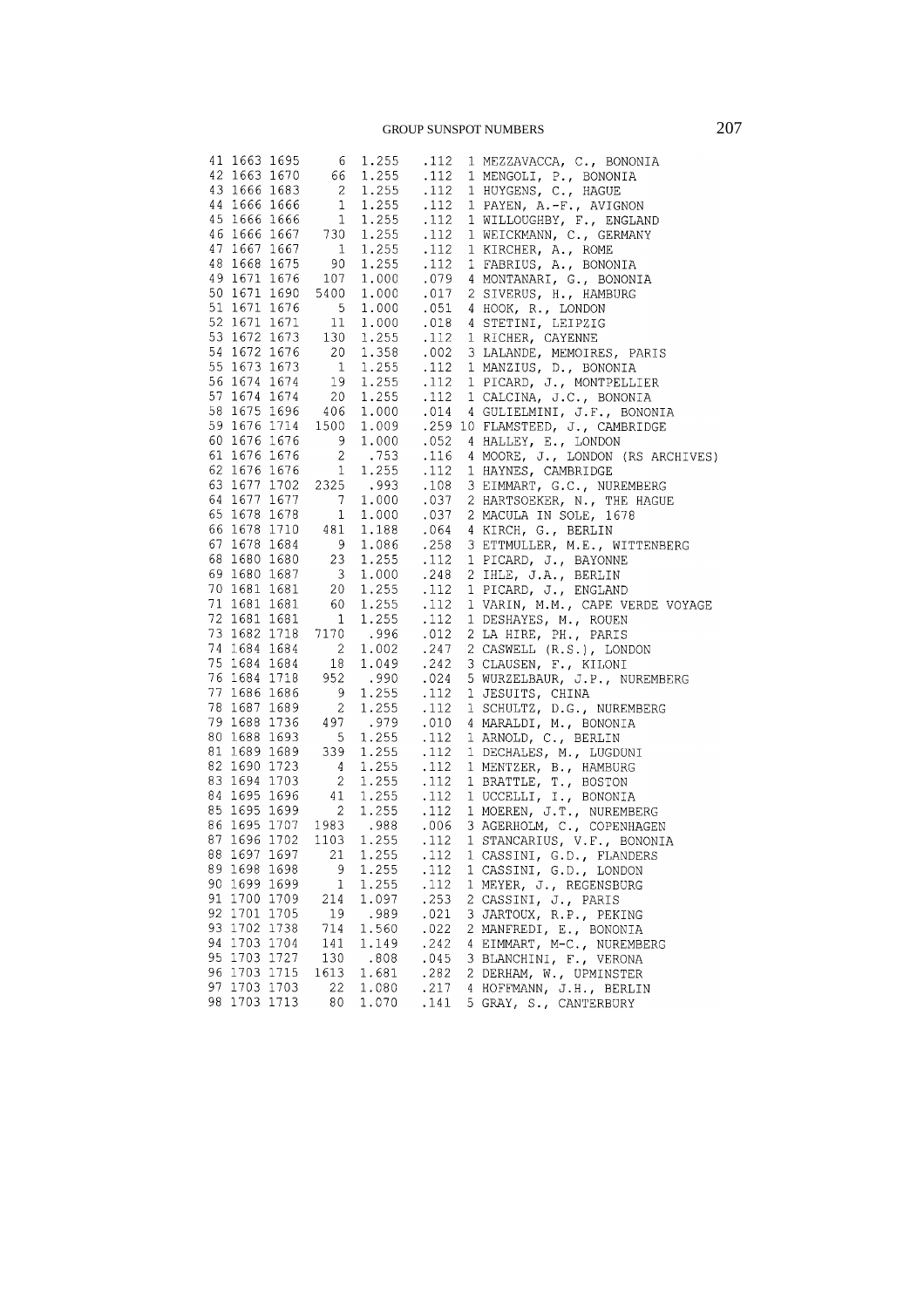|    |              |              | 41 1663 1695 6                                                                                                                                                                                                                                           | 1.255                                                                                                             | .112 | 1 MEZZAVACCA, C., BONONIA                                                                                                                                                                                                                 |
|----|--------------|--------------|----------------------------------------------------------------------------------------------------------------------------------------------------------------------------------------------------------------------------------------------------------|-------------------------------------------------------------------------------------------------------------------|------|-------------------------------------------------------------------------------------------------------------------------------------------------------------------------------------------------------------------------------------------|
|    |              |              | 42 1663 1670 66<br>43 1666 1683 2                                                                                                                                                                                                                        | $\begin{array}{cccc} 1.255 & .112 \\ 1.255 & .112 \end{array}$                                                    |      | 1 MENGOLI, P., BONONIA                                                                                                                                                                                                                    |
|    |              |              |                                                                                                                                                                                                                                                          |                                                                                                                   |      | 1 HUYGENS, C., HAGUE                                                                                                                                                                                                                      |
|    |              |              |                                                                                                                                                                                                                                                          | $1.255$ .112                                                                                                      |      | 1 PAYEN, A.-F., AVIGNON                                                                                                                                                                                                                   |
|    |              |              |                                                                                                                                                                                                                                                          |                                                                                                                   |      | 1 WILLOUGHBY, F., ENGLAND                                                                                                                                                                                                                 |
|    |              |              | 44 1666 1666 1<br>45 1666 1666 1<br>46 1666 1667 730                                                                                                                                                                                                     | $1.255$ .112<br>1.255 .112                                                                                        |      | 1 WEICKMANN, C., GERMANY                                                                                                                                                                                                                  |
|    | 47 1667 1667 |              | $\begin{array}{c} 1 \\ 90 \end{array}$                                                                                                                                                                                                                   | $1.255$<br>$1.255$                                                                                                | .112 | 1 KIRCHER, A., ROME                                                                                                                                                                                                                       |
|    |              | 48 1668 1675 |                                                                                                                                                                                                                                                          |                                                                                                                   | .112 | 1 FABRIUS, A., BONONIA                                                                                                                                                                                                                    |
|    | 49 1671 1676 |              | 107                                                                                                                                                                                                                                                      | $\begin{array}{cc} 1.000 & .079 \\ 1.000 & .017 \end{array}$                                                      |      | 4 MONTANARI, G., BONONIA                                                                                                                                                                                                                  |
|    |              | 50 1671 1690 | 5400                                                                                                                                                                                                                                                     |                                                                                                                   |      | 2 SIVERUS, H., HAMBURG                                                                                                                                                                                                                    |
|    |              | 51 1671 1676 | $\overline{5}$                                                                                                                                                                                                                                           | 1.000                                                                                                             | .051 | 4 HOOK, R., LONDON                                                                                                                                                                                                                        |
|    |              |              |                                                                                                                                                                                                                                                          | 1.000                                                                                                             | .018 | 4 STETINI, LEIPZIG                                                                                                                                                                                                                        |
|    |              |              | $\begin{array}{rrrr} 52 & 1671 & 1671 & & 11 \\ 53 & 1672 & 1673 & & 130 \end{array}$                                                                                                                                                                    | 1.000<br>1.255                                                                                                    | .112 | 1 RICHER, CAYENNE                                                                                                                                                                                                                         |
|    |              |              | 54 1672 1676 20<br>55 1673 1673 1                                                                                                                                                                                                                        | $\begin{array}{rrrr} 1.255 & .002 \\ 1.358 & .002 \\ 1.255 & .112 \\ 1.255 & .112 \\ 1.000 & .014 \\ \end{array}$ |      | 3 LALANDE, MEMOIRES, PARIS                                                                                                                                                                                                                |
|    |              |              |                                                                                                                                                                                                                                                          |                                                                                                                   |      | 1 MANZIUS, D., BONONIA                                                                                                                                                                                                                    |
|    |              |              | 56 1674 1674 19                                                                                                                                                                                                                                          |                                                                                                                   |      | 1 PICARD, J., MONTPELLIER                                                                                                                                                                                                                 |
|    |              |              | 57 1674 1674 20<br>58 1675 1696 406                                                                                                                                                                                                                      |                                                                                                                   |      | 1 CALCINA, J.C., BONONIA                                                                                                                                                                                                                  |
|    |              |              |                                                                                                                                                                                                                                                          |                                                                                                                   |      | 4 GULIELMINI, J.F., BONONIA                                                                                                                                                                                                               |
|    |              | 59 1676 1714 | 1500                                                                                                                                                                                                                                                     |                                                                                                                   |      |                                                                                                                                                                                                                                           |
|    |              | 60 1676 1676 | $\overline{\phantom{a}}$ 9                                                                                                                                                                                                                               |                                                                                                                   |      |                                                                                                                                                                                                                                           |
|    | 61 1676 1676 |              | $\overline{\phantom{a}}$                                                                                                                                                                                                                                 |                                                                                                                   |      | 1.009 .259 10 FLAMSTEED, J., CAMBRIDGE<br>1.000 .052 4 HALLEY, E., LONDON<br>753 .116 4 MOORE, J., LONDON (RS ARG)<br>1.255 .112 1 HAYNES, CAMBRIDGE<br>993 .108 3 EIMMART, G.C., NUREMBERG<br>4 MOORE, J., LONDON (RS ARCHIVES)          |
|    |              | 62 1676 1676 | $\sim$ 1                                                                                                                                                                                                                                                 |                                                                                                                   |      |                                                                                                                                                                                                                                           |
|    |              |              | 63 1677 1702 2325                                                                                                                                                                                                                                        |                                                                                                                   |      |                                                                                                                                                                                                                                           |
|    |              |              | 64 1677 1677 7<br>65 1678 1678 1                                                                                                                                                                                                                         | $1.000$ .037<br>1.000 .037                                                                                        |      | 2 HARTSOEKER, N., THE HAGUE                                                                                                                                                                                                               |
|    |              |              |                                                                                                                                                                                                                                                          |                                                                                                                   |      | 2 MACULA IN SOLE, 1678                                                                                                                                                                                                                    |
|    |              |              | 66 1678 1710 481<br>67 1678 1684 9<br>68 1680 1680 23                                                                                                                                                                                                    | $\begin{array}{llll} 1.188 & .064 \\ 1.086 & .258 \\ 1.255 & .112 \end{array}$                                    |      | 4 KIRCH, G., BERLIN                                                                                                                                                                                                                       |
|    |              |              |                                                                                                                                                                                                                                                          |                                                                                                                   |      | 3 ETTMULLER, M.E., WITTENBERG                                                                                                                                                                                                             |
|    |              |              |                                                                                                                                                                                                                                                          |                                                                                                                   |      | 1 PICARD, J., BAYONNE                                                                                                                                                                                                                     |
|    |              |              |                                                                                                                                                                                                                                                          |                                                                                                                   | .248 | 2 IHLE, J.A., BERLIN                                                                                                                                                                                                                      |
|    |              |              | $\begin{array}{ccccc} 69 & 1680 & 1687 & & 3 \\ 70 & 1681 & 1681 & & 20 \end{array}$                                                                                                                                                                     | $1.000$<br>1.255                                                                                                  | .112 | 1 PICARD, J., ENGLAND                                                                                                                                                                                                                     |
|    | 71 1681 1681 |              | 60                                                                                                                                                                                                                                                       |                                                                                                                   |      | 1 VARIN, M.M., CAPE VERDE VOYAGE                                                                                                                                                                                                          |
|    |              | 72 1681 1681 | $\overline{\phantom{a}}$                                                                                                                                                                                                                                 | $\begin{array}{ccc} 1.255 & .112 \\ 1.255 & .112 \\ .996 & .012 \end{array}$                                      |      | 1 DESHAYES, M., ROUEN                                                                                                                                                                                                                     |
|    |              |              | 73 1682 1718 7170                                                                                                                                                                                                                                        |                                                                                                                   |      | 2 LA HIRE, PH., PARIS                                                                                                                                                                                                                     |
|    |              |              |                                                                                                                                                                                                                                                          |                                                                                                                   |      | 2 CASWELL (R.S.), LONDON                                                                                                                                                                                                                  |
|    |              |              |                                                                                                                                                                                                                                                          | $1.002$ . 247<br>1.049 . 242                                                                                      |      | 3 CLAUSEN, F., KILONI                                                                                                                                                                                                                     |
|    |              |              |                                                                                                                                                                                                                                                          |                                                                                                                   |      | 5 WURZELBAUR, J.P., NUREMBERG                                                                                                                                                                                                             |
|    |              |              |                                                                                                                                                                                                                                                          | $.990$ $.024$<br>1.255 $.112$                                                                                     |      | 1 JESUITS, CHINA                                                                                                                                                                                                                          |
|    |              |              |                                                                                                                                                                                                                                                          |                                                                                                                   |      | 1 SCHULTZ, D.G., NUREMBERG                                                                                                                                                                                                                |
|    |              |              |                                                                                                                                                                                                                                                          |                                                                                                                   |      | 4 MARALDI, M., BONONIA                                                                                                                                                                                                                    |
|    |              |              |                                                                                                                                                                                                                                                          |                                                                                                                   |      | 1 ARNOLD, C., BERLIN                                                                                                                                                                                                                      |
|    |              |              |                                                                                                                                                                                                                                                          |                                                                                                                   |      | 1 DECHALES, M., LUGDUNI                                                                                                                                                                                                                   |
|    |              |              | 73 1682 1718 7170<br>74 1684 1684 2<br>75 1684 1684 18<br>76 1684 1718 952<br>77 1686 1686 9<br>79 1687 1689 2<br>79 1688 1736 497<br>80 1688 1693 339<br>81 1689 1689 339<br>82 1690 1723 4<br>82 1690 1723 4<br>84 1695 1696 41<br>85 1695 1696 41<br> | $1.255$ . $112$<br>$.979$ . $010$<br>$1.255$ . $112$<br>$1.255$ . $112$<br>$1.255$ . $112$                        |      | 1 MENTZER, B., HAMBURG                                                                                                                                                                                                                    |
|    |              |              |                                                                                                                                                                                                                                                          |                                                                                                                   |      | 83 1694 1703 2 1.255 .112 1 BRATTLE, T., BOSTON<br>84 1695 1696 41 1.255 .112 1 UCCELLI, I., BOSTON<br>85 1695 1699 2 1.255 .112 1 MOEREN, J.T., NUREMBERG<br>86 1695 1707 1983 .988 .006 3 AGERHOLM, C., COPENHAGEN<br>87 1696 1702 1103 |
|    |              |              |                                                                                                                                                                                                                                                          |                                                                                                                   |      |                                                                                                                                                                                                                                           |
|    |              |              |                                                                                                                                                                                                                                                          |                                                                                                                   |      |                                                                                                                                                                                                                                           |
|    |              |              |                                                                                                                                                                                                                                                          |                                                                                                                   |      |                                                                                                                                                                                                                                           |
|    |              |              |                                                                                                                                                                                                                                                          |                                                                                                                   |      | 1 STANCARIUS, V.F., BONONIA                                                                                                                                                                                                               |
|    | 88 1697 1697 |              | 21                                                                                                                                                                                                                                                       | 1.255                                                                                                             | .112 | 1 CASSINI, G.D., FLANDERS                                                                                                                                                                                                                 |
|    | 89 1698 1698 |              | 9                                                                                                                                                                                                                                                        | 1.255                                                                                                             | .112 | 1 CASSINI, G.D., LONDON                                                                                                                                                                                                                   |
| 90 | 1699 1699    |              | 1                                                                                                                                                                                                                                                        | 1.255                                                                                                             | .112 | 1 MEYER, J., REGENSBURG                                                                                                                                                                                                                   |
|    | 91 1700 1709 |              | 214                                                                                                                                                                                                                                                      | 1.097                                                                                                             | .253 | 2 CASSINI, J., PARIS                                                                                                                                                                                                                      |
|    | 92 1701 1705 |              | 19                                                                                                                                                                                                                                                       | .989                                                                                                              | .021 | 3 JARTOUX, R.P., PEKING                                                                                                                                                                                                                   |
|    | 93 1702 1738 |              | 714                                                                                                                                                                                                                                                      | 1.560                                                                                                             | .022 | 2 MANFREDI, E., BONONIA                                                                                                                                                                                                                   |
|    | 94 1703 1704 |              | 141                                                                                                                                                                                                                                                      | 1.149                                                                                                             | .242 | 4 EIMMART, M-C., NUREMBERG                                                                                                                                                                                                                |
|    | 95 1703 1727 |              | 130                                                                                                                                                                                                                                                      | .808                                                                                                              | .045 | 3 BLANCHINI, F., VERONA                                                                                                                                                                                                                   |
|    | 96 1703 1715 |              | 1613                                                                                                                                                                                                                                                     | 1.681                                                                                                             | .282 | 2 DERHAM, W., UPMINSTER                                                                                                                                                                                                                   |
|    | 97 1703 1703 |              | 22                                                                                                                                                                                                                                                       | 1.080                                                                                                             | .217 | 4 HOFFMANN, J.H., BERLIN                                                                                                                                                                                                                  |
|    | 98 1703 1713 |              | 80                                                                                                                                                                                                                                                       | 1.070                                                                                                             | .141 | 5 GRAY, S., CANTERBURY                                                                                                                                                                                                                    |
|    |              |              |                                                                                                                                                                                                                                                          |                                                                                                                   |      |                                                                                                                                                                                                                                           |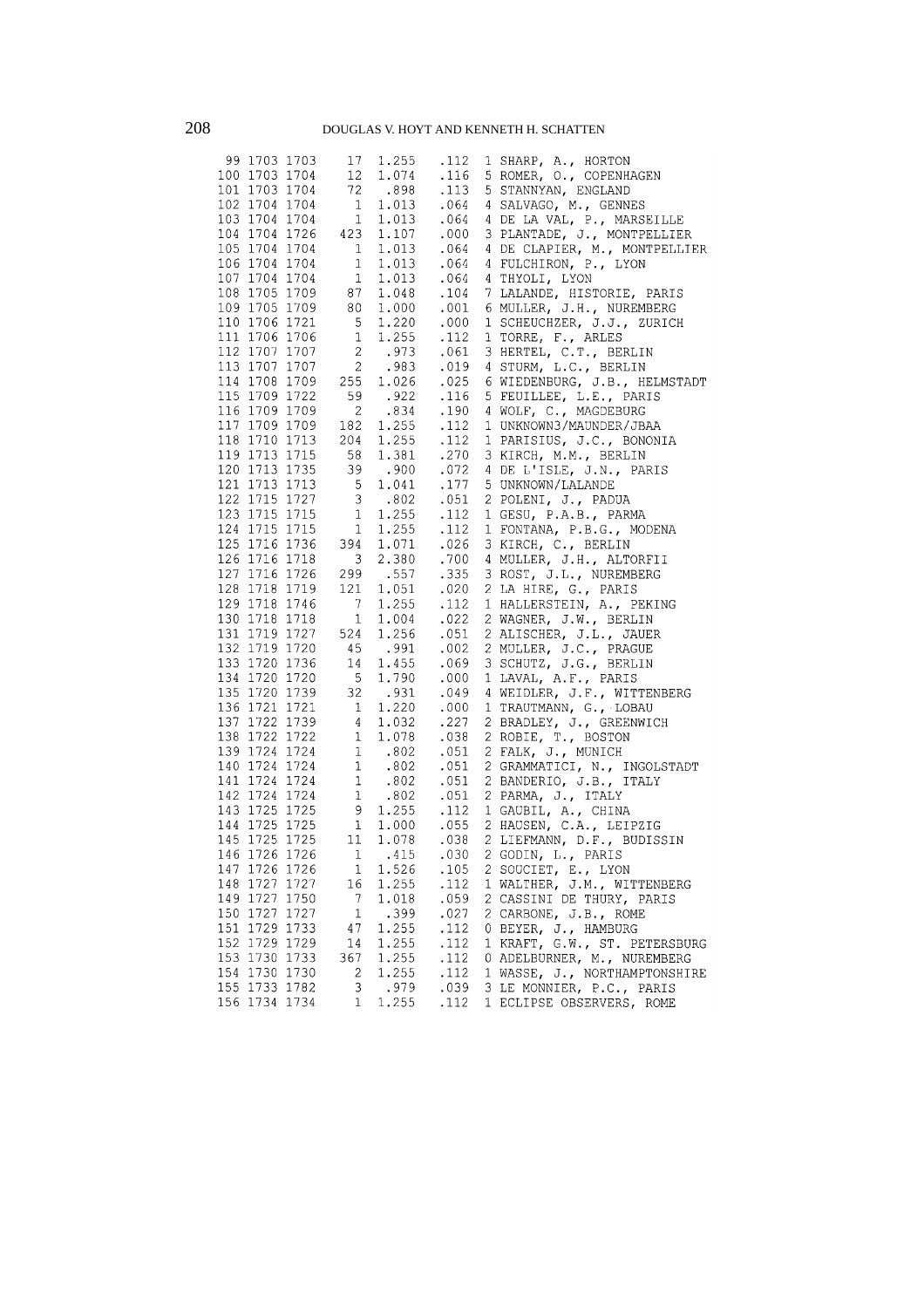|               | 99 1703 1703 17                                                                                       |     | 1.255                                                                                                                                                                                                                                                                                                 | .112         | 1 SHARP, A., HORTON                          |
|---------------|-------------------------------------------------------------------------------------------------------|-----|-------------------------------------------------------------------------------------------------------------------------------------------------------------------------------------------------------------------------------------------------------------------------------------------------------|--------------|----------------------------------------------|
|               | $\begin{array}{cccc} 100 & 1703 & 1704 & & 12 & 1.074 \\ 101 & 1703 & 1704 & & 72 & .898 \end{array}$ |     |                                                                                                                                                                                                                                                                                                       | .116         | 5 ROMER, O., COPENHAGEN                      |
|               |                                                                                                       |     |                                                                                                                                                                                                                                                                                                       | .113         | 5 STANNYAN, ENGLAND                          |
|               |                                                                                                       |     | $\begin{array}{ccccccccc} 1.02 & 1.04 & 1.04 & 1 & 1.013 \\ 102 & 1704 & 1704 & 1 & 1.013 \\ 103 & 1704 & 1704 & 1 & 1.013 \\ 104 & 1704 & 1704 & 1 & 1.013 \\ 106 & 1704 & 1704 & 1 & 1.013 \\ \end{array}$                                                                                          | .064         | 4 SALVAGO, M., GENNES                        |
|               |                                                                                                       |     |                                                                                                                                                                                                                                                                                                       | .064         | 4 DE LA VAL, P., MARSEILLE                   |
|               |                                                                                                       |     |                                                                                                                                                                                                                                                                                                       | .000         | 3 PLANTADE, J., MONTPELLIER                  |
|               |                                                                                                       |     |                                                                                                                                                                                                                                                                                                       | .064         | 4 DE CLAPIER, M., MONTPELLIER                |
|               |                                                                                                       |     |                                                                                                                                                                                                                                                                                                       |              |                                              |
|               |                                                                                                       |     |                                                                                                                                                                                                                                                                                                       | .064         | 4 FULCHIRON, P., LYON                        |
|               | $\begin{array}{cccc} 107 & 1704 & 1704 & & 1 & 1.013 \\ 108 & 1705 & 1709 & & 87 & 1.048 \end{array}$ |     |                                                                                                                                                                                                                                                                                                       | .064         | 4 THYOLI, LYON                               |
|               |                                                                                                       |     |                                                                                                                                                                                                                                                                                                       | .104         | 7 LALANDE, HISTORIE, PARIS                   |
|               |                                                                                                       |     | 1.000                                                                                                                                                                                                                                                                                                 | .001         | 6 MULLER, J.H., NUREMBERG                    |
|               | 109 1705 1709 80<br>110 1706 1721 5                                                                   |     | 1.220                                                                                                                                                                                                                                                                                                 | .000         | 1 SCHEUCHZER, J.J., ZURICH                   |
|               |                                                                                                       |     |                                                                                                                                                                                                                                                                                                       | .112         | 1 TORRE, F., ARLES                           |
|               |                                                                                                       |     |                                                                                                                                                                                                                                                                                                       | .061         | 3 HERTEL, C.T., BERLIN                       |
|               |                                                                                                       |     |                                                                                                                                                                                                                                                                                                       | .019         | 4 STURM, L.C., BERLIN                        |
|               |                                                                                                       |     |                                                                                                                                                                                                                                                                                                       | .025         | 6 WIEDENBURG, J.B., HELMSTADT                |
|               |                                                                                                       |     | 110 1706 1721 3 1.225<br>111 1706 1706 1 1.255<br>112 1707 1707 2 .973<br>113 1707 1707 2 .983<br>114 1708 1709 255 1.026<br>115 1709 1722 59 .922                                                                                                                                                    | .116         | 5 FEUILLEE, L.E., PARIS                      |
|               |                                                                                                       |     |                                                                                                                                                                                                                                                                                                       | .190         | 4 WOLF, C., MAGDEBURG                        |
|               |                                                                                                       |     |                                                                                                                                                                                                                                                                                                       | .112         | 1 UNKNOWN3/MAUNDER/JBAA                      |
|               |                                                                                                       |     |                                                                                                                                                                                                                                                                                                       | .112         | 1 PARISIUS, J.C., BONONIA                    |
|               |                                                                                                       |     |                                                                                                                                                                                                                                                                                                       |              |                                              |
|               |                                                                                                       |     |                                                                                                                                                                                                                                                                                                       | .270         | 3 KIRCH, M.M., BERLIN                        |
|               |                                                                                                       |     | 116 1709 1709<br>116 1709 1709<br>182 1.255<br>118 1710 1713 204 1.255<br>118 1710 1713 204 1.255<br>119 1713 1715 58 1.381<br>120 1713 1735 39 .900                                                                                                                                                  | .072         | 4 DE L'ISLE, J.N., PARIS                     |
|               |                                                                                                       |     |                                                                                                                                                                                                                                                                                                       | .177         | 5 UNKNOWN/LALANDE                            |
|               |                                                                                                       |     | 121 1713 1713 5 1.041<br>121 1713 1713 5 1.041<br>122 1715 1727 3 .802<br>123 1715 1715 1 1.255<br>125 1716 1736 394 1.071                                                                                                                                                                            | .051         | 2 POLENI, J., PADUA                          |
|               |                                                                                                       |     |                                                                                                                                                                                                                                                                                                       | .112         | 1 GESU, P.A.B., PARMA                        |
|               |                                                                                                       |     |                                                                                                                                                                                                                                                                                                       | .112         | 1 FONTANA, P.B.G., MODENA                    |
|               |                                                                                                       |     |                                                                                                                                                                                                                                                                                                       | .026         | 3 KIRCH, C., BERLIN                          |
|               |                                                                                                       |     |                                                                                                                                                                                                                                                                                                       | .700         | 4 MULLER, J.H., ALTORFII                     |
|               |                                                                                                       |     |                                                                                                                                                                                                                                                                                                       | .335         | 3 ROST, J.L., NUREMBERG                      |
|               |                                                                                                       |     |                                                                                                                                                                                                                                                                                                       | .020         | 2 LA HIRE, G., PARIS                         |
|               |                                                                                                       |     | 126 1716 1718 3 2.380<br>127 1716 1718 3 2.380<br>127 1716 1726 299 .557<br>128 1718 1719 121 1.051<br>129 1718 1718 1718 1 1.004                                                                                                                                                                     | .112         |                                              |
|               |                                                                                                       |     |                                                                                                                                                                                                                                                                                                       |              | 1 HALLERSTEIN, A., PEKING                    |
|               |                                                                                                       |     |                                                                                                                                                                                                                                                                                                       | .022         | 2 WAGNER, J.W., BERLIN                       |
|               | 131 1719 1727 524<br>132 1719 1720 45                                                                 |     | 1.256                                                                                                                                                                                                                                                                                                 | .051         | 2 ALISCHER, J.L., JAUER                      |
|               |                                                                                                       |     | .991                                                                                                                                                                                                                                                                                                  | .002         | 2 MULLER, J.C., PRAGUE                       |
|               |                                                                                                       |     | 133 1720 1736 14 1.455<br>134 1720 1736 14 1.455<br>134 1720 1739 32 .931<br>136 1721 1721 1 1.220<br>137 1722 1739 4 1.032                                                                                                                                                                           | .069         | 3 SCHUTZ, J.G., BERLIN                       |
|               |                                                                                                       |     |                                                                                                                                                                                                                                                                                                       | .000         | 1 LAVAL, A.F., PARIS                         |
|               |                                                                                                       |     |                                                                                                                                                                                                                                                                                                       | .049         | 4 WEIDLER, J.F., WITTENBERG                  |
|               |                                                                                                       |     |                                                                                                                                                                                                                                                                                                       | .000         | 1 TRAUTMANN, G., LOBAU                       |
|               |                                                                                                       |     |                                                                                                                                                                                                                                                                                                       | .227         | 2 BRADLEY, J., GREENWICH                     |
|               |                                                                                                       |     |                                                                                                                                                                                                                                                                                                       | .038         | 2 ROBIE, T., BOSTON                          |
|               |                                                                                                       |     |                                                                                                                                                                                                                                                                                                       | .051         | 2 FALK, J., MUNICH                           |
|               |                                                                                                       |     |                                                                                                                                                                                                                                                                                                       | .051         | 2 GRAMMATICI, N., INGOLSTADT                 |
|               |                                                                                                       |     | $\begin{array}{cccccc} 137 & 1722 & 1739 & & 4 & 1.032 \\ 138 & 1722 & 1722 & & 1 & 1.078 \\ 139 & 1724 & 1724 & & 1 & .802 \\ 140 & 1724 & 1724 & & 1 & .802 \\ 141 & 1724 & 1724 & & 1 & .802 \\ 142 & 1724 & 1724 & & 1 & .802 \\ 143 & 1725 & 1725 & & 9 & 1.255 \\ 144 & 1725 & 1725 & & 1 & 1.$ | .051         | 2 BANDERIO, J.B., ITALY                      |
|               |                                                                                                       |     |                                                                                                                                                                                                                                                                                                       | .051         | 2 PARMA, J., ITALY                           |
|               |                                                                                                       |     |                                                                                                                                                                                                                                                                                                       |              | 1 GAUBIL, A., CHINA                          |
|               |                                                                                                       |     |                                                                                                                                                                                                                                                                                                       | 112.<br>055. |                                              |
|               |                                                                                                       |     |                                                                                                                                                                                                                                                                                                       |              | 2 HAUSEN, C.A., LEIPZIG                      |
|               |                                                                                                       |     |                                                                                                                                                                                                                                                                                                       | .038         | 2 LIEFMANN, D.F., BUDISSIN                   |
|               |                                                                                                       |     |                                                                                                                                                                                                                                                                                                       |              | 146 1726 1726 1 .415 .030 2 GODIN, L., PARIS |
| 147 1726 1726 |                                                                                                       | 1   | 1.526                                                                                                                                                                                                                                                                                                 | .105         | 2 SOUCIET, E., LYON                          |
| 148 1727 1727 |                                                                                                       | 16  | 1.255                                                                                                                                                                                                                                                                                                 | .112         | 1 WALTHER, J.M., WITTENBERG                  |
| 149 1727 1750 |                                                                                                       | 7   | 1.018                                                                                                                                                                                                                                                                                                 | .059         | 2 CASSINI DE THURY, PARIS                    |
| 150 1727 1727 |                                                                                                       | 1   | .399                                                                                                                                                                                                                                                                                                  | .027         | 2 CARBONE, J.B., ROME                        |
| 151 1729 1733 |                                                                                                       | 47  | 1.255                                                                                                                                                                                                                                                                                                 | .112         | 0 BEYER, J., HAMBURG                         |
| 152 1729 1729 |                                                                                                       | 14  | 1.255                                                                                                                                                                                                                                                                                                 | .112         | 1 KRAFT, G.W., ST. PETERSBURG                |
| 153 1730 1733 |                                                                                                       | 367 | 1.255                                                                                                                                                                                                                                                                                                 | .112         | 0 ADELBURNER, M., NUREMBERG                  |
| 154 1730 1730 |                                                                                                       | 2   | 1.255                                                                                                                                                                                                                                                                                                 | .112         | 1 WASSE, J., NORTHAMPTONSHIRE                |
| 155 1733 1782 |                                                                                                       | 3   | .979                                                                                                                                                                                                                                                                                                  | .039         | 3 LE MONNIER, P.C., PARIS                    |
| 156 1734 1734 |                                                                                                       | 1   | 1.255                                                                                                                                                                                                                                                                                                 | .112         | 1 ECLIPSE OBSERVERS, ROME                    |
|               |                                                                                                       |     |                                                                                                                                                                                                                                                                                                       |              |                                              |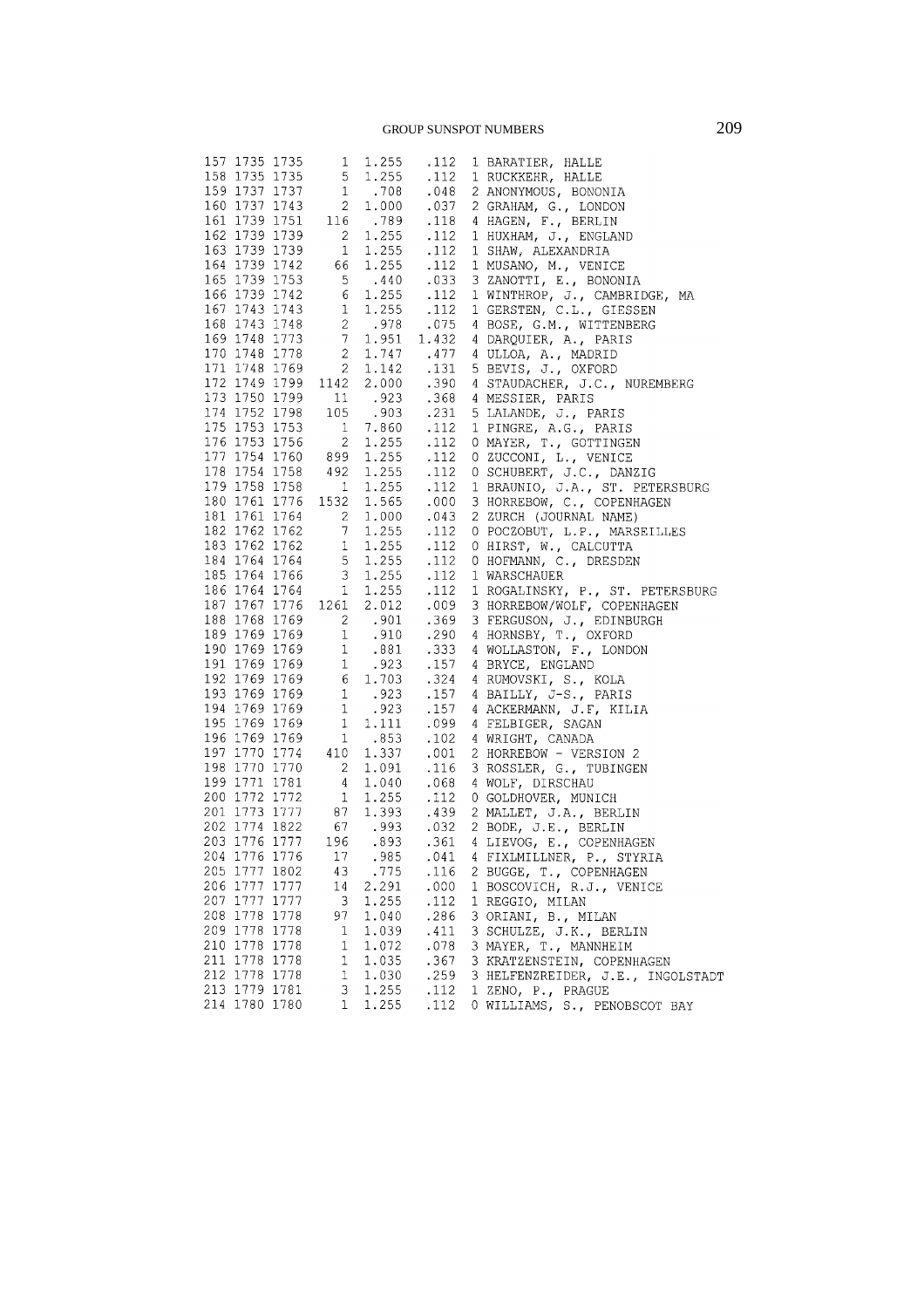|               |              | 157 1735 1735 1 1.255<br>$\begin{array}{cccccc} 157&1735&1735&1&1.255&.112\\ 158&1735&1735&5&1.255&.112\\ 159&1737&1737&1&.708&.048\\ 160&1737&1743&2&1.000&.037\\ 161&1739&1751&116&.789&.118\\ 162&1739&1739&2&1.255&.112\\ 163&1739&1739&1&1.255&.112\\ 164&1739&1742&6$ | $.112\,$                                                                                                                                                                                                                                           | 1 BARATIER, HALLE                 |
|---------------|--------------|-----------------------------------------------------------------------------------------------------------------------------------------------------------------------------------------------------------------------------------------------------------------------------|----------------------------------------------------------------------------------------------------------------------------------------------------------------------------------------------------------------------------------------------------|-----------------------------------|
|               |              |                                                                                                                                                                                                                                                                             |                                                                                                                                                                                                                                                    | 1 RUCKKEHR, HALLE                 |
|               |              |                                                                                                                                                                                                                                                                             |                                                                                                                                                                                                                                                    | 2 ANONYMOUS, BONONIA              |
|               |              |                                                                                                                                                                                                                                                                             |                                                                                                                                                                                                                                                    | 2 GRAHAM, G., LONDON              |
|               |              |                                                                                                                                                                                                                                                                             |                                                                                                                                                                                                                                                    | 4 HAGEN, F., BERLIN               |
|               |              |                                                                                                                                                                                                                                                                             |                                                                                                                                                                                                                                                    | 1 HUXHAM, J., ENGLAND             |
|               |              |                                                                                                                                                                                                                                                                             |                                                                                                                                                                                                                                                    | 1 SHAW, ALEXANDRIA                |
|               |              |                                                                                                                                                                                                                                                                             |                                                                                                                                                                                                                                                    | 1 MUSANO, M., VENICE              |
|               |              |                                                                                                                                                                                                                                                                             |                                                                                                                                                                                                                                                    | 3 ZANOTTI, E., BONONIA            |
|               |              |                                                                                                                                                                                                                                                                             |                                                                                                                                                                                                                                                    | 1 WINTHROP, J., CAMBRIDGE, MA     |
|               |              |                                                                                                                                                                                                                                                                             |                                                                                                                                                                                                                                                    | 1 GERSTEN, C.L., GIESSEN          |
|               |              |                                                                                                                                                                                                                                                                             |                                                                                                                                                                                                                                                    | 4 BOSE, G.M., WITTENBERG          |
|               |              |                                                                                                                                                                                                                                                                             |                                                                                                                                                                                                                                                    | 4 DARQUIER, A., PARIS             |
|               |              |                                                                                                                                                                                                                                                                             |                                                                                                                                                                                                                                                    | 4 ULLOA, A., MADRID               |
|               |              | $\begin{array}{cccc} 171 & 1748 & 1769 & \hspace{1.5cm} 2 & 1.142 & \hspace{1.5cm} 131 \\ 172 & 1749 & 1799 & 1142 & 2.000 & \hspace{1.5cm} 390 \end{array}$                                                                                                                |                                                                                                                                                                                                                                                    | 5 BEVIS, J., OXFORD               |
|               |              |                                                                                                                                                                                                                                                                             |                                                                                                                                                                                                                                                    | 4 STAUDACHER, J.C., NUREMBERG     |
|               |              |                                                                                                                                                                                                                                                                             |                                                                                                                                                                                                                                                    | 4 MESSIER, PARIS                  |
|               |              |                                                                                                                                                                                                                                                                             |                                                                                                                                                                                                                                                    | 5 LALANDE, J., PARIS              |
|               |              |                                                                                                                                                                                                                                                                             |                                                                                                                                                                                                                                                    | 1 PINGRE, A.G., PARIS             |
|               |              |                                                                                                                                                                                                                                                                             |                                                                                                                                                                                                                                                    | 0 MAYER, T., GOTTINGEN            |
|               |              |                                                                                                                                                                                                                                                                             |                                                                                                                                                                                                                                                    | 0 ZUCCONI, L., VENICE             |
|               |              |                                                                                                                                                                                                                                                                             |                                                                                                                                                                                                                                                    | 0 SCHUBERT, J.C., DANZIG          |
|               |              |                                                                                                                                                                                                                                                                             | 172 1749 1799 1142 2.000 .000 .000<br>173 1750 1799 11 .923 .368<br>174 1752 1798 105 .903 .231<br>175 1753 1753 1 7.860 .112<br>176 1753 1756 2 1.255 .112<br>177 1754 1760 899 1.255 .112<br>179 1758 1758 1758 11255 .112<br>179 1758 1758 1758 | 1 BRAUNIO, J.A., ST. PETERSBURG   |
|               |              | $\begin{array}{cccc} 180 \ 1761 \ 1776 \ 1532 \ 1.565 \ 000 \\ 181 \ 1761 \ 1764 \ 2 \ 1.000 \ 043 \\ 182 \ 1762 \ 1762 \ 7 \ 1.255 \ 0.112 \end{array}$                                                                                                                    |                                                                                                                                                                                                                                                    | 3 HORREBOW, C., COPENHAGEN        |
|               |              |                                                                                                                                                                                                                                                                             |                                                                                                                                                                                                                                                    | 2 ZURCH (JOURNAL NAME)            |
|               |              |                                                                                                                                                                                                                                                                             |                                                                                                                                                                                                                                                    | 0 POCZOBUT, L.P., MARSEILLES      |
|               |              | 183 1762 1762 1 1.255 .112<br>184 1764 1764 5 1.255 .112<br>185 1764 1766 3 1.255 .112<br>186 1764 1764 1 1.255 .112                                                                                                                                                        |                                                                                                                                                                                                                                                    | 0 HIRST, W., CALCUTTA             |
|               |              |                                                                                                                                                                                                                                                                             |                                                                                                                                                                                                                                                    | 0 HOFMANN, C., DRESDEN            |
|               |              |                                                                                                                                                                                                                                                                             |                                                                                                                                                                                                                                                    | 1 WARSCHAUER                      |
|               |              |                                                                                                                                                                                                                                                                             |                                                                                                                                                                                                                                                    | 1 ROGALINSKY, P., ST. PETERSBURG  |
|               |              | 187 1767 1776 1261 2.012                                                                                                                                                                                                                                                    | .009                                                                                                                                                                                                                                               | 3 HORREBOW/WOLF, COPENHAGEN       |
|               |              |                                                                                                                                                                                                                                                                             |                                                                                                                                                                                                                                                    | 3 FERGUSON, J., EDINBURGH         |
|               |              |                                                                                                                                                                                                                                                                             |                                                                                                                                                                                                                                                    | 4 HORNSBY, T., OXFORD             |
|               |              |                                                                                                                                                                                                                                                                             |                                                                                                                                                                                                                                                    | 4 WOLLASTON, F., LONDON           |
|               |              | $\begin{array}{cccccc} 187&1767&1776&1261&2.012&.009\\ 188&1768&1769&2&.901&.369\\ 189&1769&1769&1&.910&.290\\ 190&1769&1769&1&.881&.333\\ 191&1769&1769&1&.923&.157\\ 192&1769&1769&6&1.703&.324\\ 193&1769&1769&1&.923&.157\\ 194&1769&1769&1&.$                          |                                                                                                                                                                                                                                                    | 4 BRYCE, ENGLAND                  |
|               |              |                                                                                                                                                                                                                                                                             |                                                                                                                                                                                                                                                    | 4 RUMOVSKI, S., KOLA              |
|               |              |                                                                                                                                                                                                                                                                             |                                                                                                                                                                                                                                                    | 4 BAILLY, J-S., PARIS             |
|               |              |                                                                                                                                                                                                                                                                             |                                                                                                                                                                                                                                                    | 4 ACKERMANN, J.F, KILIA           |
|               |              |                                                                                                                                                                                                                                                                             |                                                                                                                                                                                                                                                    | 4 FELBIGER, SAGAN                 |
|               |              |                                                                                                                                                                                                                                                                             |                                                                                                                                                                                                                                                    | 4 WRIGHT, CANADA                  |
|               |              |                                                                                                                                                                                                                                                                             |                                                                                                                                                                                                                                                    | 2 HORREBOW - VERSION 2            |
|               |              |                                                                                                                                                                                                                                                                             |                                                                                                                                                                                                                                                    | 3 ROSSLER, G., TUBINGEN           |
|               |              |                                                                                                                                                                                                                                                                             |                                                                                                                                                                                                                                                    | 4 WOLF, DIRSCHAU                  |
|               |              |                                                                                                                                                                                                                                                                             |                                                                                                                                                                                                                                                    | 0 GOLDHOVER, MUNICH               |
|               |              |                                                                                                                                                                                                                                                                             |                                                                                                                                                                                                                                                    | 2 MALLET, J.A., BERLIN            |
|               |              | 202 1774 1822 67 .993 .032<br>203 1776 1777 196 .893 .361                                                                                                                                                                                                                   |                                                                                                                                                                                                                                                    | 2 BODE, J.E., BERLIN              |
|               |              |                                                                                                                                                                                                                                                                             |                                                                                                                                                                                                                                                    | 4 LIEVOG, E., COPENHAGEN          |
| 204 1776 1776 | 17           | .985                                                                                                                                                                                                                                                                        | .041                                                                                                                                                                                                                                               | 4 FIXLMILLNER, P., STYRIA         |
| 205 1777 1802 | 43           | .775                                                                                                                                                                                                                                                                        | .116                                                                                                                                                                                                                                               | 2 BUGGE, T., COPENHAGEN           |
| 206 1777 1777 | 14           | 2.291                                                                                                                                                                                                                                                                       | .000                                                                                                                                                                                                                                               | 1 BOSCOVICH, R.J., VENICE         |
| 207 1777 1777 | 3            | 1.255                                                                                                                                                                                                                                                                       | .112                                                                                                                                                                                                                                               | 1 REGGIO, MILAN                   |
| 208 1778 1778 | 97           | 1.040                                                                                                                                                                                                                                                                       | .286                                                                                                                                                                                                                                               | 3 ORIANI, B., MILAN               |
| 209 1778 1778 | $\mathbf{1}$ | 1.039                                                                                                                                                                                                                                                                       | .411                                                                                                                                                                                                                                               | 3 SCHULZE, J.K., BERLIN           |
| 210 1778 1778 | $\mathbf{1}$ | 1.072                                                                                                                                                                                                                                                                       | .078                                                                                                                                                                                                                                               | 3 MAYER, T., MANNHEIM             |
| 211 1778 1778 | $\mathbf{1}$ | 1.035                                                                                                                                                                                                                                                                       | .367                                                                                                                                                                                                                                               | 3 KRATZENSTEIN, COPENHAGEN        |
| 212 1778 1778 | 1            | 1.030                                                                                                                                                                                                                                                                       | .259                                                                                                                                                                                                                                               | 3 HELFENZREIDER, J.E., INGOLSTADT |
| 213 1779 1781 | 3            | 1.255                                                                                                                                                                                                                                                                       | .112                                                                                                                                                                                                                                               | 1 ZENO, P., PRAGUE                |
| 214 1780 1780 | 1            | 1.255                                                                                                                                                                                                                                                                       | .112                                                                                                                                                                                                                                               | 0 WILLIAMS, S., PENOBSCOT BAY     |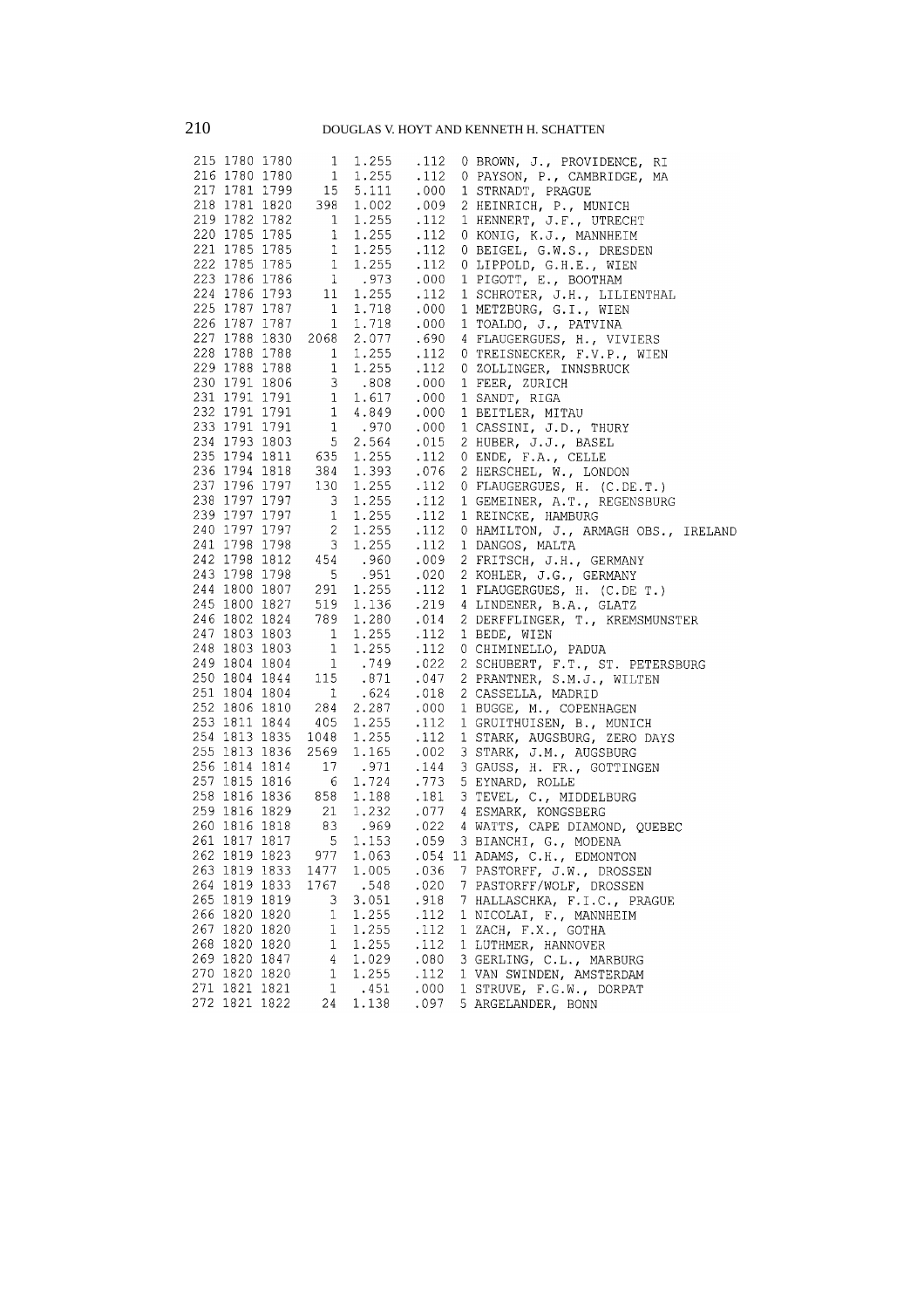# DOUGLAS V. HOYT AND KENNETH H. SCHATTEN

|               | 215 1780 1780 1    | 1.255                                                                                                                                                                                                                                            | .112                 | 0 BROWN, J., PROVIDENCE, RI          |
|---------------|--------------------|--------------------------------------------------------------------------------------------------------------------------------------------------------------------------------------------------------------------------------------------------|----------------------|--------------------------------------|
|               |                    | 215 1780 1780 1 1.255<br>216 1780 1780 1 1.255<br>217 1781 1799 15 5.111<br>218 1781 1820 398 1.002<br>219 1782 1782 1 1.255<br>220 1785 1785 1 1.255<br>221 1785 1785 1 1.255<br>222 1786 1786 1 1.255<br>224 1786 1793 11 1.255<br>225 1787 17 | $.112$<br>$.000$     | 0 PAYSON, P., CAMBRIDGE, MA          |
|               |                    |                                                                                                                                                                                                                                                  |                      | 1 STRNADT, PRAGUE                    |
|               |                    |                                                                                                                                                                                                                                                  | .009                 | 2 HEINRICH, P., MUNICH               |
|               |                    |                                                                                                                                                                                                                                                  |                      | 1 HENNERT, J.F., UTRECHT             |
|               |                    |                                                                                                                                                                                                                                                  | $\frac{.112}{.112}$  | 0 KONIG, K.J., MANNHEIM              |
|               |                    | $\begin{array}{ccc} 1.255 & .112 \\ 1.255 & .112 \end{array}$                                                                                                                                                                                    |                      | 0 BEIGEL, G.W.S., DRESDEN            |
|               |                    |                                                                                                                                                                                                                                                  |                      | 0 LIPPOLD, G.H.E., WIEN              |
|               |                    |                                                                                                                                                                                                                                                  | .000                 | 1 PIGOTT, E., BOOTHAM                |
|               |                    |                                                                                                                                                                                                                                                  | .112                 | 1 SCHROTER, J.H., LILIENTHAL         |
|               |                    |                                                                                                                                                                                                                                                  | 112.<br>000.         | 1 METZBURG, G.I., WIEN               |
|               |                    |                                                                                                                                                                                                                                                  |                      | 1 TOALDO, J., PATVINA                |
|               | 227 1788 1830 2068 | 2.077                                                                                                                                                                                                                                            | 000.<br>690.<br>.690 | 4 FLAUGERGUES, H., VIVIERS           |
|               |                    | 227 1788 1830 2068 2.077 .690<br>228 1788 1830 2068 2.077 .690<br>228 1788 1788 1 1.255 .112<br>229 1788 1788 1818 1 1.255 .112<br>230 1791 1806 3 .808 .000<br>231 1791 1791 1 1.617 .000<br>231 1791 1791 1 .970 .000<br>233 1791 1791 1       |                      | 0 TREISNECKER, F.V.P., WIEN          |
|               |                    |                                                                                                                                                                                                                                                  |                      | 0 ZOLLINGER, INNSBRUCK               |
|               |                    |                                                                                                                                                                                                                                                  |                      | 1 FEER, ZURICH                       |
|               |                    |                                                                                                                                                                                                                                                  |                      | 1 SANDT, RIGA                        |
|               |                    |                                                                                                                                                                                                                                                  |                      | 1 BEITLER, MITAU                     |
|               |                    |                                                                                                                                                                                                                                                  |                      | 1 CASSINI, J.D., THURY               |
|               |                    |                                                                                                                                                                                                                                                  |                      | 2 HUBER, J.J., BASEL                 |
|               |                    |                                                                                                                                                                                                                                                  |                      | 0 ENDE, F.A., CELLE                  |
|               |                    |                                                                                                                                                                                                                                                  |                      | 2 HERSCHEL, W., LONDON               |
|               |                    |                                                                                                                                                                                                                                                  |                      | 0 FLAUGERGUES, H. (C.DE.T.)          |
|               |                    |                                                                                                                                                                                                                                                  |                      |                                      |
|               |                    |                                                                                                                                                                                                                                                  |                      | 1 GEMEINER, A.T., REGENSBURG         |
|               |                    |                                                                                                                                                                                                                                                  |                      | 1 REINCKE, HAMBURG                   |
|               |                    |                                                                                                                                                                                                                                                  |                      | 0 HAMILTON, J., ARMAGH OBS., IRELAND |
|               |                    |                                                                                                                                                                                                                                                  |                      | 1 DANGOS, MALTA                      |
|               |                    |                                                                                                                                                                                                                                                  |                      | 2 FRITSCH, J.H., GERMANY             |
|               |                    |                                                                                                                                                                                                                                                  |                      | 2 KOHLER, J.G., GERMANY              |
|               |                    |                                                                                                                                                                                                                                                  |                      | 1 FLAUGERGUES, H. (C.DE T.)          |
|               |                    |                                                                                                                                                                                                                                                  |                      | 4 LINDENER, B.A., GLATZ              |
|               |                    |                                                                                                                                                                                                                                                  |                      | 2 DERFFLINGER, T., KREMSMUNSTER      |
|               |                    |                                                                                                                                                                                                                                                  |                      | 1 BEDE, WIEN                         |
|               |                    |                                                                                                                                                                                                                                                  |                      | 0 CHIMINELLO, PADUA                  |
|               |                    |                                                                                                                                                                                                                                                  |                      | 2 SCHUBERT, F.T., ST. PETERSBURG     |
|               |                    |                                                                                                                                                                                                                                                  |                      | 2 PRANTNER, S.M.J., WILTEN           |
|               |                    |                                                                                                                                                                                                                                                  |                      | 2 CASSELLA, MADRID                   |
|               |                    |                                                                                                                                                                                                                                                  |                      | 1 BUGGE, M., COPENHAGEN              |
|               | 253 1811 1844 405  | 1.255                                                                                                                                                                                                                                            | .112                 | 1 GRUITHUISEN, B., MUNICH            |
|               | 254 1813 1835 1048 | $1.255$ .112                                                                                                                                                                                                                                     |                      | 1 STARK, AUGSBURG, ZERO DAYS         |
|               |                    | $\begin{array}{cccc} 255 & 1813 & 1836 & 2569 & 1.165 & .002 \\ 256 & 1814 & 1814 & 17 & .971 & .144 \end{array}$                                                                                                                                |                      | 3 STARK, J.M., AUGSBURG              |
|               |                    |                                                                                                                                                                                                                                                  |                      | 3 GAUSS, H. FR., GOTTINGEN           |
|               |                    | 250 1815 1816 6 1.724 .773<br>258 1816 1836 858 1.188 .181<br>259 1816 1829 21 1.232 .077<br>260 1816 1818 83 .969 .022<br>261 1817 1817 5 1.153 .059                                                                                            |                      | 5 EYNARD, ROLLE                      |
|               |                    |                                                                                                                                                                                                                                                  |                      | 3 TEVEL, C., MIDDELBURG              |
|               |                    |                                                                                                                                                                                                                                                  |                      | 4 ESMARK, KONGSBERG                  |
|               |                    |                                                                                                                                                                                                                                                  |                      | 4 WATTS, CAPE DIAMOND, QUEBEC        |
|               |                    |                                                                                                                                                                                                                                                  |                      | 3 BIANCHI, G., MODENA                |
| 262 1819 1823 | 977                | 1.063                                                                                                                                                                                                                                            | .054                 | 11 ADAMS, C.H., EDMONTON             |
| 263 1819 1833 | 1477               | 1.005                                                                                                                                                                                                                                            | .036                 | 7 PASTORFF, J.W., DROSSEN            |
| 264 1819 1833 | 1767               | .548                                                                                                                                                                                                                                             | .020                 | 7 PASTORFF/WOLF, DROSSEN             |
| 265 1819 1819 | 3                  | 3.051                                                                                                                                                                                                                                            | .918                 | 7 HALLASCHKA, F.I.C., PRAGUE         |
| 266 1820 1820 | 1                  | 1.255                                                                                                                                                                                                                                            | .112                 | 1 NICOLAI, F., MANNHEIM              |
| 267 1820 1820 | 1                  | 1.255                                                                                                                                                                                                                                            | .112                 | 1 ZACH, F.X., GOTHA                  |
| 268 1820 1820 | 1                  | 1.255                                                                                                                                                                                                                                            | .112                 | 1 LUTHMER, HANNOVER                  |
| 269 1820 1847 | 4                  | 1.029                                                                                                                                                                                                                                            | .080                 | 3 GERLING, C.L., MARBURG             |
| 270 1820 1820 | $1\,$              | 1.255                                                                                                                                                                                                                                            | .112                 | 1 VAN SWINDEN, AMSTERDAM             |
| 271 1821 1821 | 1                  | .451                                                                                                                                                                                                                                             | .000                 | 1 STRUVE, F.G.W., DORPAT             |
| 272 1821 1822 | 24                 | 1.138                                                                                                                                                                                                                                            | .097                 | 5 ARGELANDER, BONN                   |
|               |                    |                                                                                                                                                                                                                                                  |                      |                                      |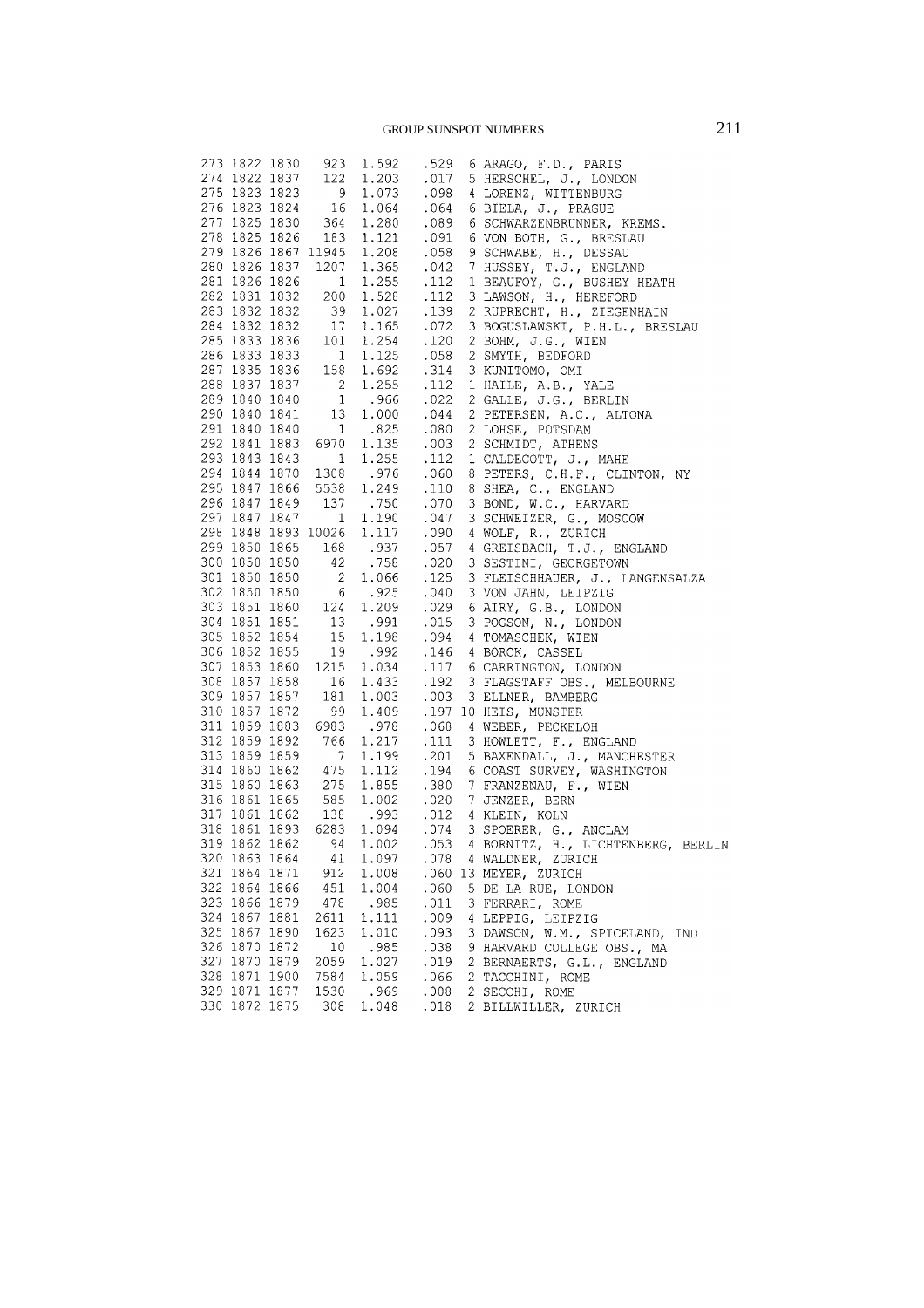|               |      |                                                          | $\begin{array}{cccc} 273 & 1822 & 1830 & 923 & 1.592 & .529 \\ 274 & 1822 & 1837 & 122 & 1.203 & .017 \\ 275 & 1823 & 1823 & 9 & 1.073 & .098 \\ 276 & 1823 & 1824 & 16 & 1.064 & .064 \\ 277 & 1825 & 1830 & 364 & 1.280 & .089 \\ 278 & 1825 & 1826 & 183 & 1.121 & .091 \\ 279 & 1826 & $ |      |   | 6 ARAGO, F.D., PARIS               |
|---------------|------|----------------------------------------------------------|----------------------------------------------------------------------------------------------------------------------------------------------------------------------------------------------------------------------------------------------------------------------------------------------|------|---|------------------------------------|
|               |      |                                                          |                                                                                                                                                                                                                                                                                              |      |   | 5 HERSCHEL, J., LONDON             |
|               |      |                                                          |                                                                                                                                                                                                                                                                                              |      |   | 4 LORENZ, WITTENBURG               |
|               |      |                                                          |                                                                                                                                                                                                                                                                                              |      |   | 6 BIELA, J., PRAGUE                |
|               |      |                                                          |                                                                                                                                                                                                                                                                                              |      |   | 6 SCHWARZENBRUNNER, KREMS.         |
|               |      |                                                          |                                                                                                                                                                                                                                                                                              |      |   | 6 VON BOTH, G., BRESLAU            |
|               |      |                                                          |                                                                                                                                                                                                                                                                                              |      |   | 9 SCHWABE, H., DESSAU              |
|               |      |                                                          |                                                                                                                                                                                                                                                                                              |      |   | 7 HUSSEY, T.J., ENGLAND            |
|               |      | 281 1826 1826 1<br>282 1831 1832 200<br>283 1832 1832 39 |                                                                                                                                                                                                                                                                                              |      |   | 1 BEAUFOY, G., BUSHEY HEATH        |
|               |      |                                                          |                                                                                                                                                                                                                                                                                              |      |   | 3 LAWSON, H., HEREFORD             |
|               |      |                                                          |                                                                                                                                                                                                                                                                                              |      |   | 2 RUPRECHT, H., ZIEGENHAIN         |
|               |      |                                                          |                                                                                                                                                                                                                                                                                              |      |   | 3 BOGUSLAWSKI, P.H.L., BRESLAU     |
|               |      |                                                          |                                                                                                                                                                                                                                                                                              |      |   | 2 BOHM, J.G., WIEN                 |
|               |      |                                                          | 281 1826 1826 1 1.255 .112<br>282 1831 1832 200 1.528 .112<br>283 1832 1832 39 1.027 .139<br>284 1832 1832 17 1.165 .072<br>285 1833 1836 101 1.254 .120<br>286 1833 1836 158 1.692 .314<br>289 1840 1840 2 1.255 .112<br>289 1840 1840 1 .8                                                 |      |   | 2 SMYTH, BEDFORD                   |
|               |      |                                                          |                                                                                                                                                                                                                                                                                              |      |   | 3 KUNITOMO, OMI                    |
|               |      |                                                          |                                                                                                                                                                                                                                                                                              |      |   | 1 HAILE, A.B., YALE                |
|               |      |                                                          |                                                                                                                                                                                                                                                                                              |      |   | 2 GALLE, J.G., BERLIN              |
|               |      |                                                          |                                                                                                                                                                                                                                                                                              |      |   | 2 PETERSEN, A.C., ALTONA           |
|               |      |                                                          |                                                                                                                                                                                                                                                                                              |      |   | 2 LOHSE, POTSDAM                   |
|               |      |                                                          |                                                                                                                                                                                                                                                                                              |      |   | 2 SCHMIDT, ATHENS                  |
|               |      |                                                          |                                                                                                                                                                                                                                                                                              |      |   |                                    |
|               |      |                                                          |                                                                                                                                                                                                                                                                                              |      |   | 8 PETERS, C.H.F., CLINTON, NY      |
|               |      |                                                          |                                                                                                                                                                                                                                                                                              |      |   |                                    |
|               |      |                                                          |                                                                                                                                                                                                                                                                                              |      |   |                                    |
|               |      |                                                          |                                                                                                                                                                                                                                                                                              |      |   | 3 SCHWEIZER, G., MOSCOW            |
|               |      |                                                          |                                                                                                                                                                                                                                                                                              |      |   |                                    |
|               |      |                                                          |                                                                                                                                                                                                                                                                                              |      |   | 4 GREISBACH, T.J., ENGLAND         |
|               |      |                                                          |                                                                                                                                                                                                                                                                                              |      |   |                                    |
|               |      |                                                          |                                                                                                                                                                                                                                                                                              |      |   | 3 FLEISCHHAUER, J., LANGENSALZA    |
|               |      |                                                          |                                                                                                                                                                                                                                                                                              |      |   |                                    |
|               |      |                                                          |                                                                                                                                                                                                                                                                                              |      |   |                                    |
|               |      |                                                          |                                                                                                                                                                                                                                                                                              |      |   |                                    |
|               |      |                                                          |                                                                                                                                                                                                                                                                                              |      |   |                                    |
|               |      |                                                          |                                                                                                                                                                                                                                                                                              |      |   |                                    |
|               |      |                                                          |                                                                                                                                                                                                                                                                                              |      |   |                                    |
|               |      |                                                          |                                                                                                                                                                                                                                                                                              |      |   | 3 FLAGSTAFF OBS., MELBOURNE        |
|               |      |                                                          |                                                                                                                                                                                                                                                                                              |      |   |                                    |
|               |      |                                                          |                                                                                                                                                                                                                                                                                              |      |   |                                    |
|               |      |                                                          |                                                                                                                                                                                                                                                                                              |      |   |                                    |
|               |      |                                                          |                                                                                                                                                                                                                                                                                              |      |   | 3 HOWLETT, F., ENGLAND             |
|               |      |                                                          |                                                                                                                                                                                                                                                                                              |      |   | 5 BAXENDALL, J., MANCHESTER        |
|               |      |                                                          |                                                                                                                                                                                                                                                                                              |      |   | 6 COAST SURVEY, WASHINGTON         |
|               |      |                                                          |                                                                                                                                                                                                                                                                                              |      |   |                                    |
|               |      |                                                          |                                                                                                                                                                                                                                                                                              |      |   |                                    |
|               |      |                                                          |                                                                                                                                                                                                                                                                                              |      |   |                                    |
|               |      |                                                          |                                                                                                                                                                                                                                                                                              |      |   |                                    |
|               |      |                                                          |                                                                                                                                                                                                                                                                                              |      |   | 4 BORNITZ, H., LICHTENBERG, BERLIN |
|               |      |                                                          |                                                                                                                                                                                                                                                                                              |      |   |                                    |
| 321 1864 1871 |      | 912                                                      | 1.008                                                                                                                                                                                                                                                                                        | .060 |   | 13 MEYER, ZURICH                   |
| 322 1864 1866 |      | 451                                                      | 1.004                                                                                                                                                                                                                                                                                        | .060 |   | 5 DE LA RUE, LONDON                |
| 323 1866 1879 |      | 478                                                      | .985                                                                                                                                                                                                                                                                                         | .011 |   | 3 FERRARI, ROME                    |
| 324 1867      | 1881 | 2611                                                     | 1.111                                                                                                                                                                                                                                                                                        | .009 |   | 4 LEPPIG, LEIPZIG                  |
| 325 1867 1890 |      | 1623                                                     | 1.010                                                                                                                                                                                                                                                                                        | .093 |   | 3 DAWSON, W.M., SPICELAND, IND     |
| 326 1870 1872 |      | 10                                                       | .985                                                                                                                                                                                                                                                                                         | .038 |   | 9 HARVARD COLLEGE OBS., MA         |
| 327 1870 1879 |      | 2059                                                     | 1.027                                                                                                                                                                                                                                                                                        | .019 |   | 2 BERNAERTS, G.L., ENGLAND         |
| 328 1871 1900 |      | 7584                                                     | 1.059                                                                                                                                                                                                                                                                                        | .066 | 2 | TACCHINI, ROME                     |
| 329 1871 1877 |      | 1530                                                     | .969                                                                                                                                                                                                                                                                                         | .008 |   | 2 SECCHI, ROME                     |
| 330 1872 1875 |      | 308                                                      | 1.048                                                                                                                                                                                                                                                                                        | .018 |   | 2 BILLWILLER, ZURICH               |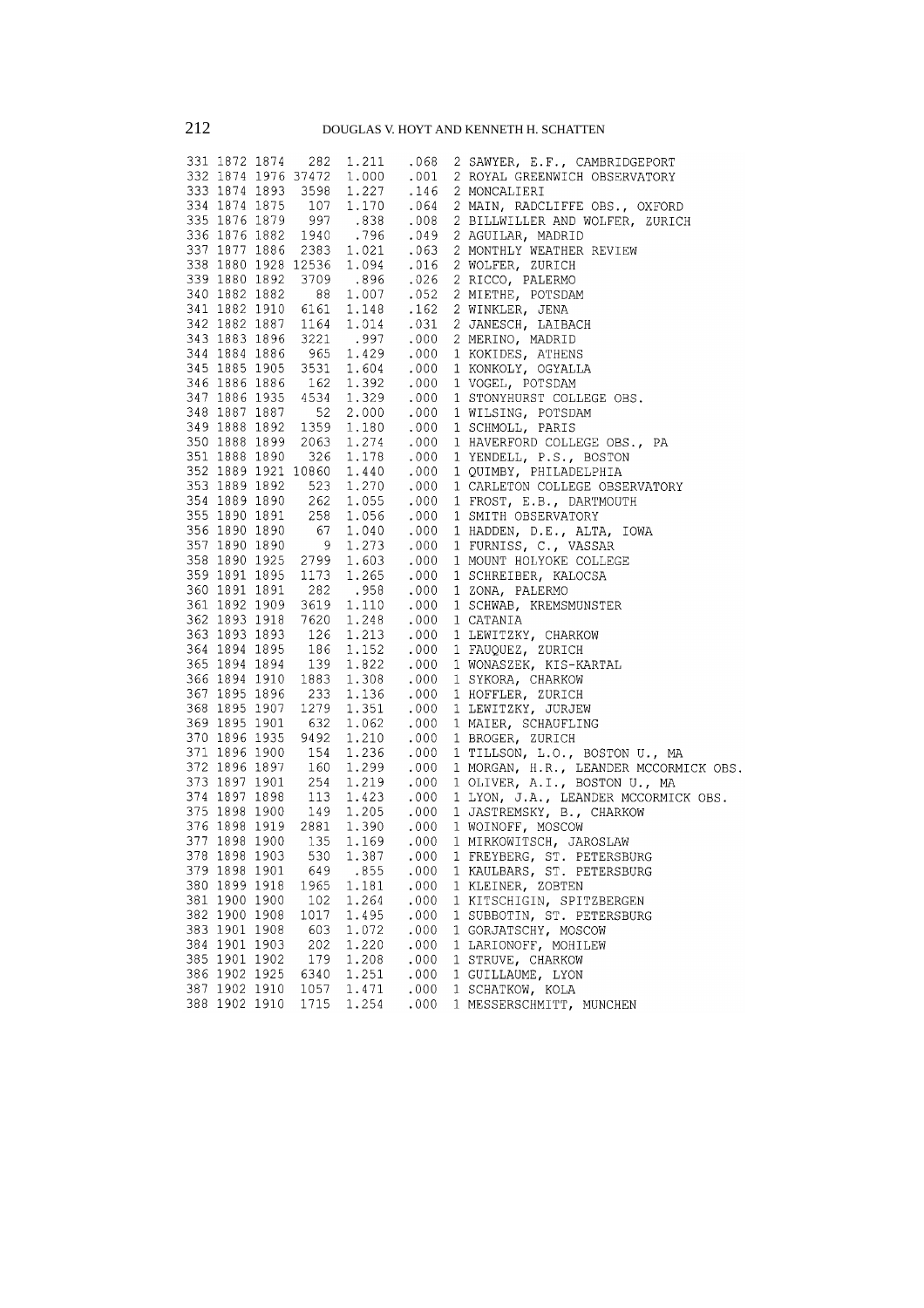|                                |               | 331 1872 1874 282<br>332 1874 1976 37472<br>333 1874 1893 3598                                           | 1.211<br>1,000<br>1.227 | 068.<br>001.<br>$.146$<br>$.064$<br>$.008$<br>$.049$<br>$.063$ | 2 SAWYER, E.F., CAMBRIDGEPORT<br>2 ROYAL GREENWICH OBSERVATORY<br>2 MONCALIERI |
|--------------------------------|---------------|----------------------------------------------------------------------------------------------------------|-------------------------|----------------------------------------------------------------|--------------------------------------------------------------------------------|
|                                |               | 334 1874 1875 107<br>335 1876 1879 997                                                                   | 1.170                   |                                                                | 2 MAIN, RADCLIFFE OBS., OXFORD<br>2 BILLWILLER AND WOLFER, ZURICH              |
|                                |               | 336 1876 1882 1940                                                                                       | .838<br>.796            |                                                                | 2 AGUILAR, MADRID                                                              |
|                                |               | 337 1877 1886 2383                                                                                       | 1.021                   |                                                                | 2 MONTHLY WEATHER REVIEW                                                       |
|                                |               | 338 1880 1928 12536                                                                                      | 1.094                   | .016                                                           | 2 WOLFER, ZURICH                                                               |
|                                |               | 339 1880 1892 3709                                                                                       | .896                    | .026                                                           | 2 RICCO, PALERMO                                                               |
|                                |               | 340 1882 1882 88                                                                                         | 1.007                   | .052                                                           | 2 MIETHE, POTSDAM                                                              |
|                                |               | 341 1882 1910 6161                                                                                       | 1.148                   |                                                                | 2 WINKLER, JENA                                                                |
|                                | 342 1882 1887 | 1164                                                                                                     | 1.014                   | 162.<br>031.                                                   | 2 JANESCH, LAIBACH                                                             |
|                                | 343 1883 1896 | 3221                                                                                                     | .997                    | .000                                                           | 2 MERINO, MADRID                                                               |
|                                | 344 1884 1886 | 965                                                                                                      | 1.429                   | .000                                                           | 1 KOKIDES, ATHENS                                                              |
|                                | 345 1885 1905 | 3531                                                                                                     | 1.604                   | $\begin{array}{c} .000 \\ .000 \\ .000 \\ .000 \end{array}$    | 1 KONKOLY, OGYALLA                                                             |
|                                | 346 1886 1886 | 162                                                                                                      | 1.392                   |                                                                | 1 VOGEL, POTSDAM                                                               |
|                                |               | 347 1886 1935 4534                                                                                       | 1.329                   |                                                                | 1 STONYHURST COLLEGE OBS.                                                      |
|                                |               | 348 1887 1887 52                                                                                         | 2.000                   | 000.<br>000.                                                   | 1 WILSING, POTSDAM                                                             |
|                                |               | 349 1888 1892 1359 1.180                                                                                 |                         |                                                                | 1 SCHMOLL, PARIS                                                               |
|                                |               | 350 1888 1899 2063                                                                                       | 1.274                   |                                                                | 1 HAVERFORD COLLEGE OBS., PA                                                   |
|                                |               | 351 1888 1890 326                                                                                        | 1.178                   |                                                                | 1 YENDELL, P.S., BOSTON                                                        |
|                                |               | 352 1889 1921 10860                                                                                      | 1.440                   | $0.000$<br>$0.000$<br>$0.000$<br>$0.000$<br>$0.000$            | 1 QUIMBY, PHILADELPHIA                                                         |
|                                |               |                                                                                                          |                         |                                                                | 1 CARLETON COLLEGE OBSERVATORY                                                 |
|                                |               | 353 1889 1892 523 1.270<br>354 1889 1892 523 1.270<br>355 1890 1891 258 1.056<br>356 1890 1890 67 1.040  |                         |                                                                | 1 FROST, E.B., DARTMOUTH                                                       |
|                                |               |                                                                                                          |                         | .000                                                           | 1 SMITH OBSERVATORY                                                            |
|                                |               |                                                                                                          |                         | .000                                                           | 1 HADDEN, D.E., ALTA, IOWA                                                     |
|                                |               | 357 1890 1890 9                                                                                          | 1.273                   | $000\ .000\ .000\ .000\ .000\ .000$                            | 1 FURNISS, C., VASSAR                                                          |
|                                |               | 358 1890 1925 2799                                                                                       | 1.603                   |                                                                | 1 MOUNT HOLYOKE COLLEGE                                                        |
|                                |               | 359 1891 1895 1173<br>282                                                                                | 1.265                   |                                                                | 1 SCHREIBER, KALOCSA                                                           |
| 360 1891 1891                  | 361 1892 1909 | 3619                                                                                                     | .958                    |                                                                | 1 ZONA, PALERMO                                                                |
| 362 1893 1918                  |               | 7620                                                                                                     | 1.110<br>1.248          |                                                                | 1 SCHWAB, KREMSMUNSTER<br>1 CATANIA                                            |
| 363 1893 1893                  |               | 126                                                                                                      | 1.213                   | 000.<br>000.<br>000.                                           | 1 LEWITZKY, CHARKOW                                                            |
| 364 1894 1895                  |               | 186                                                                                                      | 1.152                   |                                                                | 1 FAUQUEZ, ZURICH                                                              |
| 365 1894 1894                  |               | 139                                                                                                      | 1.822                   | .000                                                           | 1 WONASZEK, KIS-KARTAL                                                         |
| 366 1894 1910                  |               | 1883                                                                                                     | 1.308                   | .000                                                           | 1 SYKORA, CHARKOW                                                              |
| 367 1895 1896                  |               | 233                                                                                                      | 1.136                   | .000.                                                          | 1 HOFFLER, ZURICH                                                              |
|                                | 368 1895 1907 | 1279                                                                                                     | 1.351                   | .000                                                           | 1 LEWITZKY, JURJEW                                                             |
| 369 1895 1901                  |               | 632                                                                                                      | 1.062                   | .000                                                           | 1 MAIER, SCHAUFLING                                                            |
| 370 1896 1935                  |               | 9492                                                                                                     | 1.210                   |                                                                | 1 BROGER, ZURICH                                                               |
| 371 1896 1900                  |               | 154                                                                                                      | 1.236                   | 000.<br>000.                                                   | 1 TILLSON, L.O., BOSTON U., MA                                                 |
|                                |               | 372 1896 1897 160 1.299<br>373 1897 1901 254 1.219                                                       |                         | .000                                                           | 1 MORGAN, H.R., LEANDER MCCORMICK OBS.                                         |
|                                |               |                                                                                                          |                         | .000                                                           | 1 OLIVER, A.I., BOSTON U., MA                                                  |
|                                |               | $\begin{array}{cccc} 374 & 1897 & 1898 & & 113 & 1.423 \\ 375 & 1898 & 1900 & & 149 & 1.205 \end{array}$ |                         |                                                                | 1 LYON, J.A., LEANDER MCCORMICK OBS.                                           |
|                                |               |                                                                                                          |                         |                                                                | 1 JASTREMSKY, B., CHARKOW                                                      |
|                                |               | 376 1898 1919 2881                                                                                       | 1.390                   | $000$<br>000.<br>000.                                          | 1 WOINOFF, MOSCOW                                                              |
| 377 1898 1900                  |               | 135                                                                                                      | 1.169                   | .000                                                           | 1 MIRKOWITSCH, JAROSLAW                                                        |
| 378 1898 1903                  |               | 530                                                                                                      | 1.387                   | .000                                                           | 1 FREYBERG, ST. PETERSBURG                                                     |
| 379 1898 1901                  |               | 649                                                                                                      | .855                    | .000                                                           | 1 KAULBARS, ST. PETERSBURG                                                     |
| 380 1899 1918                  |               | 1965                                                                                                     | 1.181                   | .000                                                           | 1 KLEINER, ZOBTEN                                                              |
| 381 1900 1900                  |               | 102                                                                                                      | 1.264                   | .000                                                           | 1 KITSCHIGIN, SPITZBERGEN                                                      |
| 382 1900 1908                  |               | 1017                                                                                                     | 1.495                   | .000                                                           | 1 SUBBOTIN, ST. PETERSBURG                                                     |
| 383 1901 1908                  |               | 603                                                                                                      | 1.072                   | .000                                                           | 1 GORJATSCHY, MOSCOW                                                           |
| 384 1901 1903<br>385 1901 1902 |               | 202<br>179                                                                                               | 1.220<br>1.208          | .000                                                           | 1 LARIONOFF, MOHILEW<br>1 STRUVE, CHARKOW                                      |
| 386 1902 1925                  |               | 6340                                                                                                     | 1.251                   | .000<br>.000                                                   | 1 GUILLAUME, LYON                                                              |
| 387 1902 1910                  |               | 1057                                                                                                     | 1.471                   | .000                                                           | 1 SCHATKOW, KOLA                                                               |
| 388 1902 1910                  |               | 1715                                                                                                     | 1.254                   | .000                                                           | 1 MESSERSCHMITT, MUNCHEN                                                       |
|                                |               |                                                                                                          |                         |                                                                |                                                                                |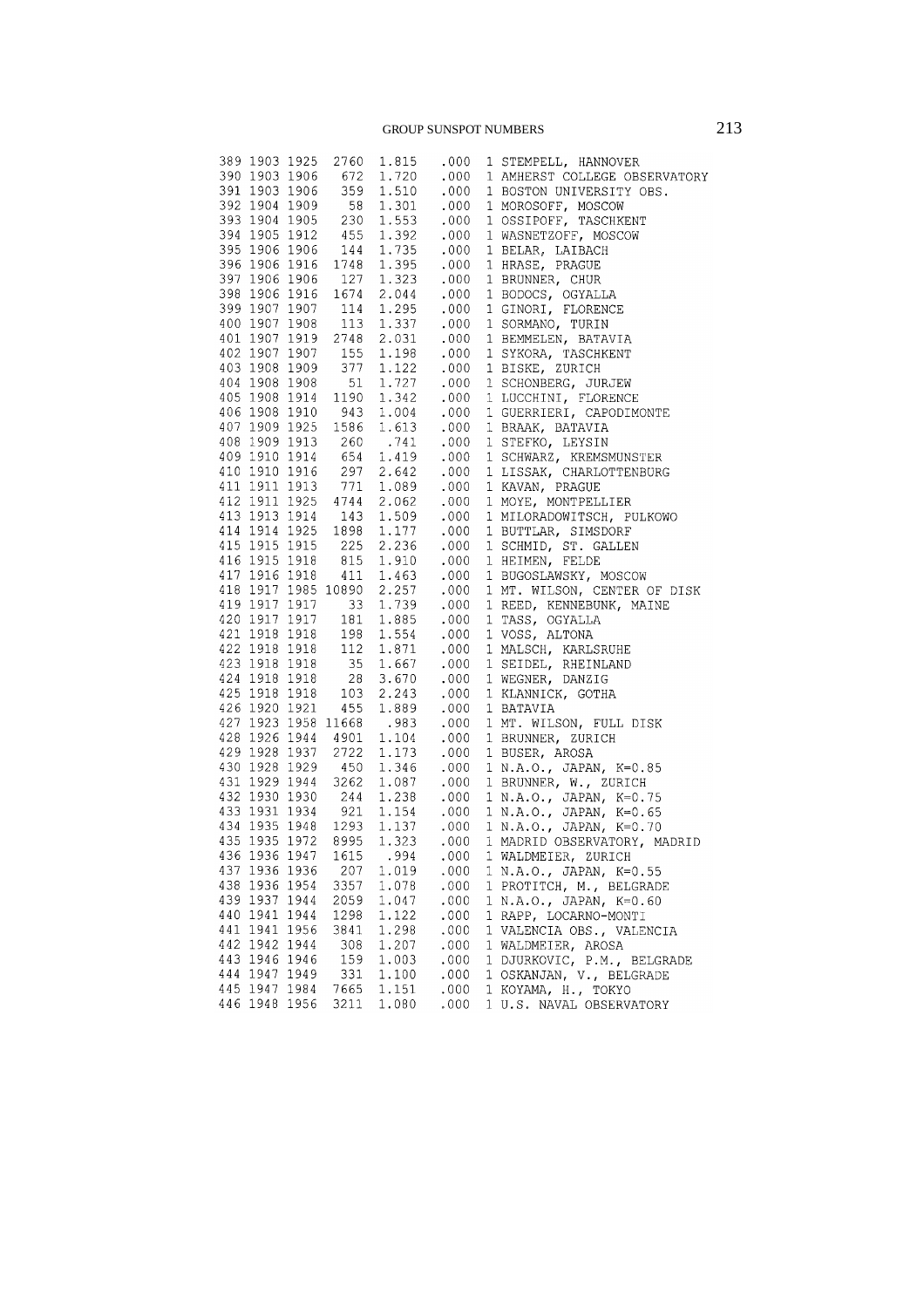|               |      |                                                                                                                                                                                                                                                                                    |      | 1 STEMPELL, HANNOVER              |
|---------------|------|------------------------------------------------------------------------------------------------------------------------------------------------------------------------------------------------------------------------------------------------------------------------------------|------|-----------------------------------|
|               |      |                                                                                                                                                                                                                                                                                    |      | 1 AMHERST COLLEGE OBSERVATORY     |
|               |      |                                                                                                                                                                                                                                                                                    |      | 1 BOSTON UNIVERSITY OBS.          |
|               |      |                                                                                                                                                                                                                                                                                    |      | 1 MOROSOFF, MOSCOW                |
|               |      |                                                                                                                                                                                                                                                                                    |      | 1 OSSIPOFF, TASCHKENT             |
|               |      |                                                                                                                                                                                                                                                                                    |      | 1 WASNETZOFF, MOSCOW              |
|               |      |                                                                                                                                                                                                                                                                                    |      | 1 BELAR, LAIBACH                  |
|               |      |                                                                                                                                                                                                                                                                                    |      | 1 HRASE, PRAGUE                   |
|               |      |                                                                                                                                                                                                                                                                                    |      | 1 BRUNNER, CHUR                   |
|               |      |                                                                                                                                                                                                                                                                                    |      | 1 BODOCS, OGYALLA                 |
|               |      |                                                                                                                                                                                                                                                                                    |      | 1 GINORI, FLORENCE                |
|               |      |                                                                                                                                                                                                                                                                                    |      | 1 SORMANO, TURIN                  |
|               |      |                                                                                                                                                                                                                                                                                    |      | 1 BEMMELEN, BATAVIA               |
|               |      |                                                                                                                                                                                                                                                                                    |      | 1 SYKORA, TASCHKENT               |
|               |      |                                                                                                                                                                                                                                                                                    |      | 1 BISKE, ZURICH                   |
|               |      |                                                                                                                                                                                                                                                                                    |      | 1 SCHONBERG, JURJEW               |
|               |      |                                                                                                                                                                                                                                                                                    |      | 1 LUCCHINI, FLORENCE              |
|               |      |                                                                                                                                                                                                                                                                                    |      | 1 GUERRIERI, CAPODIMONTE          |
|               |      |                                                                                                                                                                                                                                                                                    |      | 1 BRAAK, BATAVIA                  |
|               |      |                                                                                                                                                                                                                                                                                    |      | 1 STEFKO, LEYSIN                  |
|               |      |                                                                                                                                                                                                                                                                                    |      | 1 SCHWARZ, KREMSMUNSTER           |
|               |      |                                                                                                                                                                                                                                                                                    |      | 1 LISSAK, CHARLOTTENBURG          |
|               |      | $\begin{array}{cccc} 389 \ 1903 \ 1925 \ 2760 \ 1.815 \ 0.000 \\ 390 \ 1903 \ 1906 \ 672 \ 1.720 \ 0.000 \\ 391 \ 1903 \ 1906 \ 359 \ 1.510 \ 0.000 \\ 391 \ 1903 \ 1906 \ 359 \ 1.510 \ 0.000 \\ 392 \ 1904 \ 1909 \ 58 \ 1.301 \ 0.000 \\ 393 \ 1904 \ 1905 \ 230 \ 1.553 \ 0.0$ |      | 1 KAVAN, PRAGUE                   |
|               |      |                                                                                                                                                                                                                                                                                    |      | 1 MOYE, MONTPELLIER               |
|               |      |                                                                                                                                                                                                                                                                                    |      | 1 MILORADOWITSCH, PULKOWO         |
|               |      |                                                                                                                                                                                                                                                                                    |      | 1 BUTTLAR, SIMSDORF               |
|               |      |                                                                                                                                                                                                                                                                                    |      | 1 SCHMID, ST. GALLEN              |
|               |      |                                                                                                                                                                                                                                                                                    |      | 1 HEIMEN, FELDE                   |
|               |      | $\begin{array}{cccc} 414&1914&1925&1898&1.177&.000\\ 415&1915&1915&225&2.236&.000\\ 416&1915&1918&815&1.910&.000\\ 417&1916&1918&411&1.463&.000\\ 418&1917&1985&10890&2.257&.000\\ 419&1917&1917&33&1.739&.000\\ 420&1917&1917&181&1.885&.000\\ $                                  |      | 1 BUGOSLAWSKY, MOSCOW             |
|               |      |                                                                                                                                                                                                                                                                                    |      | 1 MT. WILSON, CENTER OF DISK      |
|               |      |                                                                                                                                                                                                                                                                                    |      | 1 REED, KENNEBUNK, MAINE          |
|               |      |                                                                                                                                                                                                                                                                                    |      | 1 TASS, OGYALLA<br>1 VOSS, ALTONA |
|               |      |                                                                                                                                                                                                                                                                                    |      | 1 MALSCH, KARLSRUHE               |
|               |      |                                                                                                                                                                                                                                                                                    |      | 1 SEIDEL, RHEINLAND               |
|               |      |                                                                                                                                                                                                                                                                                    |      | 1 WEGNER, DANZIG                  |
|               |      |                                                                                                                                                                                                                                                                                    |      | 1 KLANNICK, GOTHA                 |
|               |      |                                                                                                                                                                                                                                                                                    |      | 1 BATAVIA                         |
|               |      |                                                                                                                                                                                                                                                                                    |      | 1 MT. WILSON, FULL DISK           |
|               |      |                                                                                                                                                                                                                                                                                    |      | 1 BRUNNER, ZURICH                 |
|               |      | 425 1918 1918 103 2.243 .000<br>426 1920 1921 455 1.889 .000<br>427 1923 1958 11668 .983 .000<br>428 1926 1944 4901 1.104 .000<br>429 1928 1937 2722 1.173 .000                                                                                                                    |      | 1 BUSER, AROSA                    |
|               |      |                                                                                                                                                                                                                                                                                    |      | 1 N.A.O., JAPAN, K=0.85           |
|               |      | $\begin{array}{cccc} 430&1928&1929&450&1.346&.000\\ 431&1929&1944&3262&1.087&.000 \end{array}$                                                                                                                                                                                     |      | 1 BRUNNER, W., ZURICH             |
|               |      |                                                                                                                                                                                                                                                                                    |      | 1 N.A.O., JAPAN, K=0.75           |
|               |      | 432 1930 1930 244 1.238 .000<br>433 1931 1934 921 1.154 .000<br>434 1935 1948 1293 1.137 .000<br>435 1935 1972 8995 1.323 .000                                                                                                                                                     |      | 1 N.A.O., JAPAN, K=0.65           |
|               |      |                                                                                                                                                                                                                                                                                    |      | 1 N.A.O., JAPAN, K=0.70           |
|               |      |                                                                                                                                                                                                                                                                                    |      | 1 MADRID OBSERVATORY, MADRID      |
| 436 1936 1947 | 1615 | .994                                                                                                                                                                                                                                                                               | .000 | 1 WALDMEIER, ZURICH               |
| 437 1936 1936 | 207  | 1.019                                                                                                                                                                                                                                                                              | .000 | 1 N.A.O., JAPAN, K=0.55           |
| 438 1936 1954 | 3357 | 1.078                                                                                                                                                                                                                                                                              | .000 | 1 PROTITCH, M., BELGRADE          |
| 439 1937 1944 | 2059 | 1.047                                                                                                                                                                                                                                                                              | .000 | 1 N.A.O., JAPAN, K=0.60           |
| 440 1941 1944 | 1298 | 1.122                                                                                                                                                                                                                                                                              | .000 | 1 RAPP, LOCARNO-MONTI             |
| 441 1941 1956 | 3841 | 1.298                                                                                                                                                                                                                                                                              | .000 | 1 VALENCIA OBS., VALENCIA         |
| 442 1942 1944 | 308  | 1.207                                                                                                                                                                                                                                                                              | .000 | 1 WALDMEIER, AROSA                |
| 443 1946 1946 | 159  | 1.003                                                                                                                                                                                                                                                                              | .000 | 1 DJURKOVIC, P.M., BELGRADE       |
| 444 1947 1949 | 331  | 1.100                                                                                                                                                                                                                                                                              | .000 | 1 OSKANJAN, V., BELGRADE          |
| 445 1947 1984 | 7665 | 1.151                                                                                                                                                                                                                                                                              | .000 | 1 KOYAMA, H., TOKYO               |
| 446 1948 1956 | 3211 | 1.080                                                                                                                                                                                                                                                                              | .000 | 1 U.S. NAVAL OBSERVATORY          |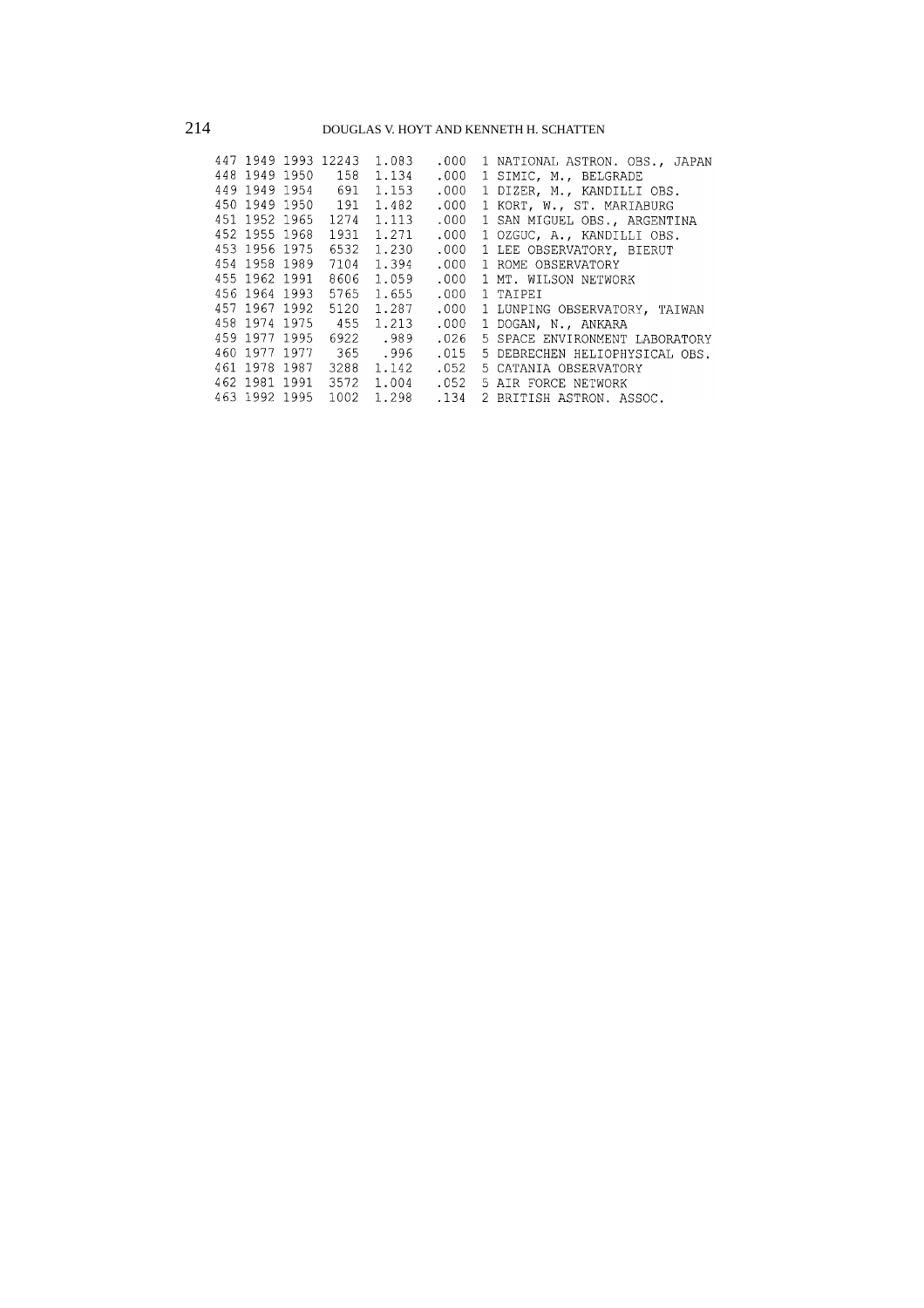|  |               |                    | 447 1949 1993 12243 1.083 | .000 | 1 NATIONAL ASTRON. OBS., JAPAN                         |
|--|---------------|--------------------|---------------------------|------|--------------------------------------------------------|
|  | 448 1949 1950 | 158                | 1.134                     | .000 | 1 SIMIC, M., BELGRADE                                  |
|  |               | 449 1949 1954 691  | 1.153                     | .000 | 1 DIZER, M., KANDILLI OBS.                             |
|  |               | 450 1949 1950 191  | 1.482                     | .000 | 1 KORT, W., ST. MARIABURG                              |
|  |               | 451 1952 1965 1274 | 1.113                     | 000. | 1 SAN MIGUEL OBS., ARGENTINA                           |
|  | 452 1955 1968 | 1931               | 1.271                     | .000 | 1 OZGUC, A., KANDILLI OBS.                             |
|  | 453 1956 1975 | 6532               | 1.230                     | .000 | 1 LEE OBSERVATORY, BIERUT                              |
|  |               |                    | 454 1958 1989 7104 1.394  |      | .000 1 ROME OBSERVATORY                                |
|  | 455 1962 1991 | 8606               | 1.059                     | .000 | 1 MT. WILSON NETWORK                                   |
|  | 456 1964 1993 | 5765               | 1.655                     | .000 | 1 TAIPEI                                               |
|  | 457 1967 1992 | 5120               | 1.287                     | .000 | 1 LUNPING OBSERVATORY, TAIWAN                          |
|  |               |                    | 458 1974 1975 455 1.213   | .000 | 1 DOGAN, N., ANKARA                                    |
|  | 459 1977 1995 |                    | 6922.989                  | .026 | 5 SPACE ENVIRONMENT LABORATORY                         |
|  |               |                    | 460 1977 1977 365 .996    | .015 | 5 DEBRECHEN HELIOPHYSICAL OBS.                         |
|  |               |                    | 461 1978 1987 3288 1.142  | .052 | 5 CATANIA OBSERVATORY                                  |
|  |               |                    | 462 1981 1991 3572 1.004  |      | .052 5 AIR FORCE NETWORK                               |
|  |               |                    |                           |      | 463 1992 1995 1002 1.298 .134 2 BRITISH ASTRON. ASSOC. |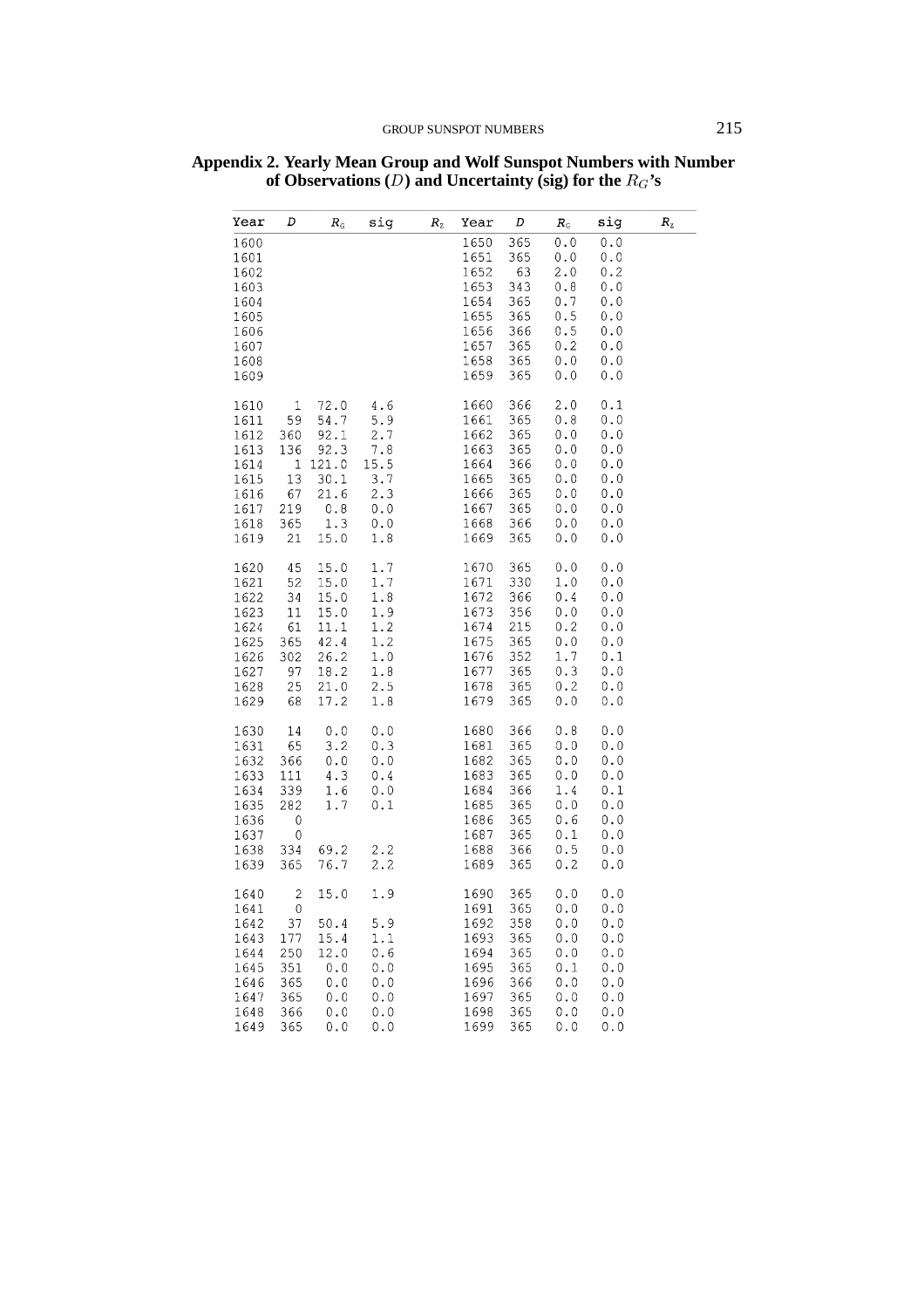| Year | D            | $R_{\scriptscriptstyle\rm G}$ | sig   | $R_{2}$ | Year | D   | $R_{\scriptscriptstyle\rm G}$ | sig | $R_{\rm z}$ |
|------|--------------|-------------------------------|-------|---------|------|-----|-------------------------------|-----|-------------|
| 1600 |              |                               |       |         | 1650 | 365 | 0.0                           | 0.0 |             |
| 1601 |              |                               |       |         | 1651 | 365 | 0.0                           | 0.0 |             |
| 1602 |              |                               |       |         | 1652 | 63  | 2.0                           | 0.2 |             |
| 1603 |              |                               |       |         | 1653 | 343 | 0.8                           | 0.0 |             |
| 1604 |              |                               |       |         | 1654 | 365 | 0.7                           | 0.0 |             |
| 1605 |              |                               |       |         | 1655 | 365 | 0.5                           | 0.0 |             |
| 1606 |              |                               |       |         | 1656 | 366 | 0.5                           | 0.0 |             |
| 1607 |              |                               |       |         | 1657 | 365 | 0.2                           | 0.0 |             |
| 1608 |              |                               |       |         | 1658 | 365 | 0.0                           | 0.0 |             |
| 1609 |              |                               |       |         | 1659 | 365 | 0.0                           | 0.0 |             |
| 1610 | $\mathbf{1}$ | 72.0                          | 4.6   |         | 1660 | 366 | 2.0                           | 0.1 |             |
| 1611 | 59           | 54.7                          | 5.9   |         | 1661 | 365 | 0.8                           | 0.0 |             |
| 1612 | 360          | 92.1                          | 2.7   |         | 1662 | 365 | 0.0                           | 0.0 |             |
| 1613 | 136          | 92.3                          | 7.8   |         | 1663 | 365 | 0.0                           | 0.0 |             |
| 1614 | 1            | 121.0                         | 15.5  |         | 1664 | 366 | 0.0                           | 0.0 |             |
| 1615 | 13           | 30.1                          | 3.7   |         | 1665 | 365 | 0.0                           | 0.0 |             |
| 1616 | 67           | 21.6                          | 2.3   |         | 1666 | 365 | 0.0                           | 0.0 |             |
|      | 219          | $0\,.8$                       | 0.0   |         | 1667 | 365 | 0.0                           | 0.0 |             |
| 1617 |              |                               |       |         |      |     |                               |     |             |
| 1618 | 365          | 1.3                           | 0.0   |         | 1668 | 366 | 0.0                           | 0.0 |             |
| 1619 | 21           | 15.0                          | 1.8   |         | 1669 | 365 | 0.0                           | 0.0 |             |
| 1620 | 45           | 15.0                          | 1.7   |         | 1670 | 365 | 0.0                           | 0.0 |             |
| 1621 | 52           | 15.0                          | 1.7   |         | 1671 | 330 | 1.0                           | 0.0 |             |
| 1622 | 34           | 15.0                          | 1.8   |         | 1672 | 366 | 0.4                           | 0.0 |             |
| 1623 | 11           | 15.0                          | 1.9   |         | 1673 | 356 | 0.0                           | 0.0 |             |
| 1624 | 61           | 11.1                          | 1.2   |         | 1674 | 215 | 0.2                           | 0.0 |             |
| 1625 | 365          | 42.4                          | 1.2   |         | 1675 | 365 | 0.0                           | 0.0 |             |
| 1626 | 302          | 26.2                          | 1.0   |         | 1676 | 352 | 1.7                           | 0.1 |             |
| 1627 | 97           | 18.2                          | 1.8   |         | 1677 | 365 | 0.3                           | 0.0 |             |
| 1628 | 25           | 21.0                          | 2.5   |         | 1678 | 365 | 0.2                           | 0.0 |             |
| 1629 | 68           | 17.2                          | 1.8   |         | 1679 | 365 | 0.0                           | 0.0 |             |
| 1630 | 14           | 0.0                           | 0.0   |         | 1680 | 366 | 0.8                           | 0.0 |             |
| 1631 | 65           | 3.2                           | 0.3   |         | 1681 | 365 | 0.0                           | 0.0 |             |
| 1632 | 366          | 0.0                           | 0.0   |         | 1682 | 365 | 0.0                           | 0.0 |             |
| 1633 | 111          | 4.3                           | 0.4   |         | 1683 | 365 | 0.0                           | 0.0 |             |
| 1634 | 339          | 1.6                           | $0.0$ |         | 1684 | 366 | 1.4                           | 0.1 |             |
| 1635 | 282          | 1.7                           | 0.1   |         | 1685 | 365 | 0.0                           | 0.0 |             |
| 1636 | 0            |                               |       |         | 1686 | 365 | 0.6                           | 0.0 |             |
| 1637 | 0            |                               |       |         | 1687 | 365 | 0.1                           | 0.0 |             |
| 1638 | 334          | 69.2                          | 2.2   |         | 1688 | 366 | 0.5                           | 0.0 |             |
| 1639 | 365          | 76.7                          | 2.2   |         | 1689 | 365 | $0.2\,$                       | 0.0 |             |
| 1640 | 2            | 15.0                          | 1.9   |         | 1690 | 365 | 0.0                           | 0.0 |             |
|      |              |                               |       |         | 1691 |     |                               | 0.0 |             |
| 1641 | 0            |                               |       |         |      | 365 | 0.0                           |     |             |
| 1642 | 37           | 50.4                          | 5.9   |         | 1692 | 358 | 0.0                           | 0.0 |             |
| 1643 | 177          | 15.4                          | 1.1   |         | 1693 | 365 | 0.0                           | 0.0 |             |
| 1644 | 250          | 12.0                          | 0.6   |         | 1694 | 365 | 0.0                           | 0.0 |             |
| 1645 | 351          | 0.0                           | 0.0   |         | 1695 | 365 | 0.1                           | 0.0 |             |
| 1646 | 365          | 0.0                           | 0.0   |         | 1696 | 366 | 0.0                           | 0.0 |             |
| 1647 | 365          | 0.0                           | 0.0   |         | 1697 | 365 | 0.0                           | 0.0 |             |
| 1648 | 366          | 0.0                           | 0.0   |         | 1698 | 365 | 0.0                           | 0.0 |             |
| 1649 | 365          | 0.0                           | 0.0   |         | 1699 | 365 | 0.0                           | 0.0 |             |

### **Appendix 2. Yearly Mean Group and Wolf Sunspot Numbers with Number of Observations (**D**) and Uncertainty (sig) for the** RG**'s**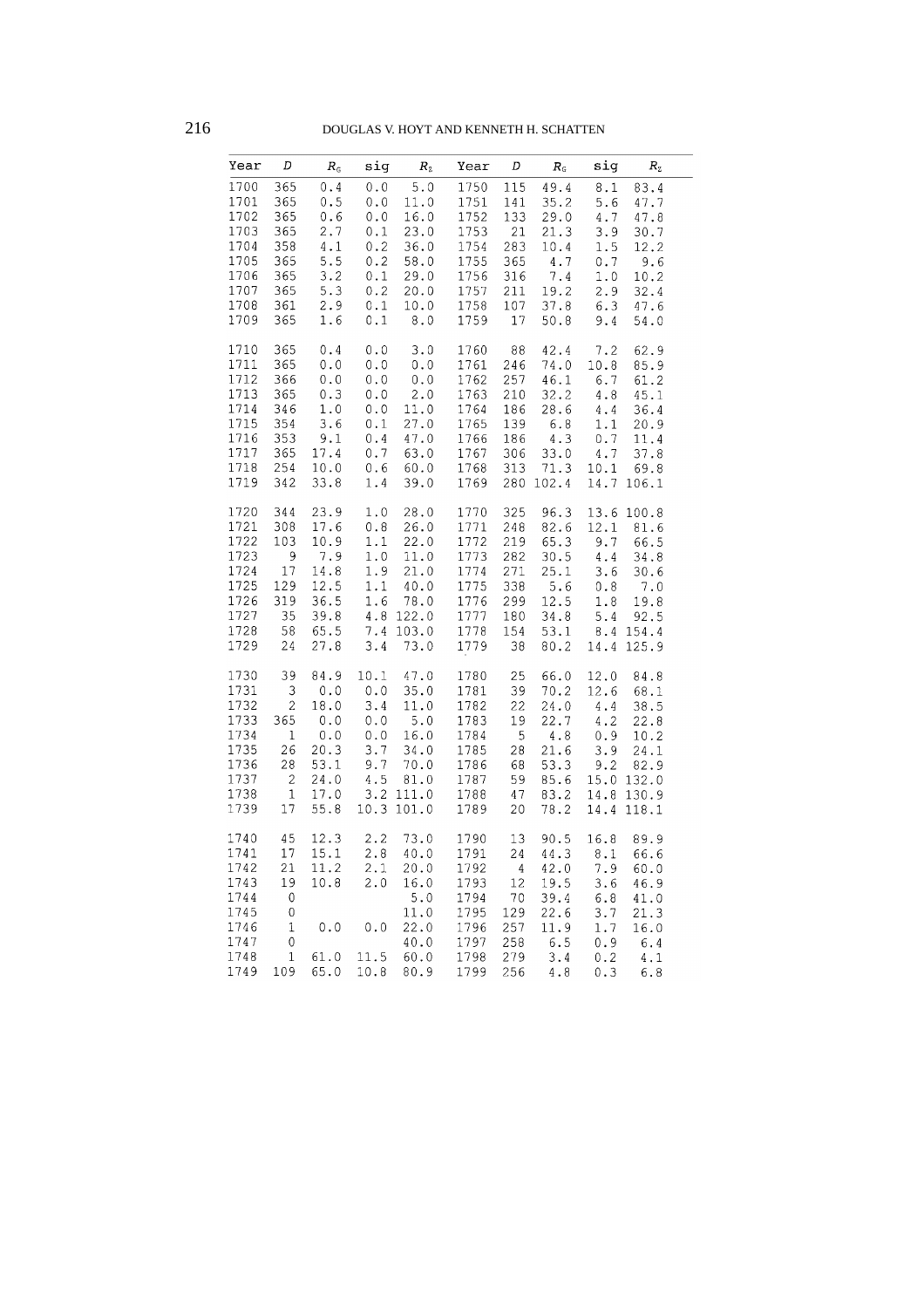| Year                                                                         | D                                                                                                                                                  | $R_{\scriptscriptstyle \rm G}$                                                                   | sig                                                                                 | $R_{\rm z}$                                                                              | Year                                                                         | D                                                                 | $R_{\scriptscriptstyle\rm G}$                                               | sig                                                                 | $R_{\rm z}$                                                                                    |  |
|------------------------------------------------------------------------------|----------------------------------------------------------------------------------------------------------------------------------------------------|--------------------------------------------------------------------------------------------------|-------------------------------------------------------------------------------------|------------------------------------------------------------------------------------------|------------------------------------------------------------------------------|-------------------------------------------------------------------|-----------------------------------------------------------------------------|---------------------------------------------------------------------|------------------------------------------------------------------------------------------------|--|
| 1700<br>1701<br>1702<br>1703<br>1704<br>1705<br>1706<br>1707                 | 365<br>365<br>365<br>365<br>358<br>365<br>365<br>365                                                                                               | 0.4<br>0.5<br>0.6<br>2.7<br>$4\,.1$<br>$5.5$<br>3.2<br>5.3                                       | $0.0$<br>0.0<br>0.0<br>$0\,\ldotp 1$<br>0.2<br>0.2<br>$0\,.1$<br>0.2                | 5.0<br>11.0<br>16.0<br>23.0<br>36.0<br>58.0<br>29.0<br>20.0                              | 1750<br>1751<br>1752<br>1753<br>1754<br>1755<br>1756<br>1757                 | 115<br>141<br>133<br>21<br>283<br>365<br>316<br>211               | 49.4<br>35.2<br>29.0<br>21.3<br>10.4<br>4.7<br>7.4<br>19.2                  | $\bf 8.1$<br>5.6<br>4.7<br>3.9<br>1.5<br>$0\,.7$<br>1.0<br>2.9      | 83.4<br>47.7<br>47.8<br>30.7<br>12.2<br>9.6<br>10.2<br>32.4                                    |  |
| 1708<br>1709<br>1710                                                         | 361<br>365<br>365                                                                                                                                  | 2.9<br>1.6<br>0.4                                                                                | 0.1<br>$\ensuremath{\text{o}} \xspace$ .<br>1<br>$0.0$                              | 10.0<br>8.0<br>3.0                                                                       | 1758<br>1759<br>1760                                                         | 107<br>17<br>88                                                   | 37.8<br>50.8<br>42.4                                                        | 6.3<br>9.4<br>7.2                                                   | 47.6<br>54.0<br>62.9                                                                           |  |
| 1711<br>1712<br>1713<br>1714<br>1715<br>1716<br>1717<br>1718<br>1719         | 365<br>366<br>365<br>346<br>354<br>353<br>365<br>254<br>342                                                                                        | 0.0<br>${\bf 0}$ . ${\bf 0}$<br>0.3<br>1.0<br>$rac{1}{3 \cdot 6}$<br>9.1<br>17.4<br>10.0<br>33.8 | 0.0<br>0.0<br>${\bf 0}$ . ${\bf 0}$<br>$0.0$<br>0.1<br>0.4<br>0.7<br>$0.6\,$<br>1.4 | 0.0<br>0.0<br>2.0<br>11.0<br>27.0<br>47.0<br>63.0<br>60.0<br>39.0                        | 1761<br>1762<br>1763<br>1764<br>1765<br>1766<br>1767<br>1768<br>1769         | 246<br>257<br>210<br>186<br>139<br>186<br>306<br>280              | 74.0<br>46.1<br>32.2<br>28.6<br>6.8<br>4.3<br>33.0<br>313 71.3<br>102.4     | 10.8<br>6.7<br>4.8<br>4.4<br>1.1<br>0.7<br>4.7<br>10.1              | 85.9<br>61.2<br>45.1<br>36.4<br>20.9<br>11.4<br>37.8<br>69.8<br>14.7 106.1                     |  |
| 1720<br>1721<br>1722<br>1723<br>1724<br>1725<br>1726<br>1727<br>1728<br>1729 | 344<br>308<br>103<br>$\overline{9}$<br>17<br>129<br>319<br>- 35<br>58<br>24                                                                        | 23.9<br>17.6<br>10.9<br>7.9<br>14.8<br>12.5<br>36.5<br>39.8<br>65.5<br>27.8                      | 1.0<br>$0\,.8$<br>$1\,.1$<br>$1.0$<br>1.9<br>1.1<br>1.6<br>$4.8$                    | 28.0<br>26.0<br>22.0<br>11.0<br>21.0<br>40.0<br>78.0<br>122.0<br>7.4 103.0<br>$3.4$ 73.0 | 1770<br>1771<br>1772<br>1773<br>1774<br>1775<br>1776<br>1777<br>1778<br>1779 | 325<br>248<br>219<br>282<br>271<br>338<br>299<br>180<br>154<br>38 | 96.3<br>82.6<br>65.3<br>30.5<br>25.1<br>5.6<br>12.5<br>34.8<br>53.1<br>80.2 | 13.6<br>12.1<br>9.7<br>4.4<br>3.6<br>1.8<br>5.4                     | 100.8<br>81.6<br>66.5<br>34.8<br>30.6<br>$0.8$ 7.0<br>19.8<br>92.5<br>8.4 154.4<br>14.4 125.9  |  |
| 1730<br>1731<br>1732<br>1733<br>1734<br>1735<br>1736<br>1737<br>1738<br>1739 | 39<br>$\overline{\phantom{a}}$<br>$\mathbf{2}$<br>365<br>$\mathbf{1}$<br>26<br>28<br>$\overline{\phantom{a}}$<br>$\overline{\mathbf{1}}$<br>$17\,$ | 84.9<br>0.0<br>18.0<br>0.0<br>0.0<br>20.3<br>53.1<br>24.0<br>17.0<br>55.8                        | 10.1<br>0.0<br>3.4<br>0.0<br>0.0<br>3.7<br>9.7<br>4.5                               | 47.0<br>35.0<br>11.0<br>5.0<br>16.0<br>34.0<br>70.0<br>81.0<br>$3.2$ 111.0<br>10.3 101.0 | 1780<br>1781<br>1782<br>1783<br>1784<br>1785<br>1786<br>1787<br>1788<br>1789 | 25<br>39<br>22<br>19<br>$-5$<br>28<br>68<br>59<br>47<br>20        | 66.0<br>70.2<br>24.0<br>22.7<br>4.8<br>21.6<br>53.3<br>85.6<br>83.2<br>78.2 | 12.6<br>4.4<br>4.2<br>0.9<br>3.9<br>9.2<br>14.4                     | 12.0 84.8<br>68.1<br>38.5<br>22.8<br>10.2<br>24.1<br>82.9<br>15.0 132.0<br>14.8 130.9<br>118.1 |  |
| 1740<br>1741<br>1742<br>1743<br>1744<br>1745<br>1746<br>1747<br>1748<br>1749 | $4\,5$<br>17<br>21<br>19<br>0<br>0<br>1<br>0<br>$\,1$<br>109                                                                                       | 12.3<br>15.1<br>11.2<br>10.8<br>0.0<br>61.0<br>65.0                                              | 2.2<br>2.8<br>2.1<br>2.0<br>0.0<br>11.5<br>10.8                                     | 73.0<br>40.0<br>20.0<br>16.0<br>5.0<br>11.0<br>22.0<br>40.0<br>60.0<br>80.9              | 1790<br>1791<br>1792<br>1793<br>1794<br>1795<br>1796<br>1797<br>1798<br>1799 | 13<br>24<br>4<br>12<br>70<br>129<br>257<br>258<br>279<br>256      | 90.5<br>44.3<br>42.0<br>19.5<br>39.4<br>22.6<br>11.9<br>6.5<br>3.4<br>4.8   | 16.8<br>8.1<br>7.9<br>3.6<br>6.8<br>3.7<br>1.7<br>0.9<br>0.2<br>0.3 | 89.9<br>66.6<br>60.0<br>46.9<br>41.0<br>21.3<br>16.0<br>6.4<br>4.1<br>6.8                      |  |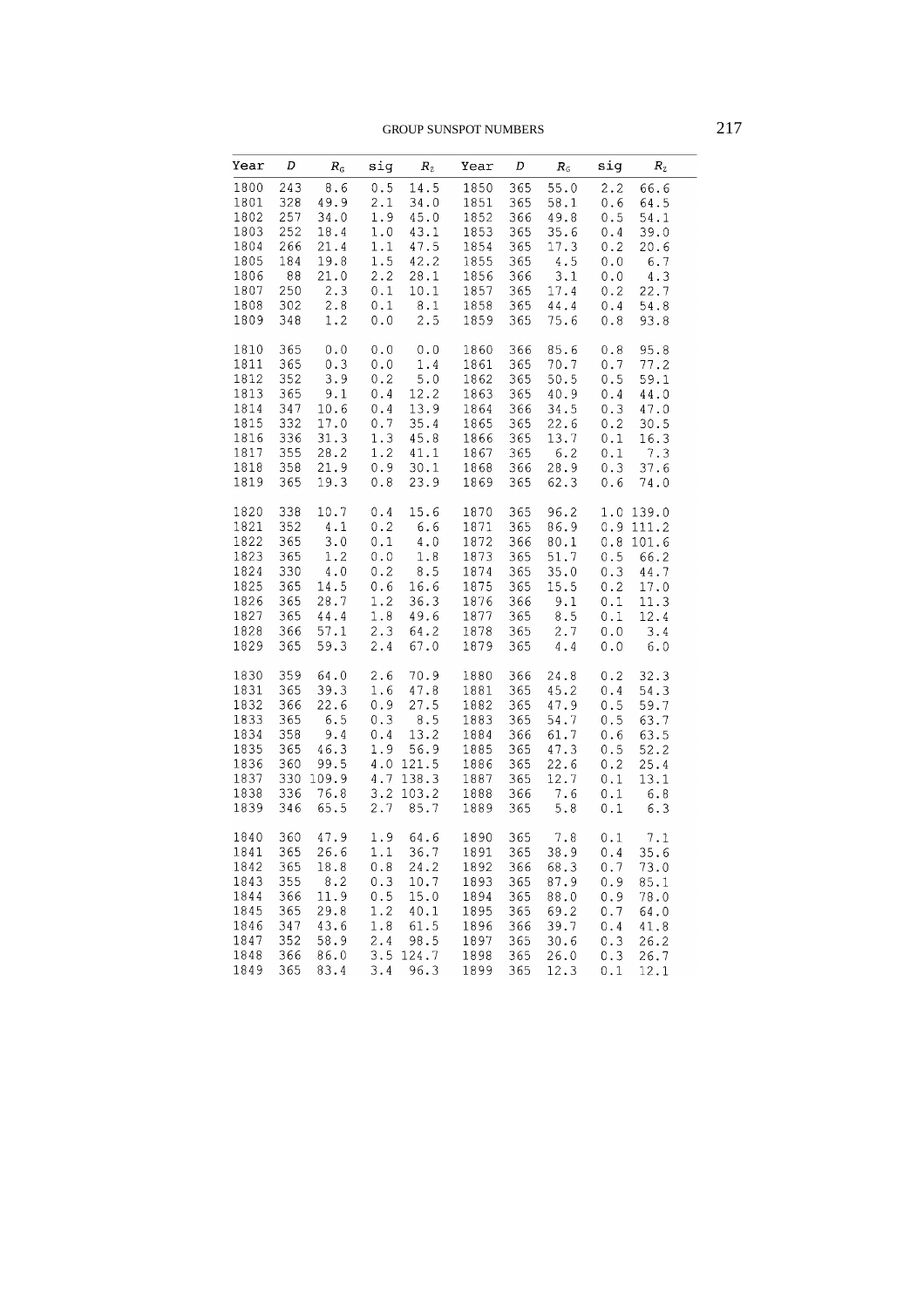| Year                                                                         | D                                                                   | $R_{\scriptscriptstyle\rm G}$                                               | siq                                                                  | $R_{\rm{Z}}$                                                                                  | Year                                                                         | D                                                                  | $R_{\rm G}$                                                                       | sig                                                                                                                  | $R_{\rm Z}$                                                                             |
|------------------------------------------------------------------------------|---------------------------------------------------------------------|-----------------------------------------------------------------------------|----------------------------------------------------------------------|-----------------------------------------------------------------------------------------------|------------------------------------------------------------------------------|--------------------------------------------------------------------|-----------------------------------------------------------------------------------|----------------------------------------------------------------------------------------------------------------------|-----------------------------------------------------------------------------------------|
| 1800<br>1801<br>1802<br>1803<br>1804<br>1805<br>1806<br>1807<br>1808<br>1809 | 243<br>328<br>257<br>252<br>266<br>184<br>- 88<br>250<br>302<br>348 | 8.6<br>49.9<br>34.0<br>18.4<br>21.4<br>19.8<br>21.0<br>2.3<br>2.8<br>1.2    | 0.5<br>2.1<br>1.9<br>1.0<br>1.1<br>1.5<br>2.2<br>0.1<br>0.1<br>0.0   | 14.5<br>34.0<br>45.0<br>43.1<br>47.5<br>42.2<br>28.1<br>10.1<br>8.1<br>2.5                    | 1850<br>1851<br>1852<br>1853<br>1854<br>1855<br>1856<br>1857<br>1858<br>1859 | 365<br>365<br>366<br>365<br>365<br>365<br>366<br>365<br>365<br>365 | 55.0<br>58.1<br>49.8<br>35.6<br>17.3<br>$\frac{4.5}{3.1}$<br>17.4<br>44.4<br>75.6 | 2.2<br>0.6<br>0.5<br>0.4<br>0.2<br>0.0<br>0.0<br>0.2<br>0.4<br>$0.8$                                                 | 66.6<br>64.5<br>54.1<br>39.0<br>20.6<br>6.7<br>4.3<br>22.7<br>54.8<br>93.8              |
| 1810<br>1811<br>1812<br>1813<br>1814<br>1815<br>1816<br>1817<br>1818<br>1819 | 365<br>365<br>352<br>365<br>347<br>332<br>336<br>355<br>358<br>365  | $0.0$<br>0.3<br>3.9<br>9.1<br>10.6<br>17.0<br>31.3<br>28.2<br>21.9<br>19.3  | $0.0$<br>0.0<br>0.2<br>0.4<br>0.4<br>0.7<br>1.3<br>1.2<br>0.9<br>0.8 | $0.0$<br>1.4<br>5.0<br>12.2<br>13.9<br>35.4<br>45.8<br>41.1<br>30.1<br>23.9                   | 1860<br>1861<br>1862<br>1863<br>1864<br>1865<br>1866<br>1867<br>1868<br>1869 | 366<br>365<br>365<br>365<br>366<br>365<br>365<br>365<br>366<br>365 | 85.6<br>70.7<br>50.5<br>40.9<br>34.5<br>22.6<br>13.7<br>6.2<br>28.9<br>62.3       | $\ensuremath{\mathbf{0}}$ . $\ensuremath{\mathbf{8}}$<br>0.7<br>0.5<br>0.4<br>0.3<br>0.2<br>0.1<br>0.1<br>0.3<br>0.6 | 95.8<br>77.2<br>59.1<br>44.0<br>47.0<br>30.5<br>16.3<br>7.3<br>37.6<br>74.0             |
| 1820<br>1821<br>1822<br>1823<br>1824<br>1825<br>1826<br>1827<br>1828<br>1829 | 338<br>352<br>365<br>365<br>330<br>365<br>365<br>365<br>366<br>365  | 10.7<br>4.1<br>3.0<br>1.2<br>4.0<br>14.5<br>28.7<br>44.4<br>57.1<br>59.3    | 0.4<br>0.2<br>0.1<br>0.0<br>0.2<br>0.6<br>1.2<br>1.8<br>2.3<br>2.4   | 15.6<br>6.6<br>4.0<br>1.8<br>8.5<br>16.6<br>36.3<br>49.6<br>64.2<br>67.0                      | 1870<br>1871<br>1872<br>1873<br>1874<br>1875<br>1876<br>1877<br>1878<br>1879 | 365<br>365<br>366<br>365<br>365<br>365<br>366<br>365<br>365<br>365 | 96.2<br>86.9<br>80.1<br>51.7<br>35.0<br>15.5<br>9.1<br>8.5<br>2.7<br>4.4          | 0.8<br>0.5<br>0.3<br>0.2<br>0.1<br>0.1<br>0.0<br>0.0                                                                 | 1.0 139.0<br>$0.9$ 111.2<br>101.6<br>66.2<br>44.7<br>17.0<br>11.3<br>12.4<br>3.4<br>6.0 |
| 1830<br>1831<br>1832<br>1833<br>1834<br>1835<br>1836<br>1837<br>1838<br>1839 | 359<br>365<br>366<br>365<br>358<br>365<br>360<br>330<br>336<br>346  | 64.0<br>39.3<br>22.6<br>6.5<br>9.4<br>46.3<br>99.5<br>109.9<br>76.8<br>65.5 | $2\,.6$<br>1.6<br>0.9<br>0.3<br>0.4<br>1.9                           | 70.9<br>47.8<br>27.5<br>8.5<br>13.2<br>56.9<br>4.0 121.5<br>4.7 138.3<br>3.2 103.2<br>2.785.7 | 1880<br>1881<br>1882<br>1883<br>1884<br>1885<br>1886<br>1887<br>1888<br>1889 | 366<br>365<br>365<br>365<br>366<br>365<br>365<br>365<br>366<br>365 | 24.8<br>45.2<br>47.9<br>54.7<br>61.7<br>47.3<br>22.6<br>12.7<br>7.6<br>5.8        | 0.2<br>$\ensuremath{0}$ . $\ensuremath{4}$<br>0.5<br>0.5<br>0.6<br>0.5<br>0.2<br>0.1<br>0.1<br>0.1                   | 32.3<br>54.3<br>59.7<br>63.7<br>63.5<br>52.2<br>25.4<br>13.1<br>6.8<br>6.3              |
| 1840<br>1841<br>1842<br>1843<br>1844<br>1845<br>1846<br>1847<br>1848<br>1849 | 360<br>365<br>365<br>355<br>366<br>365<br>347<br>352<br>366<br>365  | 47.9<br>26.6<br>18.8<br>8.2<br>11.9<br>29.8<br>43.6<br>58.9<br>86.0<br>83.4 | 1.9<br>1.1<br>0.8<br>0.3<br>0.5<br>1.2<br>1.8<br>2.4<br>3.5<br>3.4   | 64.6<br>36.7<br>24.2<br>10.7<br>15.0<br>40.1<br>61.5<br>98.5<br>124.7<br>96.3                 | 1890<br>1891<br>1892<br>1893<br>1894<br>1895<br>1896<br>1897<br>1898<br>1899 | 365<br>365<br>366<br>365<br>365<br>365<br>366<br>365<br>365<br>365 | 7.8<br>38.9<br>68.3<br>87.9<br>88.0<br>69.2<br>39.7<br>30.6<br>26.0<br>12.3       | 0.1<br>0.4<br>0.7<br>0.9<br>0.9<br>0.7<br>0.4<br>0.3<br>0.3<br>0.1                                                   | 7.1<br>35.6<br>73.0<br>85.1<br>78.0<br>64.0<br>41.8<br>26.2<br>26.7<br>12.1             |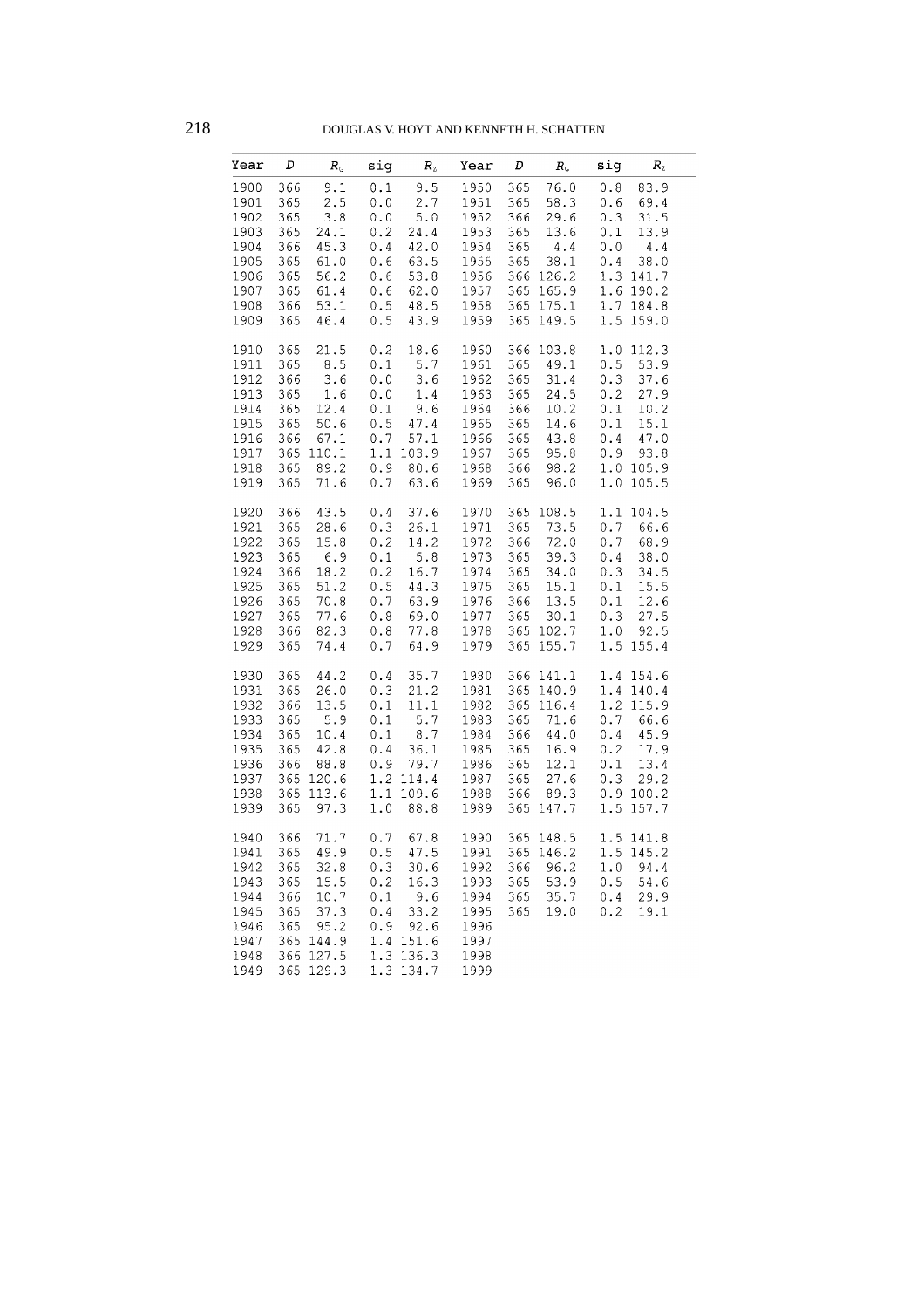## DOUGLAS V. HOYT AND KENNETH H. SCHATTEN

| Year                                                                         | D                                                                  | $R_{\scriptscriptstyle\rm G}$                                                   | siq                                                                    | $R_{\rm z}$                                                                        | Year                                                                         | D                                                                  | $R_{\rm G}$                                                                             | sig                                                                    | $R_{2}$                                                                           |
|------------------------------------------------------------------------------|--------------------------------------------------------------------|---------------------------------------------------------------------------------|------------------------------------------------------------------------|------------------------------------------------------------------------------------|------------------------------------------------------------------------------|--------------------------------------------------------------------|-----------------------------------------------------------------------------------------|------------------------------------------------------------------------|-----------------------------------------------------------------------------------|
| 1900<br>1901<br>1902<br>1903<br>1904<br>1905<br>1906<br>1907<br>1908<br>1909 | 366<br>365<br>365<br>365<br>366<br>365<br>365<br>365<br>366<br>365 | 9.1<br>2.5<br>3.8<br>24.1<br>45.3<br>61.0<br>56.2<br>61.4<br>53.1<br>46.4       | 0.1<br>0.0<br>0.0<br>0.2<br>0.4<br>0.6<br>0.6<br>0.6<br>0.5<br>0.5     | 9.5<br>2.7<br>5.0<br>24.4<br>42.0<br>63.5<br>53.8<br>62.0<br>48.5<br>43.9          | 1950<br>1951<br>1952<br>1953<br>1954<br>1955<br>1956<br>1957<br>1958<br>1959 | 365<br>365<br>366<br>365<br>365<br>365<br>365<br>365<br>365        | 76.0<br>58.3<br>29.6<br>13.6<br>$4.4\,$<br>38.1<br>366 126.2<br>165.9<br>175.1<br>149.5 | 0.8<br>0.6<br>0.3<br>0.1<br>0.0<br>0.4<br>1.3<br>1.6<br>1.7<br>1.5     | 83.9<br>69.4<br>31.5<br>13.9<br>4.4<br>38.0<br>141.7<br>190.2<br>184.8<br>159.0   |
| 1910<br>1911<br>1912<br>1913<br>1914<br>1915<br>1916<br>1917<br>1918<br>1919 | 365<br>365<br>366<br>365<br>365<br>365<br>366<br>365<br>365<br>365 | 21.5<br>8.5<br>3.6<br>1.6<br>12.4<br>50.6<br>67.1<br>110.1<br>89.2<br>71.6      | 0.2<br>0.1<br>$0.0$<br>0.0<br>0.1<br>0.5<br>0.7<br>0.9<br>0.7          | 18.6<br>5.7<br>3.6<br>1.4<br>9.6<br>47.4<br>57.1<br>1.1 103.9<br>80.6<br>63.6      | 1960<br>1961<br>1962<br>1963<br>1964<br>1965<br>1966<br>1967<br>1968<br>1969 | 366<br>365<br>365<br>365<br>366<br>365<br>365<br>365<br>366<br>365 | 103.8<br>49.1<br>31.4<br>24.5<br>10.2<br>14.6<br>43.8<br>95.8<br>98.2<br>96.0           | 1.0<br>0.5<br>0.3<br>0.2<br>0.1<br>0.1<br>$0.4\,$<br>0.9<br>1.0<br>1.0 | 112.3<br>53.9<br>37.6<br>27.9<br>10.2<br>15.1<br>47.0<br>93.8<br>105.9<br>105.5   |
| 1920<br>1921<br>1922<br>1923<br>1924<br>1925<br>1926<br>1927<br>1928<br>1929 | 366<br>365<br>365<br>365<br>366<br>365<br>365<br>365<br>366<br>365 | 43.5<br>28.6<br>15.8<br>6.9<br>18.2<br>51.2<br>70.8<br>77.6<br>82.3<br>74.4     | 0.4<br>0.3<br>0.2<br>0.1<br>0.2<br>0.5<br>$0.7\,$<br>0.8<br>0.8<br>0.7 | 37.6<br>26.1<br>14.2<br>5.8<br>16.7<br>44.3<br>63.9<br>69.0<br>77.8<br>64.9        | 1970<br>1971<br>1972<br>1973<br>1974<br>1975<br>1976<br>1977<br>1978<br>1979 | 365<br>365<br>366<br>365<br>365<br>365<br>366<br>365<br>365<br>365 | 108.5<br>73.5<br>72.0<br>39.3<br>34.0<br>15.1<br>13.5<br>30.1<br>102.7<br>155.7         | 1.1<br>0.7<br>$0.7\,$<br>0.4<br>0.3<br>0.1<br>0.1<br>0.3<br>1.0<br>1.5 | 104.5<br>66.6<br>68.9<br>38.0<br>34.5<br>15.5<br>12.6<br>27.5<br>92.5<br>155.4    |
| 1930<br>1931<br>1932<br>1933<br>1934<br>1935<br>1936<br>1937<br>1938<br>1939 | 365<br>365<br>366<br>365<br>365<br>365<br>366<br>365<br>365<br>365 | 44.2<br>26.0<br>13.5<br>5.9<br>10.4<br>42.8<br>88.8<br>120.6<br>113.6<br>97.3   | 0.4<br>0.3<br>$0.1\,$<br>0.1<br>0.1<br>0.4<br>0.9<br>1.1<br>1.0        | 35.7<br>21.2<br>11.1<br>5.7<br>8.7<br>36.1<br>79.7<br>1.2 114.4<br>109.6<br>88.8   | 1980<br>1981<br>1982<br>1983<br>1984<br>1985<br>1986<br>1987<br>1988<br>1989 | 366<br>365<br>365<br>365<br>366<br>365<br>365<br>365<br>366<br>365 | 141.1<br>140.9<br>116.4<br>71.6<br>44.0<br>16.9<br>12.1<br>27.6<br>89.3<br>147.7        | 1.4<br>1.4<br>1.2<br>0.7<br>0.4<br>0.2<br>0.1<br>0.3<br>0.9<br>1.5     | 154.6<br>140.4<br>115.9<br>66.6<br>45.9<br>17.9<br>13.4<br>29.2<br>100.2<br>157.7 |
| 1940<br>1941<br>1942<br>1943<br>1944<br>1945<br>1946<br>1947<br>1948<br>1949 | 366<br>365<br>365<br>365<br>366<br>365<br>365<br>365<br>366<br>365 | 71.7<br>49.9<br>32.8<br>15.5<br>10.7<br>37.3<br>95.2<br>144.9<br>127.5<br>129.3 | 0.7<br>0.5<br>0.3<br>0.2<br>0.1<br>$0\,.4$<br>0.9<br>1.4<br>1.3        | 67.8<br>47.5<br>30.6<br>16.3<br>9.6<br>33.2<br>92.6<br>151.6<br>136.3<br>1.3 134.7 | 1990<br>1991<br>1992<br>1993<br>1994<br>1995<br>1996<br>1997<br>1998<br>1999 | 365<br>365<br>366<br>365<br>365<br>365                             | 148.5<br>146.2<br>96.2<br>53.9<br>35.7<br>19.0                                          | 1.5<br>1.5<br>$1.0\,$<br>0.5<br>0.4<br>0.2                             | 141.8<br>145.2<br>94.4<br>54.6<br>29.9<br>19.1                                    |